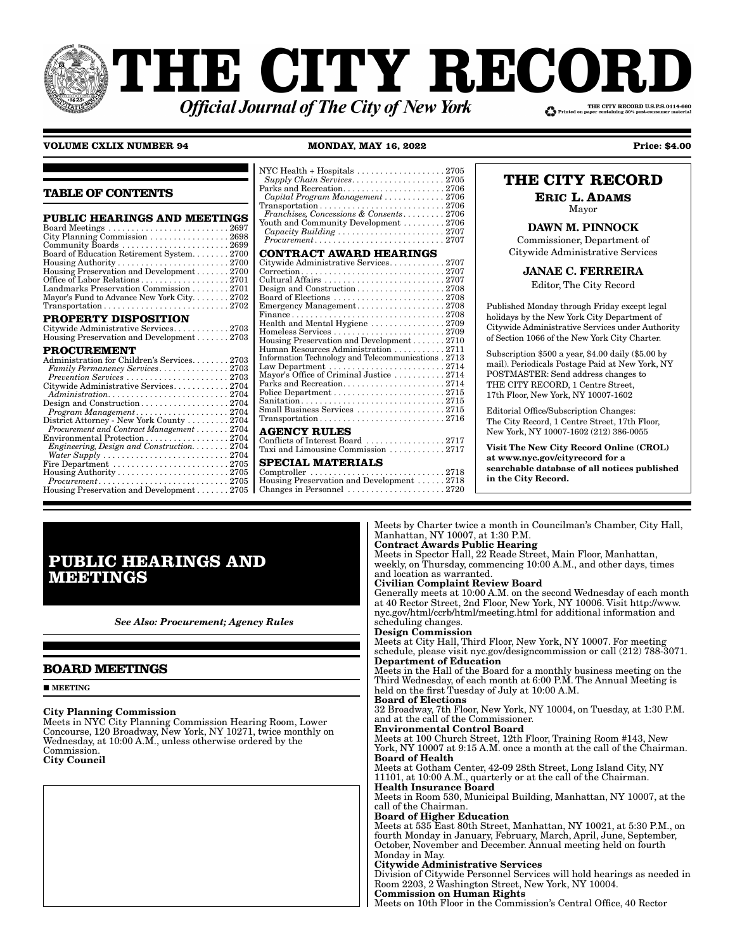# **THE CITY RECOI** THE CITY RECORD U.S.P.S.0114-660 **Official Journal of The City of New York**

### **VOLUME CXLIX NUMBER 94 MONDAY, MAY 16, 2022 Price: \$4.00 Price: \$4.00**

|                                                                                                                                                                                                                                                                                                                                                                                                                                                                                | NYC Health + Hospitals $\dots\dots\dots\dots\dots\dots 2705$<br>Supply Chain Services2705                                                                                                                                                                                                                                                                            |
|--------------------------------------------------------------------------------------------------------------------------------------------------------------------------------------------------------------------------------------------------------------------------------------------------------------------------------------------------------------------------------------------------------------------------------------------------------------------------------|----------------------------------------------------------------------------------------------------------------------------------------------------------------------------------------------------------------------------------------------------------------------------------------------------------------------------------------------------------------------|
| <b>TABLE OF CONTENTS</b>                                                                                                                                                                                                                                                                                                                                                                                                                                                       | Parks and Recreation2706<br>Capital Program Management  2706<br>$Transportation \ldots \ldots \ldots \ldots \ldots \ldots \ldots \ldots \ldots 2706$                                                                                                                                                                                                                 |
| <b>PUBLIC HEARINGS AND MEETINGS</b><br>City Planning Commission  2698<br>Board of Education Retirement System2700                                                                                                                                                                                                                                                                                                                                                              | Franchises. Concessions & Consents 2706<br>Youth and Community Development 2706<br>$Procurrent \ldots \ldots \ldots \ldots \ldots \ldots \ldots \ldots \ldots 2707$<br><b>CONTRACT AWARD HEARINGS</b><br>Citywide Administrative Services2707                                                                                                                        |
| Housing Preservation and Development 2700<br>Landmarks Preservation Commission 2701<br>Mayor's Fund to Advance New York City2702                                                                                                                                                                                                                                                                                                                                               | Design and Construction2708                                                                                                                                                                                                                                                                                                                                          |
| PROPERTY DISPOSITION<br>Citywide Administrative Services2703<br>Housing Preservation and Development 2703                                                                                                                                                                                                                                                                                                                                                                      | Health and Mental Hygiene 2709<br>Housing Preservation and Development2710                                                                                                                                                                                                                                                                                           |
| <b>PROCUREMENT</b><br>Administration for Children's Services2703<br>Family Permanency Services2703<br>$Prevention\ Services \ldots \ldots \ldots \ldots \ldots \ldots 2703$<br>Citywide Administrative Services2704<br>$Administration. \ldots \ldots \ldots \ldots \ldots \ldots \ldots 2704$<br>Design and Construction2704<br>District Attorney - New York County 2704                                                                                                      | Human Resources Administration 2711<br>Information Technology and Telecommunications . 2713<br>Law Department $\ldots \ldots \ldots \ldots \ldots \ldots \ldots 2714$<br>Mayor's Office of Criminal Justice 2714<br>Parks and Recreation2714<br>Small Business Services 2715<br>$Transportation \ldots \ldots \ldots \ldots \ldots \ldots \ldots \ldots \ldots 2716$ |
| Procurement and Contract Management 2704<br>Environmental Protection $\ldots$ , $\ldots$ , $\ldots$ , $\ldots$ , $\ldots$ , 2704<br>Engineering, Design and Construction 2704<br>Water Supply $\ldots \ldots \ldots \ldots \ldots \ldots \ldots \ldots 2704$<br>Fire Department $\ldots \ldots \ldots \ldots \ldots \ldots \ldots \ldots 2705$<br>$Procurrent \ldots \ldots \ldots \ldots \ldots \ldots \ldots \ldots \ldots 2705$<br>Housing Preservation and Development2705 | <b>AGENCY RULES</b><br>Conflicts of Interest Board $\ldots \ldots \ldots \ldots \ldots 2717$<br>Taxi and Limousine Commission 2717<br><b>SPECIAL MATERIALS</b><br>Housing Preservation and Development 2718<br>Changes in Personnel $\ldots \ldots \ldots \ldots \ldots \ldots 2720$                                                                                 |

# **THE CITY RECORD**

**ERIC L. ADAMS**

Mayor

DAWN M. PINNOCK Commissioner, Department of Citywide Administrative Services

JANAE C. FERREIRA

Editor, The City Record

Published Monday through Friday except legal holidays by the New York City Department of Citywide Administrative Services under Authority of Section 1066 of the New York City Charter.

Subscription \$500 a year, \$4.00 daily (\$5.00 by mail). Periodicals Postage Paid at New York, NY POSTMASTER: Send address changes to THE CITY RECORD, 1 Centre Street, 17th Floor, New York, NY 10007-1602

Editorial Office/Subscription Changes: The City Record, 1 Centre Street, 17th Floor, New York, NY 10007-1602 (212) 386-0055

Visit The New City Record Online (CROL) at www.nyc.gov/cityrecord for a searchable database of all notices published in the City Record.

# **PUBLIC HEARINGS AND MEETINGS**

*See Also: Procurement; Agency Rules*

# **BOARD MEETINGS**

**MEETING** 

#### City Planning Commission

Meets in NYC City Planning Commission Hearing Room, Lower Concourse, 120 Broadway, New York, NY 10271, twice monthly on Wednesday, at 10:00 A.M., unless otherwise ordered by the Commission.

City Council

Meets by Charter twice a month in Councilman's Chamber, City Hall, Manhattan, NY 10007, at 1:30 P.M. Contract Awards Public Hearing

Meets in Spector Hall, 22 Reade Street, Main Floor, Manhattan, weekly, on Thursday, commencing 10:00 A.M., and other days, times and location as warranted.

# Civilian Complaint Review Board

Generally meets at 10:00 A.M. on the second Wednesday of each month at 40 Rector Street, 2nd Floor, New York, NY 10006. Visit http://www. nyc.gov/html/ccrb/html/meeting.html for additional information and scheduling changes.

#### Design Commission

Meets at City Hall, Third Floor, New York, NY 10007. For meeting schedule, please visit nyc.gov/designcommission or call (212) 788-3071. Department of Education

Meets in the Hall of the Board for a monthly business meeting on the Third Wednesday, of each month at 6:00 P.M. The Annual Meeting is held on the first Tuesday of July at 10:00 A.M.

# Board of Elections

32 Broadway, 7th Floor, New York, NY 10004, on Tuesday, at 1:30 P.M. and at the call of the Commissioner.

# Environmental Control Board

Meets at 100 Church Street, 12th Floor, Training Room #143, New York, NY 10007 at 9:15 A.M. once a month at the call of the Chairman. Board of Health

Meets at Gotham Center, 42-09 28th Street, Long Island City, NY 11101, at 10:00 A.M., quarterly or at the call of the Chairman. Health Insurance Board

#### Meets in Room 530, Municipal Building, Manhattan, NY 10007, at the call of the Chairman.

Board of Higher Education

Meets at 535 East 80th Street, Manhattan, NY 10021, at 5:30 P.M., on fourth Monday in January, February, March, April, June, September, October, November and December. Annual meeting held on fourth Monday in May.

#### Citywide Administrative Services

Division of Citywide Personnel Services will hold hearings as needed in Room 2203, 2 Washington Street, New York, NY 10004. Commission on Human Rights

Meets on 10th Floor in the Commission's Central Office, 40 Rector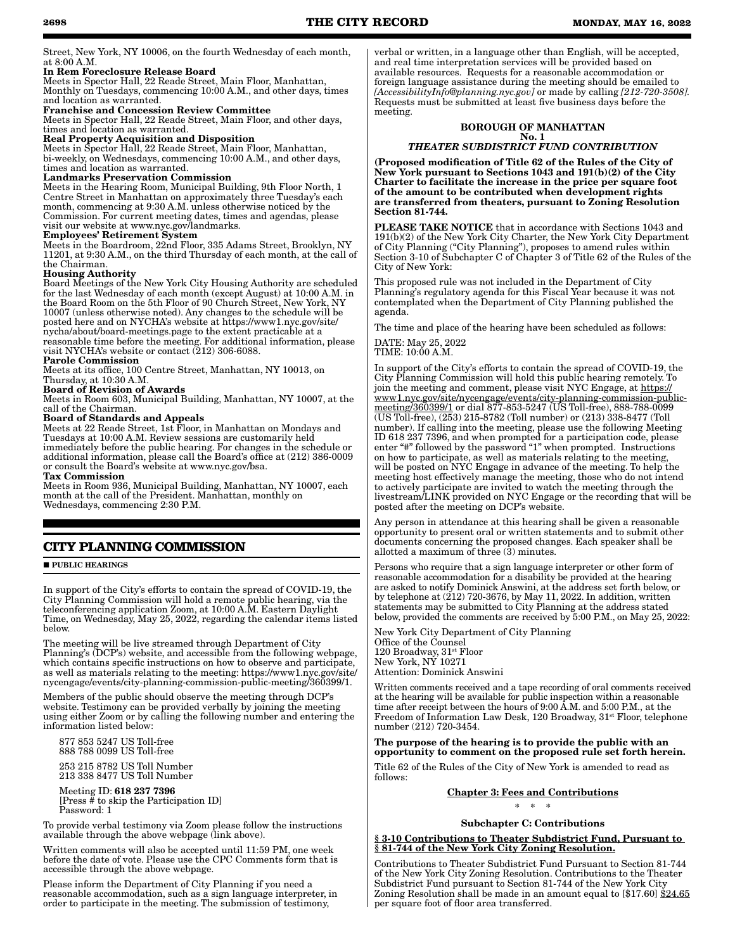Street, New York, NY 10006, on the fourth Wednesday of each month, at 8:00 A.M.

#### In Rem Foreclosure Release Board

Meets in Spector Hall, 22 Reade Street, Main Floor, Manhattan, Monthly on Tuesdays, commencing 10:00 A.M., and other days, times and location as warranted.

## Franchise and Concession Review Committee

Meets in Spector Hall, 22 Reade Street, Main Floor, and other days, times and location as warranted.

## Real Property Acquisition and Disposition

Meets in Spector Hall, 22 Reade Street, Main Floor, Manhattan, bi-weekly, on Wednesdays, commencing 10:00 A.M., and other days, times and location as warranted.

#### Landmarks Preservation Commission

Meets in the Hearing Room, Municipal Building, 9th Floor North, 1 Centre Street in Manhattan on approximately three Tuesday's each month, commencing at 9:30 A.M. unless otherwise noticed by the Commission. For current meeting dates, times and agendas, please visit our website at www.nyc.gov/landmarks.

#### Employees' Retirement System

Meets in the Boardroom, 22nd Floor, 335 Adams Street, Brooklyn, NY 11201, at 9:30 A.M., on the third Thursday of each month, at the call of the Chairman.

#### Housing Authority

Board Meetings of the New York City Housing Authority are scheduled for the last Wednesday of each month (except August) at 10:00 A.M. in the Board Room on the 5th Floor of 90 Church Street, New York, NY 10007 (unless otherwise noted). Any changes to the schedule will be posted here and on NYCHA's website at https://www1.nyc.gov/site/ nycha/about/board-meetings.page to the extent practicable at a reasonable time before the meeting. For additional information, please visit NYCHA's website or contact (212) 306-6088. Parole Commission

Meets at its office, 100 Centre Street, Manhattan, NY 10013, on Thursday, at 10:30 A.M.

# Board of Revision of Awards

Meets in Room 603, Municipal Building, Manhattan, NY 10007, at the call of the Chairman.

#### Board of Standards and Appeals

Meets at 22 Reade Street, 1st Floor, in Manhattan on Mondays and Tuesdays at 10:00 A.M. Review sessions are customarily held immediately before the public hearing. For changes in the schedule or additional information, please call the Board's office at (212) 386-0009 or consult the Board's website at www.nyc.gov/bsa.

#### Tax Commission

Meets in Room 936, Municipal Building, Manhattan, NY 10007, each month at the call of the President. Manhattan, monthly on Wednesdays, commencing 2:30 P.M.

# **CITY PLANNING COMMISSION**

**PUBLIC HEARINGS** 

In support of the City's efforts to contain the spread of COVID-19, the City Planning Commission will hold a remote public hearing, via the teleconferencing application Zoom, at 10:00 A.M. Eastern Daylight Time, on Wednesday, May 25, 2022, regarding the calendar items listed below.

The meeting will be live streamed through Department of City Planning's (DCP's) website, and accessible from the following webpage, which contains specific instructions on how to observe and participate, as well as materials relating to the meeting: https://www1.nyc.gov/site/ nycengage/events/city-planning-commission-public-meeting/360399/1.

Members of the public should observe the meeting through DCP's website. Testimony can be provided verbally by joining the meeting using either Zoom or by calling the following number and entering the information listed below:

 877 853 5247 US Toll-free 888 788 0099 US Toll-free

 253 215 8782 US Toll Number 213 338 8477 US Toll Number

 Meeting ID: 618 237 7396 [Press # to skip the Participation ID] Password: 1

To provide verbal testimony via Zoom please follow the instructions available through the above webpage (link above).

Written comments will also be accepted until 11:59 PM, one week before the date of vote. Please use the CPC Comments form that is accessible through the above webpage.

Please inform the Department of City Planning if you need a reasonable accommodation, such as a sign language interpreter, in order to participate in the meeting. The submission of testimony,

verbal or written, in a language other than English, will be accepted, and real time interpretation services will be provided based on available resources. Requests for a reasonable accommodation or foreign language assistance during the meeting should be emailed to *[AccessibilityInfo@planning.nyc.gov]* or made by calling *[212-720-3508].* Requests must be submitted at least five business days before the meeting.

#### BOROUGH OF MANHATTAN No. 1

#### *THEATER SUBDISTRICT FUND CONTRIBUTION*

(Proposed modification of Title 62 of the Rules of the City of New York pursuant to Sections 1043 and 191(b)(2) of the City Charter to facilitate the increase in the price per square foot of the amount to be contributed when development rights are transferred from theaters, pursuant to Zoning Resolution Section 81-744.

PLEASE TAKE NOTICE that in accordance with Sections 1043 and 191(b)(2) of the New York City Charter, the New York City Department of City Planning ("City Planning"), proposes to amend rules within Section 3-10 of Subchapter C of Chapter 3 of Title 62 of the Rules of the City of New York:

This proposed rule was not included in the Department of City Planning's regulatory agenda for this Fiscal Year because it was not contemplated when the Department of City Planning published the agenda.

The time and place of the hearing have been scheduled as follows:

DATE: May 25, 2022 TIME: 10:00 A.M.

In support of the City's efforts to contain the spread of COVID-19, the City Planning Commission will hold this public hearing remotely. To join the meeting and comment, please visit NYC Engage, at https:// www1.nyc.gov/site/nycengage/events/city-planning-commission-publicmeeting/360399/1 or dial 877-853-5247 (US Toll-free), 888-788-0099 (US Toll-free), (253) 215-8782 (Toll number) or (213) 338-8477 (Toll number). If calling into the meeting, please use the following Meeting ID 618 237 7396, and when prompted for a participation code, please enter "#" followed by the password "1" when prompted. Instructions on how to participate, as well as materials relating to the meeting, will be posted on NYC Engage in advance of the meeting. To help the meeting host effectively manage the meeting, those who do not intend to actively participate are invited to watch the meeting through the livestream/LINK provided on NYC Engage or the recording that will be posted after the meeting on DCP's website.

Any person in attendance at this hearing shall be given a reasonable opportunity to present oral or written statements and to submit other documents concerning the proposed changes. Each speaker shall be allotted a maximum of three (3) minutes.

Persons who require that a sign language interpreter or other form of reasonable accommodation for a disability be provided at the hearing are asked to notify Dominick Answini, at the address set forth below, or by telephone at (212) 720-3676, by May 11, 2022. In addition, written statements may be submitted to City Planning at the address stated below, provided the comments are received by 5:00 P.M., on May 25, 2022:

New York City Department of City Planning Office of the Counsel 120 Broadway, 31<sup>st</sup> Floor New York, NY 10271 Attention: Dominick Answini

Written comments received and a tape recording of oral comments received at the hearing will be available for public inspection within a reasonable time after receipt between the hours of 9:00 A.M. and 5:00 P.M., at the Freedom of Information Law Desk, 120 Broadway, 31<sup>st</sup> Floor, telephone number (212) 720-3454.

#### The purpose of the hearing is to provide the public with an opportunity to comment on the proposed rule set forth herein.

Title 62 of the Rules of the City of New York is amended to read as follows:

#### Chapter 3: Fees and Contributions

\* \* \*

## Subchapter C: Contributions

§ 3-10 Contributions to Theater Subdistrict Fund, Pursuant to § 81-744 of the New York City Zoning Resolution.

Contributions to Theater Subdistrict Fund Pursuant to Section 81-744 of the New York City Zoning Resolution. Contributions to the Theater Subdistrict Fund pursuant to Section 81-744 of the New York City Zoning Resolution shall be made in an amount equal to [\$17.60] \$24.65 per square foot of floor area transferred.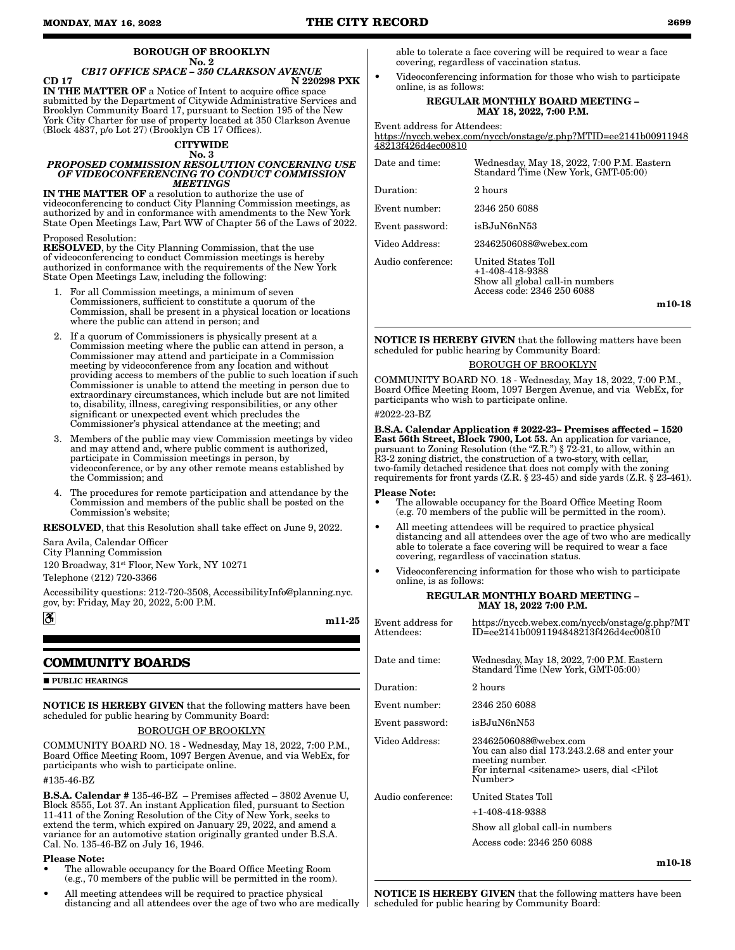#### BOROUGH OF BROOKLYN No. 2

*CB17 OFFICE SPACE – 350 CLARKSON AVENUE* CD 17 N 220298 PXK IN THE MATTER OF a Notice of Intent to acquire office space submitted by the Department of Citywide Administrative Services and Brooklyn Community Board 17, pursuant to Section 195 of the New York City Charter for use of property located at 350 Clarkson Avenue  $(Block 4837, p/o Lot 27) (Brocklyn \ddot{CB} 17 \text{, } 1000$ 

#### **CITYWIDE**

#### No. 3 *PROPOSED COMMISSION RESOLUTION CONCERNING USE OF VIDEOCONFERENCING TO CONDUCT COMMISSION MEETINGS*

IN THE MATTER OF a resolution to authorize the use of videoconferencing to conduct City Planning Commission meetings, as authorized by and in conformance with amendments to the New York State Open Meetings Law, Part WW of Chapter 56 of the Laws of 2022.

## Proposed Resolution:

RESOLVED, by the City Planning Commission, that the use of videoconferencing to conduct Commission meetings is hereby authorized in conformance with the requirements of the New York State Open Meetings Law, including the following:

- 1. For all Commission meetings, a minimum of seven Commissioners, sufficient to constitute a quorum of the Commission, shall be present in a physical location or locations where the public can attend in person; and
- 2. If a quorum of Commissioners is physically present at a Commission meeting where the public can attend in person, a Commissioner may attend and participate in a Commission meeting by videoconference from any location and without providing access to members of the public to such location if such Commissioner is unable to attend the meeting in person due to extraordinary circumstances, which include but are not limited to, disability, illness, caregiving responsibilities, or any other significant or unexpected event which precludes the Commissioner's physical attendance at the meeting; and
- 3. Members of the public may view Commission meetings by video and may attend and, where public comment is authorized, participate in Commission meetings in person, by videoconference, or by any other remote means established by the Commission; and
- The procedures for remote participation and attendance by the Commission and members of the public shall be posted on the Commission's website;

RESOLVED, that this Resolution shall take effect on June 9, 2022.

Sara Avila, Calendar Officer City Planning Commission

120 Broadway,  $31^{st}$  Floor, New York, NY 10271

Telephone (212) 720-3366

Accessibility questions: 212-720-3508, AccessibilityInfo@planning.nyc. gov, by: Friday, May 20, 2022, 5:00 P.M.

m11-25

# **COMMUNITY BOARDS**

**PUBLIC HEARINGS** 

<u>3.</u>

NOTICE IS HEREBY GIVEN that the following matters have been scheduled for public hearing by Community Board:

## BOROUGH OF BROOKLYN

COMMUNITY BOARD NO. 18 - Wednesday, May 18, 2022, 7:00 P.M., Board Office Meeting Room, 1097 Bergen Avenue, and via WebEx, for participants who wish to participate online.

#135-46-BZ

B.S.A. Calendar # 135-46-BZ – Premises affected – 3802 Avenue U, Block 8555, Lot 37. An instant Application filed, pursuant to Section 11-411 of the Zoning Resolution of the City of New York, seeks to extend the term, which expired on January 29, 2022, and amend a variance for an automotive station originally granted under B.S.A. Cal. No. 135-46-BZ on July 16, 1946.

#### Please Note:

- The allowable occupancy for the Board Office Meeting Room (e.g., 70 members of the public will be permitted in the room).
- All meeting attendees will be required to practice physical distancing and all attendees over the age of two who are medically

able to tolerate a face covering will be required to wear a face covering, regardless of vaccination status.

• Videoconferencing information for those who wish to participate online, is as follows:

#### REGULAR MONTHLY BOARD MEETING – MAY 18, 2022, 7:00 P.M.

Event address for Attendees:

https://nyccb.webex.com/nyccb/onstage/g.php?MTID=ee2141b00911948 48213f426d4ec00810

| Date and time:    | Wednesday, May 18, 2022, 7:00 P.M. Eastern<br>Standard Time (New York, GMT-05:00)                      |
|-------------------|--------------------------------------------------------------------------------------------------------|
| Duration:         | 2 hours                                                                                                |
| Event number:     | 2346 250 6088                                                                                          |
| Event password:   | isBJuN6nN53                                                                                            |
| Video Address:    | 23462506088@webex.com                                                                                  |
| Audio conference: | United States Toll<br>+1-408-418-9388<br>Show all global call-in numbers<br>Access code: 2346 250 6088 |
|                   | m10-18                                                                                                 |

NOTICE IS HEREBY GIVEN that the following matters have been scheduled for public hearing by Community Board:

#### BOROUGH OF BROOKLYN

COMMUNITY BOARD NO. 18 - Wednesday, May 18, 2022, 7:00 P.M., Board Office Meeting Room, 1097 Bergen Avenue, and via WebEx, for participants who wish to participate online.

#2022-23-BZ

B.S.A. Calendar Application # 2022-23– Premises affected – 1520 East 56th Street, Block 7900, Lot 53. An application for variance, pursuant to Zoning Resolution (the "Z.R.") § 72-21, to allow, within an R3-2 zoning district, the construction of a two-story, with cellar, two-family detached residence that does not comply with the zoning requirements for front yards (Z.R. § 23-45) and side yards (Z.R. § 23-461).

Please Note:

- The allowable occupancy for the Board Office Meeting Room (e.g. 70 members of the public will be permitted in the room).
- All meeting attendees will be required to practice physical distancing and all attendees over the age of two who are medically able to tolerate a face covering will be required to wear a face covering, regardless of vaccination status.
- Videoconferencing information for those who wish to participate online, is as follows:

#### REGULAR MONTHLY BOARD MEETING – MAY 18, 2022 7:00 P.M.

| Event address for<br>Attendees: | https://nyccb.webex.com/nyccb/onstage/g.php?MT<br>ID=ee2141b0091194848213f426d4ec00810                                                                                      |
|---------------------------------|-----------------------------------------------------------------------------------------------------------------------------------------------------------------------------|
| Date and time:                  | Wednesday, May 18, 2022, 7:00 P.M. Eastern<br>Standard Time (New York, GMT-05:00)                                                                                           |
| Duration:                       | 2 hours                                                                                                                                                                     |
| Event number:                   | 2346 250 6088                                                                                                                                                               |
| Event password:                 | isBJuN6nN53                                                                                                                                                                 |
| Video Address:                  | 23462506088@webex.com<br>You can also dial 173.243.2.68 and enter your<br>meeting number.<br>For internal <sitename> users, dial <pilot<br>Number&gt;</pilot<br></sitename> |
| Audio conference:               | United States Toll                                                                                                                                                          |
|                                 | +1-408-418-9388                                                                                                                                                             |
|                                 | Show all global call-in numbers                                                                                                                                             |
|                                 | Access code: 2346 250 6088                                                                                                                                                  |
|                                 |                                                                                                                                                                             |

m10-18

NOTICE IS HEREBY GIVEN that the following matters have been scheduled for public hearing by Community Board: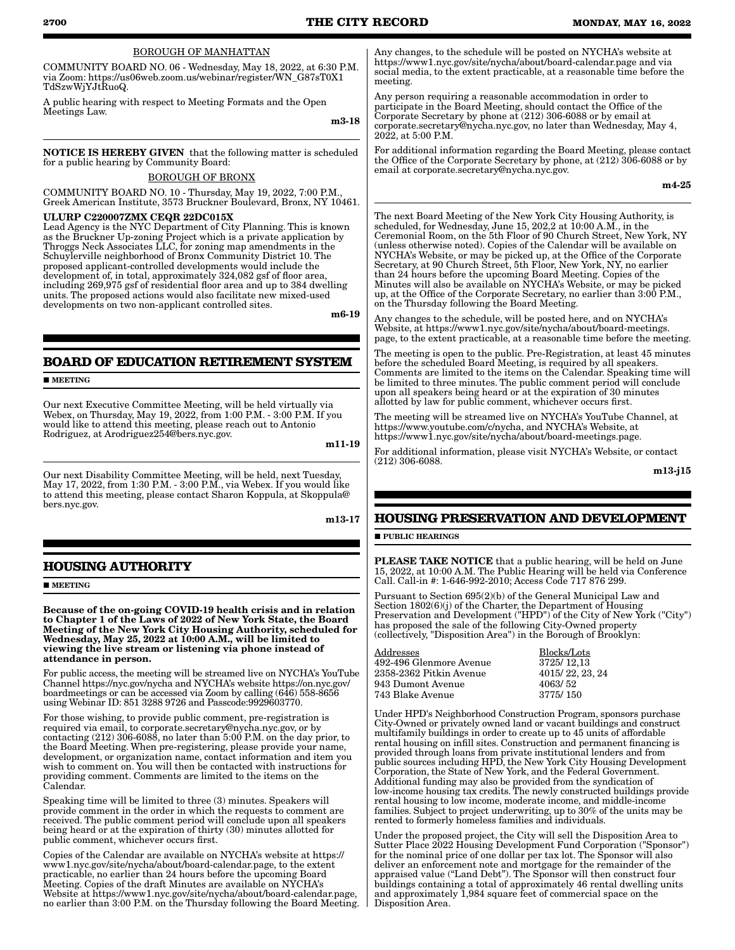#### BOROUGH OF MANHATTAN

COMMUNITY BOARD NO. 06 - Wednesday, May 18, 2022, at 6:30 P.M. via Zoom: https://us06web.zoom.us/webinar/register/WN\_G87sT0X1 TdSzwWjYJtRuoQ.

A public hearing with respect to Meeting Formats and the Open Meetings Law.

m3-18

NOTICE IS HEREBY GIVEN that the following matter is scheduled for a public hearing by Community Board:

BOROUGH OF BRONX

COMMUNITY BOARD NO. 10 - Thursday, May 19, 2022, 7:00 P.M., Greek American Institute, 3573 Bruckner Boulevard, Bronx, NY 10461.

#### ULURP C220007ZMX CEQR 22DC015X

Lead Agency is the NYC Department of City Planning. This is known as the Bruckner Up-zoning Project which is a private application by Throggs Neck Associates LLC, for zoning map amendments in the Schuylerville neighborhood of Bronx Community District 10. The proposed applicant-controlled developments would include the development of, in total, approximately 324,082 gsf of floor area, including 269,975 gsf of residential floor area and up to 384 dwelling units. The proposed actions would also facilitate new mixed-used developments on two non-applicant controlled sites.

m6-19

# **BOARD OF EDUCATION RETIREMENT SYSTEM**

**MEETING** 

Our next Executive Committee Meeting, will be held virtually via Webex, on Thursday, May 19, 2022, from 1:00 P.M. - 3:00 P.M. If you would like to attend this meeting, please reach out to Antonio Rodriguez, at Arodriguez254@bers.nyc.gov.

m11-19

Our next Disability Committee Meeting, will be held, next Tuesday, May 17, 2022, from 1:30 P.M. - 3:00 P.M., via Webex. If you would like to attend this meeting, please contact Sharon Koppula, at Skoppula@ bers.nyc.gov.

m13-17

# **HOUSING AUTHORITY**

**MEETING** 

Because of the on-going COVID-19 health crisis and in relation to Chapter 1 of the Laws of 2022 of New York State, the Board Meeting of the New York City Housing Authority, scheduled for Wednesday, May 25, 2022 at 10:00 A.M., will be limited to viewing the live stream or listening via phone instead of attendance in person.

For public access, the meeting will be streamed live on NYCHA's YouTube Channel https://nyc.gov/nycha and NYCHA's website https://on.nyc.gov/ boardmeetings or can be accessed via Zoom by calling (646) 558-8656 using Webinar ID: 851 3288 9726 and Passcode:9929603770.

For those wishing, to provide public comment, pre-registration is required via email, to corporate.secretary@nycha.nyc.gov, or by contacting (212) 306-6088, no later than 5:00 P.M. on the day prior, to the Board Meeting. When pre-registering, please provide your name, development, or organization name, contact information and item you wish to comment on. You will then be contacted with instructions for providing comment. Comments are limited to the items on the Calendar.

Speaking time will be limited to three (3) minutes. Speakers will provide comment in the order in which the requests to comment are received. The public comment period will conclude upon all speakers being heard or at the expiration of thirty (30) minutes allotted for public comment, whichever occurs first.

Copies of the Calendar are available on NYCHA's website at https:// www1.nyc.gov/site/nycha/about/board-calendar.page, to the extent practicable, no earlier than 24 hours before the upcoming Board Meeting. Copies of the draft Minutes are available on NYCHA's Website at https://www1.nyc.gov/site/nycha/about/board-calendar.page, no earlier than 3:00 P.M. on the Thursday following the Board Meeting.

Any changes, to the schedule will be posted on NYCHA's website at https://www1.nyc.gov/site/nycha/about/board-calendar.page and via social media, to the extent practicable, at a reasonable time before the meeting.

Any person requiring a reasonable accommodation in order to participate in the Board Meeting, should contact the Office of the Corporate Secretary by phone at  $(212)$  306-6088 or by email at corporate.secretary@nycha.nyc.gov, no later than Wednesday, May 4, 2022, at 5:00 P.M.

For additional information regarding the Board Meeting, please contact the Office of the Corporate Secretary by phone, at (212) 306-6088 or by email at corporate.secretary@nycha.nyc.gov.

m4-25

The next Board Meeting of the New York City Housing Authority, is scheduled, for Wednesday, June 15, 202,2 at 10:00 A.M., in the Ceremonial Room, on the 5th Floor of 90 Church Street, New York, NY (unless otherwise noted). Copies of the Calendar will be available on NYCHA's Website, or may be picked up, at the Office of the Corporate Secretary, at 90 Church Street, 5th Floor, New York, NY, no earlier than 24 hours before the upcoming Board Meeting. Copies of the Minutes will also be available on NYCHA's Website, or may be picked up, at the Office of the Corporate Secretary, no earlier than 3:00 P.M., on the Thursday following the Board Meeting.

Any changes to the schedule, will be posted here, and on NYCHA's Website, at https://www1.nyc.gov/site/nycha/about/board-meetings. page, to the extent practicable, at a reasonable time before the meeting.

The meeting is open to the public. Pre-Registration, at least 45 minutes before the scheduled Board Meeting, is required by all speakers. Comments are limited to the items on the Calendar. Speaking time will be limited to three minutes. The public comment period will conclude upon all speakers being heard or at the expiration of 30 minutes allotted by law for public comment, whichever occurs first.

The meeting will be streamed live on NYCHA's YouTube Channel, at https://www.youtube.com/c/nycha, and NYCHA's Website, at https://www1.nyc.gov/site/nycha/about/board-meetings.page.

For additional information, please visit NYCHA's Website, or contact (212) 306-6088.

m13-j15

# **HOUSING PRESERVATION AND DEVELOPMENT**

**PUBLIC HEARINGS** 

PLEASE TAKE NOTICE that a public hearing, will be held on June 15, 2022, at 10:00 A.M. The Public Hearing will be held via Conference Call. Call-in #: 1-646-992-2010; Access Code 717 876 299.

Pursuant to Section 695(2)(b) of the General Municipal Law and Section 1802(6)(j) of the Charter, the Department of Housing Preservation and Development ("HPD") of the City of New York ("City") has proposed the sale of the following City-Owned property (collectively, "Disposition Area") in the Borough of Brooklyn:

| Blocks/Lots     |
|-----------------|
| 3725/12,13      |
| 4015/22, 23, 24 |
| 4063/52         |
| 3775/150        |
|                 |

Under HPD's Neighborhood Construction Program, sponsors purchase City-Owned or privately owned land or vacant buildings and construct multifamily buildings in order to create up to 45 units of affordable rental housing on infill sites. Construction and permanent financing is provided through loans from private institutional lenders and from public sources including HPD, the New York City Housing Development Corporation, the State of New York, and the Federal Government. Additional funding may also be provided from the syndication of low-income housing tax credits. The newly constructed buildings provide rental housing to low income, moderate income, and middle-income families. Subject to project underwriting, up to 30% of the units may be rented to formerly homeless families and individuals.

Under the proposed project, the City will sell the Disposition Area to Sutter Place 2022 Housing Development Fund Corporation ("Sponsor") for the nominal price of one dollar per tax lot. The Sponsor will also deliver an enforcement note and mortgage for the remainder of the appraised value ("Land Debt"). The Sponsor will then construct four buildings containing a total of approximately 46 rental dwelling units and approximately 1,984 square feet of commercial space on the Disposition Area.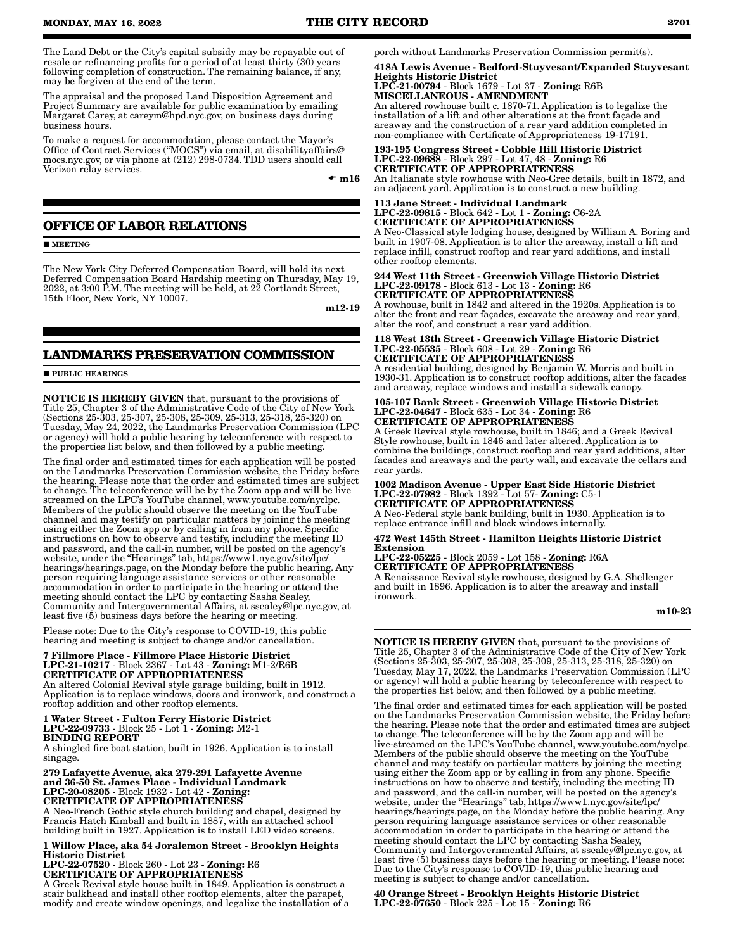The Land Debt or the City's capital subsidy may be repayable out of resale or refinancing profits for a period of at least thirty (30) years following completion of construction. The remaining balance, if any, may be forgiven at the end of the term.

The appraisal and the proposed Land Disposition Agreement and Project Summary are available for public examination by emailing Margaret Carey, at careym@hpd.nyc.gov, on business days during business hours.

To make a request for accommodation, please contact the Mayor's Office of Contract Services ("MOCS") via email, at disabilityaffairs@ mocs.nyc.gov, or via phone at (212) 298-0734. TDD users should call Verizon relay services.

 $\bullet$  m16

# **OFFICE OF LABOR RELATIONS**

**MEETING** 

The New York City Deferred Compensation Board, will hold its next Deferred Compensation Board Hardship meeting on Thursday, May 19, 2022, at 3:00 P.M. The meeting will be held, at 22 Cortlandt Street, 15th Floor, New York, NY 10007.

m12-19

# **LANDMARKS PRESERVATION COMMISSION**

**PUBLIC HEARINGS** 

NOTICE IS HEREBY GIVEN that, pursuant to the provisions of Title 25, Chapter 3 of the Administrative Code of the City of New York (Sections 25-303, 25-307, 25-308, 25-309, 25-313, 25-318, 25-320) on Tuesday, May 24, 2022, the Landmarks Preservation Commission (LPC or agency) will hold a public hearing by teleconference with respect to the properties list below, and then followed by a public meeting.

The final order and estimated times for each application will be posted on the Landmarks Preservation Commission website, the Friday before the hearing. Please note that the order and estimated times are subject to change. The teleconference will be by the Zoom app and will be live streamed on the LPC's YouTube channel, www.youtube.com/nyclpc. Members of the public should observe the meeting on the YouTube channel and may testify on particular matters by joining the meeting using either the Zoom app or by calling in from any phone. Specific instructions on how to observe and testify, including the meeting ID and password, and the call-in number, will be posted on the agency's website, under the "Hearings" tab, https://www1.nyc.gov/site/lpc/ hearings/hearings.page, on the Monday before the public hearing. Any person requiring language assistance services or other reasonable accommodation in order to participate in the hearing or attend the meeting should contact the LPC by contacting Sasha Sealey, Community and Intergovernmental Affairs, at ssealey@lpc.nyc.gov, at least five (5) business days before the hearing or meeting.

Please note: Due to the City's response to COVID-19, this public hearing and meeting is subject to change and/or cancellation.

#### 7 Fillmore Place - Fillmore Place Historic District LPC-21-10217 - Block 2367 - Lot 43 - Zoning: M1-2/R6B CERTIFICATE OF APPROPRIATENESS

An altered Colonial Revival style garage building, built in 1912. Application is to replace windows, doors and ironwork, and construct a rooftop addition and other rooftop elements.

#### 1 Water Street - Fulton Ferry Historic District LPC-22-09733 - Block 25 - Lot 1 - Zoning: M2-1 BINDING REPORT

A shingled fire boat station, built in 1926. Application is to install singage.

#### 279 Lafayette Avenue, aka 279-291 Lafayette Avenue and 36-50 St. James Place - Individual Landmark LPC-20-08205 - Block 1932 - Lot 42 - Zoning: CERTIFICATE OF APPROPRIATENESS

A Neo-French Gothic style church building and chapel, designed by Francis Hatch Kimball and built in 1887, with an attached school building built in 1927. Application is to install LED video screens.

1 Willow Place, aka 54 Joralemon Street - Brooklyn Heights Historic District LPC-22-07520 - Block 260 - Lot 23 - Zoning: R6

CERTIFICATE OF APPROPRIATENESS A Greek Revival style house built in 1849. Application is construct a

stair bulkhead and install other rooftop elements, alter the parapet, modify and create window openings, and legalize the installation of a porch without Landmarks Preservation Commission permit(s).

418A Lewis Avenue - Bedford-Stuyvesant/Expanded Stuyvesant Heights Historic District LPC-21-00794 - Block 1679 - Lot 37 - Zoning: R6B MISCELLANEOUS - AMENDMENT

An altered rowhouse built c. 1870-71. Application is to legalize the installation of a lift and other alterations at the front façade and areaway and the construction of a rear yard addition completed in non-compliance with Certificate of Appropriateness 19-17191.

193-195 Congress Street - Cobble Hill Historic District LPC-22-09688 - Block 297 - Lot 47, 48 - Zoning: R6 CERTIFICATE OF APPROPRIATENESS

An Italianate style rowhouse with Neo-Grec details, built in 1872, and an adjacent yard. Application is to construct a new building.

#### 113 Jane Street - Individual Landmark LPC-22-09815 - Block 642 - Lot 1 - Zoning: C6-2A CERTIFICATE OF APPROPRIATENESS

A Neo-Classical style lodging house, designed by William A. Boring and built in 1907-08. Application is to alter the areaway, install a lift and replace infill, construct rooftop and rear yard additions, and install other rooftop elements.

244 West 11th Street - Greenwich Village Historic District LPC-22-09178 - Block 613 - Lot 13 - Zoning: R6 CERTIFICATE OF APPROPRIATENESS

A rowhouse, built in 1842 and altered in the 1920s. Application is to alter the front and rear façades, excavate the areaway and rear yard, alter the roof, and construct a rear yard addition.

# 118 West 13th Street - Greenwich Village Historic District LPC-22-05535 - Block 608 - Lot 29 - Zoning: R6 CERTIFICATE OF APPROPRIATENESS

A residential building, designed by Benjamin W. Morris and built in 1930-31. Application is to construct rooftop additions, alter the facades and areaway, replace windows and install a sidewalk canopy.

# 105-107 Bank Street - Greenwich Village Historic District LPC-22-04647 - Block 635 - Lot 34 - Zoning: R6 CERTIFICATE OF APPROPRIATENESS

A Greek Revival style rowhouse, built in 1846; and a Greek Revival Style rowhouse, built in 1846 and later altered. Application is to combine the buildings, construct rooftop and rear yard additions, alter facades and areaways and the party wall, and excavate the cellars and rear yards.

#### 1002 Madison Avenue - Upper East Side Historic District LPC-22-07982 - Block 1392 - Lot 57- Zoning: C5-1 CERTIFICATE OF APPROPRIATENESS

A Neo-Federal style bank building, built in 1930. Application is to replace entrance infill and block windows internally.

#### 472 West 145th Street - Hamilton Heights Historic District Extension

LPC-22-05225 - Block 2059 - Lot 158 - Zoning: R6A CERTIFICATE OF APPROPRIATENESS

A Renaissance Revival style rowhouse, designed by G.A. Shellenger and built in 1896. Application is to alter the areaway and install ironwork.

# m10-23

NOTICE IS HEREBY GIVEN that, pursuant to the provisions of Title 25, Chapter 3 of the Administrative Code of the City of New York (Sections 25-303, 25-307, 25-308, 25-309, 25-313, 25-318, 25-320) on Tuesday, May 17, 2022, the Landmarks Preservation Commission (LPC or agency) will hold a public hearing by teleconference with respect to the properties list below, and then followed by a public meeting.

The final order and estimated times for each application will be posted on the Landmarks Preservation Commission website, the Friday before the hearing. Please note that the order and estimated times are subject to change. The teleconference will be by the Zoom app and will be live-streamed on the LPC's YouTube channel, www.youtube.com/nyclpc. Members of the public should observe the meeting on the YouTube channel and may testify on particular matters by joining the meeting using either the Zoom app or by calling in from any phone. Specific instructions on how to observe and testify, including the meeting ID and password, and the call-in number, will be posted on the agency's website, under the "Hearings" tab, https://www1.nyc.gov/site/lpc/ hearings/hearings.page, on the Monday before the public hearing. Any person requiring language assistance services or other reasonable accommodation in order to participate in the hearing or attend the meeting should contact the LPC by contacting Sasha Sealey, Community and Intergovernmental Affairs, at ssealey@lpc.nyc.gov, at least five (5) business days before the hearing or meeting. Please note: Due to the City's response to COVID-19, this public hearing and meeting is subject to change and/or cancellation.

40 Orange Street - Brooklyn Heights Historic District LPC-22-07650 - Block 225 - Lot 15 - Zoning: R6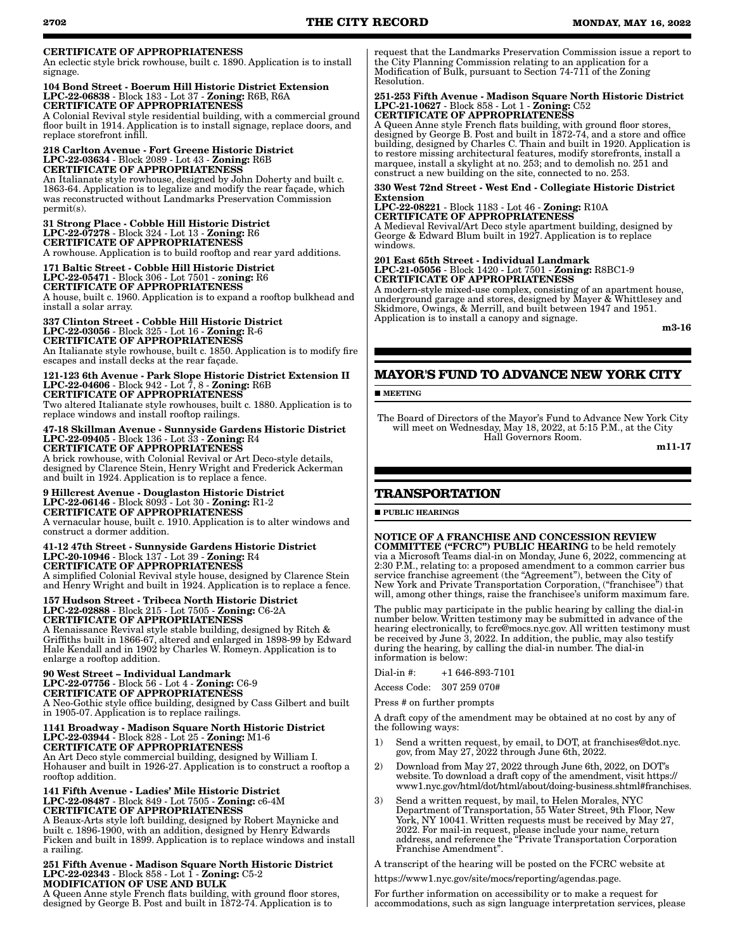# CERTIFICATE OF APPROPRIATENESS

An eclectic style brick rowhouse, built c. 1890. Application is to install signage.

## 104 Bond Street - Boerum Hill Historic District Extension LPC-22-06838 - Block 183 - Lot 37 - Zoning: R6B, R6A CERTIFICATE OF APPROPRIATENESS

A Colonial Revival style residential building, with a commercial ground floor built in 1914. Application is to install signage, replace doors, and replace storefront infill.

#### 218 Carlton Avenue - Fort Greene Historic District LPC-22-03634 - Block 2089 - Lot 43 - Zoning: R6B CERTIFICATE OF APPROPRIATENESS

An Italianate style rowhouse, designed by John Doherty and built c. 1863-64. Application is to legalize and modify the rear façade, which was reconstructed without Landmarks Preservation Commission permit(s).

#### 31 Strong Place - Cobble Hill Historic District LPC-22-07278 - Block 324 - Lot 13 - Zoning: R6 CERTIFICATE OF APPROPRIATENESS

A rowhouse. Application is to build rooftop and rear yard additions.

# 171 Baltic Street - Cobble Hill Historic District LPC-22-05471 - Block 306 - Lot 7501 - zoning: R6

CERTIFICATE OF APPROPRIATENESS A house, built c. 1960. Application is to expand a rooftop bulkhead and install a solar array.

# 337 Clinton Street - Cobble Hill Historic District LPC-22-03056 - Block 325 - Lot 16 - Zoning: R-6 CERTIFICATE OF APPROPRIATENESS

An Italianate style rowhouse, built c. 1850. Application is to modify fire escapes and install decks at the rear façade.

#### 121-123 6th Avenue - Park Slope Historic District Extension II LPC-22-04606 - Block 942 - Lot 7, 8 - Zoning: R6B CERTIFICATE OF APPROPRIATENESS Two altered Italianate style rowhouses, built c. 1880. Application is to replace windows and install rooftop railings.

#### 47-18 Skillman Avenue - Sunnyside Gardens Historic District LPC-22-09405 - Block 136 - Lot 33 - Zoning: R4 CERTIFICATE OF APPROPRIATENESS

A brick rowhouse, with Colonial Revival or Art Deco-style details, designed by Clarence Stein, Henry Wright and Frederick Ackerman and built in 1924. Application is to replace a fence.

#### 9 Hillcrest Avenue - Douglaston Historic District LPC-22-06146 - Block 8093 - Lot 30 - Zoning: R1-2 CERTIFICATE OF APPROPRIATENESS

A vernacular house, built c. 1910. Application is to alter windows and construct a dormer addition.

#### 41-12 47th Street - Sunnyside Gardens Historic District LPC-20-10946 - Block 137 - Lot 39 - Zoning: R4 CERTIFICATE OF APPROPRIATENESS

A simplified Colonial Revival style house, designed by Clarence Stein and Henry Wright and built in 1924. Application is to replace a fence.

#### 157 Hudson Street - Tribeca North Historic District LPC-22-02888 - Block 215 - Lot 7505 - Zoning: C6-2A CERTIFICATE OF APPROPRIATENESS

A Renaissance Revival style stable building, designed by Ritch & Griffiths built in 1866-67, altered and enlarged in 1898-99 by Edward Hale Kendall and in 1902 by Charles W. Romeyn. Application is to enlarge a rooftop addition.

#### 90 West Street – Individual Landmark LPC-22-07756 - Block 56 - Lot 4 - Zoning: C6-9 CERTIFICATE OF APPROPRIATENESS

A Neo-Gothic style office building, designed by Cass Gilbert and built in 1905-07. Application is to replace railings.

#### 1141 Broadway - Madison Square North Historic District LPC-22-03944 - Block 828 - Lot 25 - Zoning: M1-6 CERTIFICATE OF APPROPRIATENESS

An Art Deco style commercial building, designed by William I. Hohauser and built in 1926-27. Application is to construct a rooftop a rooftop addition.

#### 141 Fifth Avenue - Ladies' Mile Historic District LPC-22-08487 - Block 849 - Lot 7505 - Zoning: c6-4M CERTIFICATE OF APPROPRIATENESS

A Beaux-Arts style loft building, designed by Robert Maynicke and built c. 1896-1900, with an addition, designed by Henry Edwards Ficken and built in 1899. Application is to replace windows and install a railing.

#### 251 Fifth Avenue - Madison Square North Historic District LPC-22-02343 - Block 858 - Lot 1 - Zoning: C5-2 MODIFICATION OF USE AND BULK

A Queen Anne style French flats building, with ground floor stores, designed by George B. Post and built in 1872-74. Application is to

request that the Landmarks Preservation Commission issue a report to the City Planning Commission relating to an application for a Modification of Bulk, pursuant to Section 74-711 of the Zoning Resolution.

#### 251-253 Fifth Avenue - Madison Square North Historic District LPC-21-10627 - Block 858 - Lot 1 - Zoning: C52 CERTIFICATE OF APPROPRIATENESS

A Queen Anne style French flats building, with ground floor stores, designed by George B. Post and built in 1872-74, and a store and office building, designed by Charles C. Thain and built in 1920. Application is to restore missing architectural features, modify storefronts, install a marquee, install a skylight at no. 253; and to demolish no. 251 and construct a new building on the site, connected to no. 253.

### 330 West 72nd Street - West End - Collegiate Historic District Extension

LPC-22-08221 - Block 1183 - Lot 46 - Zoning: R10A CERTIFICATE OF APPROPRIATENESS

A Medieval Revival/Art Deco style apartment building, designed by George & Edward Blum built in 1927. Application is to replace windows.

# 201 East 65th Street - Individual Landmark

LPC-21-05056 - Block 1420 - Lot 7501 - Zoning: R8BC1-9 CERTIFICATE OF APPROPRIATENESS

A modern-style mixed-use complex, consisting of an apartment house, underground garage and stores, designed by Mayer & Whittlesey and Skidmore, Owings, & Merrill, and built between 1947 and 1951. Application is to install a canopy and signage.

m3-16

# **MAYOR'S FUND TO ADVANCE NEW YORK CITY**

**MEETING** 

The Board of Directors of the Mayor's Fund to Advance New York City will meet on Wednesday, May 18, 2022, at 5:15 P.M., at the City Hall Governors Room.

m11-17

# **TRANSPORTATION**

**PUBLIC HEARINGS** 

# NOTICE OF A FRANCHISE AND CONCESSION REVIEW

COMMITTEE ("FCRC") PUBLIC HEARING to be held remotely via a Microsoft Teams dial-in on Monday, June 6, 2022, commencing at 2:30 P.M., relating to: a proposed amendment to a common carrier bus service franchise agreement (the "Agreement"), between the City of New York and Private Transportation Corporation, ("franchisee") that will, among other things, raise the franchisee's uniform maximum fare.

The public may participate in the public hearing by calling the dial-in number below. Written testimony may be submitted in advance of the hearing electronically, to fcrc@mocs.nyc.gov. All written testimony must be received by June 3, 2022. In addition, the public, may also testify during the hearing, by calling the dial-in number. The dial-in information is below:

Dial-in #: +1 646-893-7101

Access Code: 307 259 070#

Press # on further prompts

A draft copy of the amendment may be obtained at no cost by any of the following ways:

- 1) Send a written request, by email, to DOT, at franchises@dot.nyc. gov, from May 27, 2022 through June 6th, 2022.
- 2) Download from May 27, 2022 through June 6th, 2022, on DOT's website. To download a draft copy of the amendment, visit https:// www1.nyc.gov/html/dot/html/about/doing-business.shtml#franchises.
- 3) Send a written request, by mail, to Helen Morales, NYC Department of Transportation, 55 Water Street, 9th Floor, New York, NY 10041. Written requests must be received by May 27, 2022. For mail-in request, please include your name, return address, and reference the "Private Transportation Corporation Franchise Amendment".

A transcript of the hearing will be posted on the FCRC website at

https://www1.nyc.gov/site/mocs/reporting/agendas.page.

For further information on accessibility or to make a request for accommodations, such as sign language interpretation services, please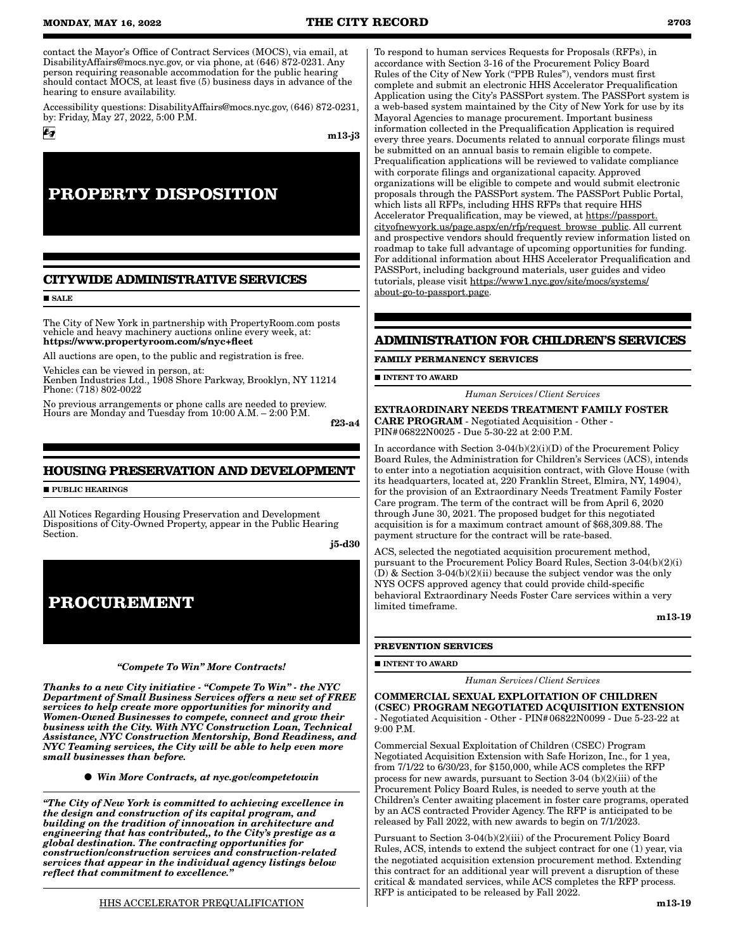contact the Mayor's Office of Contract Services (MOCS), via email, at DisabilityAffairs@mocs.nyc.gov, or via phone, at (646) 872-0231. Any person requiring reasonable accommodation for the public hearing should contact MOCS, at least five  $(5)$  business days in advance of the hearing to ensure availability.

Accessibility questions: DisabilityAffairs@mocs.nyc.gov, (646) 872-0231, by: Friday, May 27, 2022, 5:00 P.M.

m13-j3

# **PROPERTY DISPOSITION**

# **CITYWIDE ADMINISTRATIVE SERVICES**

**SALE** 

 $6g$ 

The City of New York in partnership with PropertyRoom.com posts vehicle and heavy machinery auctions online every week, at: https://www.propertyroom.com/s/nyc+fleet

All auctions are open, to the public and registration is free.

Vehicles can be viewed in person, at: Kenben Industries Ltd., 1908 Shore Parkway, Brooklyn, NY 11214 Phone: (718) 802-0022

No previous arrangements or phone calls are needed to preview. Hours are Monday and Tuesday from 10:00 A.M. – 2:00 P.M.

f23-a4

# **HOUSING PRESERVATION AND DEVELOPMENT**

**PUBLIC HEARINGS** 

All Notices Regarding Housing Preservation and Development Dispositions of City-Owned Property, appear in the Public Hearing Section.

j5-d30



#### *"Compete To Win" More Contracts!*

*Thanks to a new City initiative - "Compete To Win" - the NYC Department of Small Business Services offers a new set of FREE services to help create more opportunities for minority and Women-Owned Businesses to compete, connect and grow their business with the City. With NYC Construction Loan, Technical Assistance, NYC Construction Mentorship, Bond Readiness, and NYC Teaming services, the City will be able to help even more small businesses than before.*

*Win More Contracts, at nyc.gov/competetowin*

*"The City of New York is committed to achieving excellence in the design and construction of its capital program, and building on the tradition of innovation in architecture and engineering that has contributed,, to the City's prestige as a global destination. The contracting opportunities for construction/construction services and construction-related services that appear in the individual agency listings below reflect that commitment to excellence."*

To respond to human services Requests for Proposals (RFPs), in accordance with Section 3-16 of the Procurement Policy Board Rules of the City of New York ("PPB Rules"), vendors must first complete and submit an electronic HHS Accelerator Prequalification Application using the City's PASSPort system. The PASSPort system is a web-based system maintained by the City of New York for use by its Mayoral Agencies to manage procurement. Important business information collected in the Prequalification Application is required every three years. Documents related to annual corporate filings must be submitted on an annual basis to remain eligible to compete. Prequalification applications will be reviewed to validate compliance with corporate filings and organizational capacity. Approved organizations will be eligible to compete and would submit electronic proposals through the PASSPort system. The PASSPort Public Portal, which lists all RFPs, including HHS RFPs that require HHS Accelerator Prequalification, may be viewed, at https://passport. cityofnewyork.us/page.aspx/en/rfp/request\_browse\_public. All current and prospective vendors should frequently review information listed on roadmap to take full advantage of upcoming opportunities for funding. For additional information about HHS Accelerator Prequalification and PASSPort, including background materials, user guides and video tutorials, please visit https://www1.nyc.gov/site/mocs/systems/ about-go-to-passport.page.

# **ADMINISTRATION FOR CHILDREN'S SERVICES**

#### **FAMILY PERMANENCY SERVICES**

**INTENT TO AWARD** 

*Human Services/Client Services*

EXTRAORDINARY NEEDS TREATMENT FAMILY FOSTER CARE PROGRAM - Negotiated Acquisition - Other - PIN#06822N0025 - Due 5-30-22 at 2:00 P.M.

In accordance with Section 3-04(b)(2)(i)(D) of the Procurement Policy Board Rules, the Administration for Children's Services (ACS), intends to enter into a negotiation acquisition contract, with Glove House (with its headquarters, located at, 220 Franklin Street, Elmira, NY, 14904), for the provision of an Extraordinary Needs Treatment Family Foster Care program. The term of the contract will be from April 6, 2020 through June 30, 2021. The proposed budget for this negotiated acquisition is for a maximum contract amount of \$68,309.88. The payment structure for the contract will be rate-based.

ACS, selected the negotiated acquisition procurement method, pursuant to the Procurement Policy Board Rules, Section 3-04(b)(2)(i)  $(D)$  & Section 3-04(b)(2)(ii) because the subject vendor was the only NYS OCFS approved agency that could provide child-specific behavioral Extraordinary Needs Foster Care services within a very limited timeframe.

m13-19

#### **PREVENTION SERVICES**

**INTENT TO AWARD** 

*Human Services/Client Services*

COMMERCIAL SEXUAL EXPLOITATION OF CHILDREN (CSEC) PROGRAM NEGOTIATED ACQUISITION EXTENSION - Negotiated Acquisition - Other - PIN#06822N0099 - Due 5-23-22 at 9:00 P.M.

Commercial Sexual Exploitation of Children (CSEC) Program Negotiated Acquisition Extension with Safe Horizon, Inc., for 1 yea, from 7/1/22 to 6/30/23, for \$150,000, while ACS completes the RFP process for new awards, pursuant to Section 3-04 (b)(2)(iii) of the Procurement Policy Board Rules, is needed to serve youth at the Children's Center awaiting placement in foster care programs, operated by an ACS contracted Provider Agency. The RFP is anticipated to be released by Fall 2022, with new awards to begin on 7/1/2023.

Pursuant to Section 3-04(b)(2)(iii) of the Procurement Policy Board Rules, ACS, intends to extend the subject contract for one (1) year, via the negotiated acquisition extension procurement method. Extending this contract for an additional year will prevent a disruption of these critical & mandated services, while ACS completes the RFP process. RFP is anticipated to be released by Fall 2022.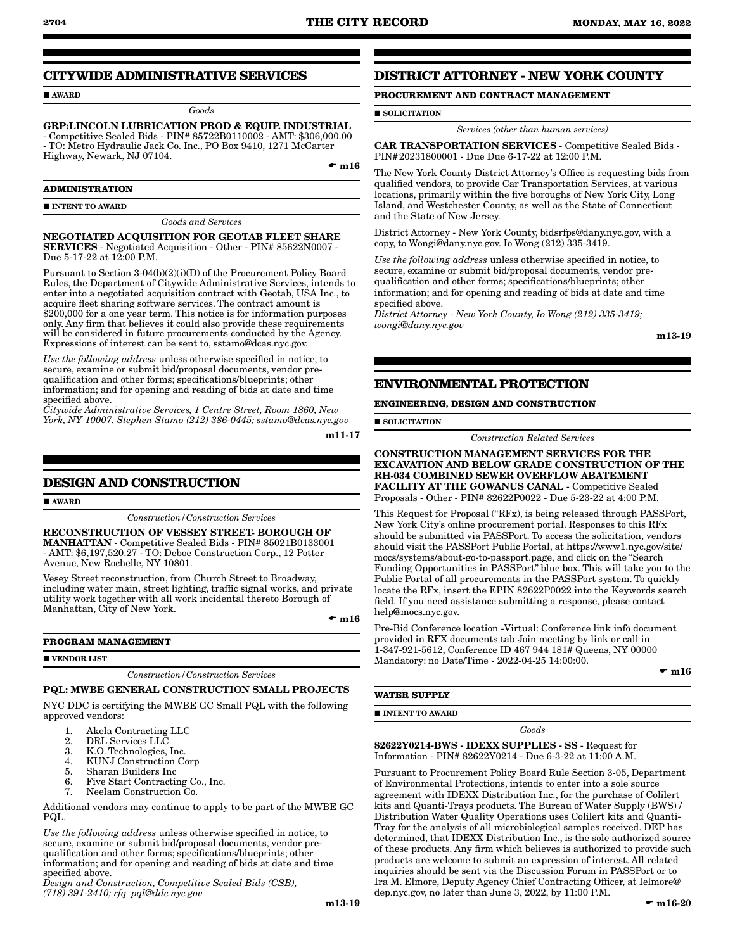# **CITYWIDE ADMINISTRATIVE SERVICES**

AWARD

*Goods*

GRP:LINCOLN LUBRICATION PROD & EQUIP. INDUSTRIAL - Competitive Sealed Bids - PIN# 85722B0110002 - AMT: \$306,000.00 - TO: Metro Hydraulic Jack Co. Inc., PO Box 9410, 1271 McCarter Highway, Newark, NJ 07104.

 $\bullet$  m16

#### **ADMINISTRATION**

**INTENT TO AWARD** 

*Goods and Services*

NEGOTIATED ACQUISITION FOR GEOTAB FLEET SHARE SERVICES - Negotiated Acquisition - Other - PIN# 85622N0007 - Due 5-17-22 at 12:00 P.M.

Pursuant to Section 3-04(b)(2)(i)(D) of the Procurement Policy Board Rules, the Department of Citywide Administrative Services, intends to enter into a negotiated acquisition contract with Geotab, USA Inc., to acquire fleet sharing software services. The contract amount is \$200,000 for a one year term. This notice is for information purposes only. Any firm that believes it could also provide these requirements will be considered in future procurements conducted by the Agency. Expressions of interest can be sent to, sstamo@dcas.nyc.gov.

*Use the following address* unless otherwise specified in notice, to secure, examine or submit bid/proposal documents, vendor prequalification and other forms; specifications/blueprints; other information; and for opening and reading of bids at date and time specified above.

*Citywide Administrative Services, 1 Centre Street, Room 1860, New York, NY 10007. Stephen Stamo (212) 386-0445; sstamo@dcas.nyc.gov*

m11-17

# **DESIGN AND CONSTRUCTION**

**AWARD** 

*Construction/Construction Services*

RECONSTRUCTION OF VESSEY STREET- BOROUGH OF MANHATTAN - Competitive Sealed Bids - PIN# 85021B0133001 - AMT: \$6,197,520.27 - TO: Deboe Construction Corp., 12 Potter Avenue, New Rochelle, NY 10801.

Vesey Street reconstruction, from Church Street to Broadway, including water main, street lighting, traffic signal works, and private utility work together with all work incidental thereto Borough of Manhattan, City of New York.

 $\mathbf{m}16$ 

#### **PROGRAM MANAGEMENT**

#### **VENDOR LIST**

*Construction/Construction Services*

# PQL: MWBE GENERAL CONSTRUCTION SMALL PROJECTS

NYC DDC is certifying the MWBE GC Small PQL with the following approved vendors:

- 1. Akela Contracting LLC<br>2. DRL Services LLC
- 2. DRL Services LLC<br>3. K.O. Technologies.
- 3. K.O. Technologies, Inc.
- 4. KUNJ Construction Corp<br>5. Sharan Builders Inc
- 5. Sharan Builders Inc
- 6. Five Start Contracting Co., Inc.<br>7. Neelam Construction Co.
- 7. Neelam Construction Co.

Additional vendors may continue to apply to be part of the MWBE GC PQL.

*Use the following address* unless otherwise specified in notice, to secure, examine or submit bid/proposal documents, vendor prequalification and other forms; specifications/blueprints; other information; and for opening and reading of bids at date and time specified above.

*Design and Construction, Competitive Sealed Bids (CSB), (718) 391-2410; rfq\_pql@ddc.nyc.gov*

m13-19

# **DISTRICT ATTORNEY - NEW YORK COUNTY**

# **PROCUREMENT AND CONTRACT MANAGEMENT**

**SOLICITATION** 

*Services (other than human services)*

CAR TRANSPORTATION SERVICES - Competitive Sealed Bids - PIN#20231800001 - Due Due 6-17-22 at 12:00 P.M.

The New York County District Attorney's Office is requesting bids from qualified vendors, to provide Car Transportation Services, at various locations, primarily within the five boroughs of New York City, Long Island, and Westchester County, as well as the State of Connecticut and the State of New Jersey.

District Attorney - New York County, bidsrfps@dany.nyc.gov, with a copy, to Wongi@dany.nyc.gov. Io Wong (212) 335-3419.

*Use the following address* unless otherwise specified in notice, to secure, examine or submit bid/proposal documents, vendor prequalification and other forms; specifications/blueprints; other information; and for opening and reading of bids at date and time specified above.

*District Attorney - New York County, Io Wong (212) 335-3419; wongi@dany.nyc.gov*

m13-19

# **ENVIRONMENTAL PROTECTION**

## **ENGINEERING, DESIGN AND CONSTRUCTION**

**SOLICITATION** 

*Construction Related Services*

CONSTRUCTION MANAGEMENT SERVICES FOR THE EXCAVATION AND BELOW GRADE CONSTRUCTION OF THE RH-034 COMBINED SEWER OVERFLOW ABATEMENT FACILITY AT THE GOWANUS CANAL - Competitive Sealed Proposals - Other - PIN# 82622P0022 - Due 5-23-22 at 4:00 P.M.

This Request for Proposal ("RFx), is being released through PASSPort, New York City's online procurement portal. Responses to this RFx should be submitted via PASSPort. To access the solicitation, vendors should visit the PASSPort Public Portal, at https://www1.nyc.gov/site/ mocs/systems/about-go-to-passport.page, and click on the "Search Funding Opportunities in PASSPort" blue box. This will take you to the Public Portal of all procurements in the PASSPort system. To quickly locate the RFx, insert the EPIN 82622P0022 into the Keywords search field. If you need assistance submitting a response, please contact help@mocs.nyc.gov.

Pre-Bid Conference location -Virtual: Conference link info document provided in RFX documents tab Join meeting by link or call in 1-347-921-5612, Conference ID 467 944 181# Queens, NY 00000 Mandatory: no Date/Time - 2022-04-25 14:00:00.

 $- m16$ 

### **WATER SUPPLY**

**INTENT TO AWARD** 

#### *Goods*

82622Y0214-BWS - IDEXX SUPPLIES - SS - Request for Information - PIN# 82622Y0214 - Due 6-3-22 at 11:00 A.M.

Pursuant to Procurement Policy Board Rule Section 3-05, Department of Environmental Protections, intends to enter into a sole source agreement with IDEXX Distribution Inc., for the purchase of Colilert kits and Quanti-Trays products. The Bureau of Water Supply (BWS) / Distribution Water Quality Operations uses Colilert kits and Quanti-Tray for the analysis of all microbiological samples received. DEP has determined, that IDEXX Distribution Inc., is the sole authorized source of these products. Any firm which believes is authorized to provide such products are welcome to submit an expression of interest. All related inquiries should be sent via the Discussion Forum in PASSPort or to Ira M. Elmore, Deputy Agency Chief Contracting Officer, at Ielmore@ dep.nyc.gov, no later than June 3, 2022, by 11:00 P.M.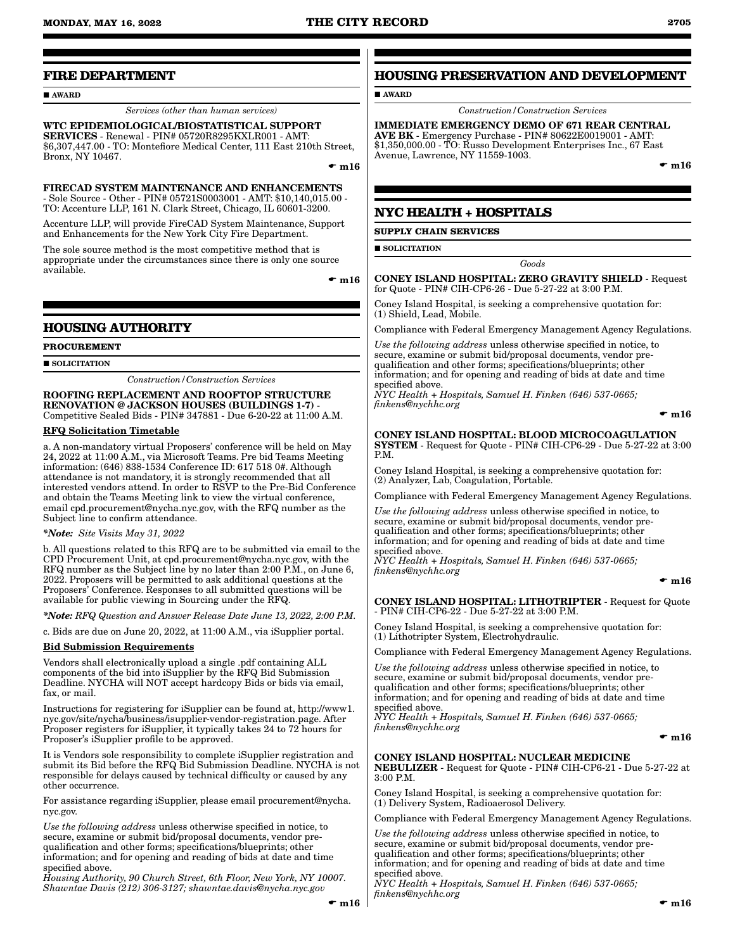# **FIRE DEPARTMENT**

#### AWARD

# *Services (other than human services)*

WTC EPIDEMIOLOGICAL/BIOSTATISTICAL SUPPORT SERVICES - Renewal - PIN# 05720R8295KXLR001 - AMT: \$6,307,447.00 - TO: Montefiore Medical Center, 111 East 210th Street, Bronx, NY 10467.

 $\bullet$  m16

FIRECAD SYSTEM MAINTENANCE AND ENHANCEMENTS - Sole Source - Other - PIN# 05721S0003001 - AMT: \$10,140,015.00 - TO: Accenture LLP, 161 N. Clark Street, Chicago, IL 60601-3200.

Accenture LLP, will provide FireCAD System Maintenance, Support and Enhancements for the New York City Fire Department.

The sole source method is the most competitive method that is appropriate under the circumstances since there is only one source available.

 $\bullet$  m16

# **HOUSING AUTHORITY**

**PROCUREMENT**

**SOLICITATION** 

*Construction/Construction Services*

ROOFING REPLACEMENT AND ROOFTOP STRUCTURE RENOVATION @ JACKSON HOUSES (BUILDINGS 1-7) - Competitive Sealed Bids - PIN# 347881 - Due 6-20-22 at 11:00 A.M.

#### RFQ Solicitation Timetable

a. A non-mandatory virtual Proposers' conference will be held on May 24, 2022 at 11:00 A.M., via Microsoft Teams. Pre bid Teams Meeting information: (646) 838-1534 Conference ID: 617 518 0#. Although attendance is not mandatory, it is strongly recommended that all interested vendors attend. In order to RSVP to the Pre-Bid Conference and obtain the Teams Meeting link to view the virtual conference, email cpd.procurement@nycha.nyc.gov, with the RFQ number as the Subject line to confirm attendance.

*\*Note: Site Visits May 31, 2022*

b. All questions related to this RFQ are to be submitted via email to the CPD Procurement Unit, at cpd.procurement@nycha.nyc.gov, with the RFQ number as the Subject line by no later than 2:00 P.M., on June 6, 2022. Proposers will be permitted to ask additional questions at the Proposers' Conference. Responses to all submitted questions will be available for public viewing in Sourcing under the RFQ.

*\*Note: RFQ Question and Answer Release Date June 13, 2022, 2:00 P.M.*

c. Bids are due on June 20, 2022, at 11:00 A.M., via iSupplier portal.

#### Bid Submission Requirements

Vendors shall electronically upload a single .pdf containing ALL components of the bid into iSupplier by the RFQ Bid Submission Deadline. NYCHA will NOT accept hardcopy Bids or bids via email, fax, or mail.

Instructions for registering for iSupplier can be found at, http://www1. nyc.gov/site/nycha/business/isupplier-vendor-registration.page. After Proposer registers for iSupplier, it typically takes 24 to 72 hours for Proposer's iSupplier profile to be approved.

It is Vendors sole responsibility to complete iSupplier registration and submit its Bid before the RFQ Bid Submission Deadline. NYCHA is not responsible for delays caused by technical difficulty or caused by any other occurrence.

For assistance regarding iSupplier, please email procurement@nycha. nyc.gov.

*Use the following address* unless otherwise specified in notice, to secure, examine or submit bid/proposal documents, vendor prequalification and other forms; specifications/blueprints; other information; and for opening and reading of bids at date and time specified above.

*Housing Authority, 90 Church Street, 6th Floor, New York, NY 10007. Shawntae Davis (212) 306-3127; shawntae.davis@nycha.nyc.gov*

# **HOUSING PRESERVATION AND DEVELOPMENT**

**AWARD** 

*Construction/Construction Services*

IMMEDIATE EMERGENCY DEMO OF 671 REAR CENTRAL AVE BK - Emergency Purchase - PIN# 80622E0019001 - AMT: \$1,350,000.00 - TO: Russo Development Enterprises Inc., 67 East Avenue, Lawrence, NY 11559-1003.

 $\bullet$  m16

# **NYC HEALTH + HOSPITALS**

**SUPPLY CHAIN SERVICES**

**SOLICITATION** 

*Goods*

CONEY ISLAND HOSPITAL: ZERO GRAVITY SHIELD - Request for Quote - PIN# CIH-CP6-26 - Due 5-27-22 at 3:00 P.M.

Coney Island Hospital, is seeking a comprehensive quotation for: (1) Shield, Lead, Mobile.

Compliance with Federal Emergency Management Agency Regulations.

*Use the following address* unless otherwise specified in notice, to secure, examine or submit bid/proposal documents, vendor prequalification and other forms; specifications/blueprints; other information; and for opening and reading of bids at date and time specified above.

*NYC Health + Hospitals, Samuel H. Finken (646) 537-0665; finkens@nychhc.org*

 $\bullet$  m16

#### CONEY ISLAND HOSPITAL: BLOOD MICROCOAGULATION SYSTEM - Request for Quote - PIN# CIH-CP6-29 - Due 5-27-22 at 3:00 P.M.

Coney Island Hospital, is seeking a comprehensive quotation for: (2) Analyzer, Lab, Coagulation, Portable.

Compliance with Federal Emergency Management Agency Regulations.

*Use the following address* unless otherwise specified in notice, to secure, examine or submit bid/proposal documents, vendor prequalification and other forms; specifications/blueprints; other information; and for opening and reading of bids at date and time specified above.

*NYC Health + Hospitals, Samuel H. Finken (646) 537-0665; finkens@nychhc.org*

 $- m16$ 

CONEY ISLAND HOSPITAL: LITHOTRIPTER - Request for Quote - PIN# CIH-CP6-22 - Due 5-27-22 at 3:00 P.M.

Coney Island Hospital, is seeking a comprehensive quotation for: (1) Lithotripter System, Electrohydraulic.

Compliance with Federal Emergency Management Agency Regulations.

*Use the following address* unless otherwise specified in notice, to secure, examine or submit bid/proposal documents, vendor pre-

qualification and other forms; specifications/blueprints; other information; and for opening and reading of bids at date and time specified above.

*NYC Health + Hospitals, Samuel H. Finken (646) 537-0665; finkens@nychhc.org*

 $\bullet$  m16

CONEY ISLAND HOSPITAL: NUCLEAR MEDICINE NEBULIZER - Request for Quote - PIN# CIH-CP6-21 - Due 5-27-22 at 3:00 P.M.

Coney Island Hospital, is seeking a comprehensive quotation for: (1) Delivery System, Radioaerosol Delivery.

Compliance with Federal Emergency Management Agency Regulations.

*Use the following address* unless otherwise specified in notice, to secure, examine or submit bid/proposal documents, vendor prequalification and other forms; specifications/blueprints; other information; and for opening and reading of bids at date and time specified above. *NYC Health + Hospitals, Samuel H. Finken (646) 537-0665;* 

*finkens@nychhc.org*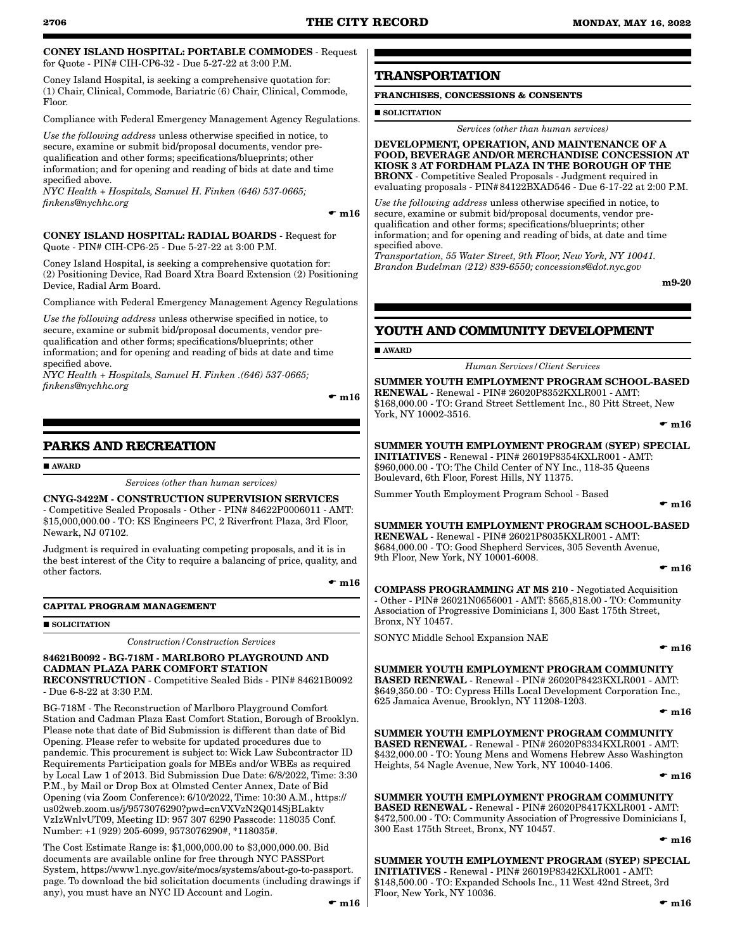#### CONEY ISLAND HOSPITAL: PORTABLE COMMODES - Request for Quote - PIN# CIH-CP6-32 - Due 5-27-22 at 3:00 P.M.

Coney Island Hospital, is seeking a comprehensive quotation for: (1) Chair, Clinical, Commode, Bariatric (6) Chair, Clinical, Commode, Floor.

Compliance with Federal Emergency Management Agency Regulations.

*Use the following address* unless otherwise specified in notice, to secure, examine or submit bid/proposal documents, vendor prequalification and other forms; specifications/blueprints; other information; and for opening and reading of bids at date and time specified above.

*NYC Health + Hospitals, Samuel H. Finken (646) 537-0665; finkens@nychhc.org*

 $- m16$ 

CONEY ISLAND HOSPITAL: RADIAL BOARDS - Request for Quote - PIN# CIH-CP6-25 - Due 5-27-22 at 3:00 P.M.

Coney Island Hospital, is seeking a comprehensive quotation for: (2) Positioning Device, Rad Board Xtra Board Extension (2) Positioning Device, Radial Arm Board.

Compliance with Federal Emergency Management Agency Regulations

*Use the following address* unless otherwise specified in notice, to secure, examine or submit bid/proposal documents, vendor prequalification and other forms; specifications/blueprints; other information; and for opening and reading of bids at date and time specified above.

*NYC Health + Hospitals, Samuel H. Finken .(646) 537-0665; finkens@nychhc.org*

 $\bullet$  m16

# **PARKS AND RECREATION**

**AWARD** 

*Services (other than human services)*

CNYG-3422M - CONSTRUCTION SUPERVISION SERVICES - Competitive Sealed Proposals - Other - PIN# 84622P0006011 - AMT: \$15,000,000.00 - TO: KS Engineers PC, 2 Riverfront Plaza, 3rd Floor, Newark, NJ 07102.

Judgment is required in evaluating competing proposals, and it is in the best interest of the City to require a balancing of price, quality, and other factors.

 $\bullet$  m16

#### **CAPITAL PROGRAM MANAGEMENT**

#### **SOLICITATION**

*Construction/Construction Services*

#### 84621B0092 - BG-718M - MARLBORO PLAYGROUND AND CADMAN PLAZA PARK COMFORT STATION RECONSTRUCTION - Competitive Sealed Bids - PIN# 84621B0092 - Due 6-8-22 at 3:30 P.M.

BG-718M - The Reconstruction of Marlboro Playground Comfort Station and Cadman Plaza East Comfort Station, Borough of Brooklyn. Please note that date of Bid Submission is different than date of Bid Opening. Please refer to website for updated procedures due to pandemic. This procurement is subject to: Wick Law Subcontractor ID Requirements Participation goals for MBEs and/or WBEs as required by Local Law 1 of 2013. Bid Submission Due Date: 6/8/2022, Time: 3:30 P.M., by Mail or Drop Box at Olmsted Center Annex, Date of Bid Opening (via Zoom Conference): 6/10/2022, Time: 10:30 A.M., https:// us02web.zoom.us/j/9573076290?pwd=cnVXVzN2Q014SjBLaktv VzIzWnlvUT09, Meeting ID: 957 307 6290 Passcode: 118035 Conf. Number: +1 (929) 205-6099, 9573076290#, \*118035#.

The Cost Estimate Range is: \$1,000,000.00 to \$3,000,000.00. Bid documents are available online for free through NYC PASSPort System, https://www1.nyc.gov/site/mocs/systems/about-go-to-passport. page. To download the bid solicitation documents (including drawings if any), you must have an NYC ID Account and Login.

# **TRANSPORTATION**

# **FRANCHISES, CONCESSIONS & CONSENTS**

**SOLICITATION** 

*Services (other than human services)*

DEVELOPMENT, OPERATION, AND MAINTENANCE OF A FOOD, BEVERAGE AND/OR MERCHANDISE CONCESSION AT KIOSK 3 AT FORDHAM PLAZA IN THE BOROUGH OF THE BRONX - Competitive Sealed Proposals - Judgment required in evaluating proposals - PIN#84122BXAD546 - Due 6-17-22 at 2:00 P.M.

*Use the following address* unless otherwise specified in notice, to secure, examine or submit bid/proposal documents, vendor prequalification and other forms; specifications/blueprints; other information; and for opening and reading of bids, at date and time specified above.

*Transportation, 55 Water Street, 9th Floor, New York, NY 10041. Brandon Budelman (212) 839-6550; concessions@dot.nyc.gov*

m9-20

# **YOUTH AND COMMUNITY DEVELOPMENT**

#### **AWARD**

*Human Services/Client Services*

SUMMER YOUTH EMPLOYMENT PROGRAM SCHOOL-BASED RENEWAL - Renewal - PIN# 26020P8352KXLR001 - AMT: \$168,000.00 - TO: Grand Street Settlement Inc., 80 Pitt Street, New York, NY 10002-3516.

 $\bullet$  m16

SUMMER YOUTH EMPLOYMENT PROGRAM (SYEP) SPECIAL INITIATIVES - Renewal - PIN# 26019P8354KXLR001 - AMT: \$960,000.00 - TO: The Child Center of NY Inc., 118-35 Queens Boulevard, 6th Floor, Forest Hills, NY 11375.

Summer Youth Employment Program School - Based

 $\bullet$  m16

SUMMER YOUTH EMPLOYMENT PROGRAM SCHOOL-BASED RENEWAL - Renewal - PIN# 26021P8035KXLR001 - AMT: \$684,000.00 - TO: Good Shepherd Services, 305 Seventh Avenue, 9th Floor, New York, NY 10001-6008.

 $\bullet$  m16

COMPASS PROGRAMMING AT MS 210 - Negotiated Acquisition - Other - PIN# 26021N0656001 - AMT: \$565,818.00 - TO: Community Association of Progressive Dominicians I, 300 East 175th Street, Bronx, NY 10457.

SONYC Middle School Expansion NAE

 $\bullet$  m16

# SUMMER YOUTH EMPLOYMENT PROGRAM COMMUNITY

BASED RENEWAL - Renewal - PIN# 26020P8423KXLR001 - AMT: \$649,350.00 - TO: Cypress Hills Local Development Corporation Inc., 625 Jamaica Avenue, Brooklyn, NY 11208-1203.

 $\bullet$  m16

SUMMER YOUTH EMPLOYMENT PROGRAM COMMUNITY BASED RENEWAL - Renewal - PIN# 26020P8334KXLR001 - AMT: \$432,000.00 - TO: Young Mens and Womens Hebrew Asso Washington Heights, 54 Nagle Avenue, New York, NY 10040-1406.

 $\bullet$  m16

SUMMER YOUTH EMPLOYMENT PROGRAM COMMUNITY BASED RENEWAL - Renewal - PIN# 26020P8417KXLR001 - AMT: \$472,500.00 - TO: Community Association of Progressive Dominicians I, 300 East 175th Street, Bronx, NY 10457.

 $\bullet$  m16

SUMMER YOUTH EMPLOYMENT PROGRAM (SYEP) SPECIAL INITIATIVES - Renewal - PIN# 26019P8342KXLR001 - AMT: \$148,500.00 - TO: Expanded Schools Inc., 11 West 42nd Street, 3rd Floor, New York, NY 10036.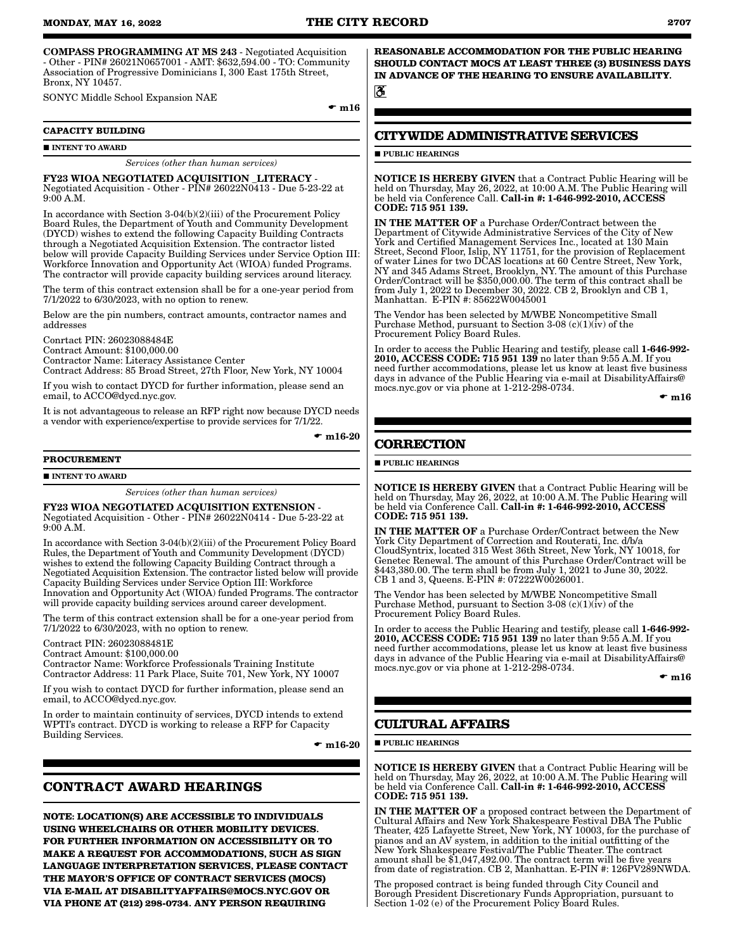COMPASS PROGRAMMING AT MS 243 - Negotiated Acquisition - Other - PIN# 26021N0657001 - AMT: \$632,594.00 - TO: Community Association of Progressive Dominicians I, 300 East 175th Street, Bronx, NY 10457.

SONYC Middle School Expansion NAE

 $\bullet$  m16

#### **CAPACITY BUILDING**

**INTENT TO AWARD** 

#### *Services (other than human services)*

FY23 WIOA NEGOTIATED ACQUISITION \_LITERACY - Negotiated Acquisition - Other - PIN# 26022N0413 - Due 5-23-22 at 9:00 A.M.

In accordance with Section 3-04(b)(2)(iii) of the Procurement Policy Board Rules, the Department of Youth and Community Development (DYCD) wishes to extend the following Capacity Building Contracts through a Negotiated Acquisition Extension. The contractor listed below will provide Capacity Building Services under Service Option III: Workforce Innovation and Opportunity Act (WIOA) funded Programs. The contractor will provide capacity building services around literacy.

The term of this contract extension shall be for a one-year period from 7/1/2022 to 6/30/2023, with no option to renew.

Below are the pin numbers, contract amounts, contractor names and addresses

Conrtact PIN: 26023088484E Contract Amount: \$100,000.00 Contractor Name: Literacy Assistance Center Contract Address: 85 Broad Street, 27th Floor, New York, NY 10004

If you wish to contact DYCD for further information, please send an email, to ACCO@dycd.nyc.gov.

It is not advantageous to release an RFP right now because DYCD needs a vendor with experience/expertise to provide services for 7/1/22.

 $\bullet$  m16-20

#### **PROCUREMENT**

**INTENT TO AWARD** 

#### *Services (other than human services)*

FY23 WIOA NEGOTIATED ACQUISITION EXTENSION -

Negotiated Acquisition - Other - PIN# 26022N0414 - Due 5-23-22 at 9:00 A.M.

In accordance with Section 3-04(b)(2)(iii) of the Procurement Policy Board Rules, the Department of Youth and Community Development (DYCD) wishes to extend the following Capacity Building Contract through a Negotiated Acquisition Extension. The contractor listed below will provide Capacity Building Services under Service Option III: Workforce Innovation and Opportunity Act (WIOA) funded Programs. The contractor will provide capacity building services around career development.

The term of this contract extension shall be for a one-year period from 7/1/2022 to 6/30/2023, with no option to renew.

Contract PIN: 26023088481E

Contract Amount: \$100,000.00

Contractor Name: Workforce Professionals Training Institute Contractor Address: 11 Park Place, Suite 701, New York, NY 10007

If you wish to contact DYCD for further information, please send an email, to ACCO@dycd.nyc.gov.

In order to maintain continuity of services, DYCD intends to extend WPTI's contract. DYCD is working to release a RFP for Capacity Building Services.

 $\bullet$  m16-20

# **CONTRACT AWARD HEARINGS**

**NOTE: LOCATION(S) ARE ACCESSIBLE TO INDIVIDUALS USING WHEELCHAIRS OR OTHER MOBILITY DEVICES. FOR FURTHER INFORMATION ON ACCESSIBILITY OR TO MAKE A REQUEST FOR ACCOMMODATIONS, SUCH AS SIGN LANGUAGE INTERPRETATION SERVICES, PLEASE CONTACT THE MAYOR'S OFFICE OF CONTRACT SERVICES (MOCS) VIA E-MAIL AT DISABILITYAFFAIRS@MOCS.NYC.GOV OR VIA PHONE AT (212) 298-0734. ANY PERSON REQUIRING** 

**REASONABLE ACCOMMODATION FOR THE PUBLIC HEARING SHOULD CONTACT MOCS AT LEAST THREE (3) BUSINESS DAYS IN ADVANCE OF THE HEARING TO ENSURE AVAILABILITY.** ैं

# **CITYWIDE ADMINISTRATIVE SERVICES**

## **PUBLIC HEARINGS**

NOTICE IS HEREBY GIVEN that a Contract Public Hearing will be held on Thursday, May 26, 2022, at 10:00 A.M. The Public Hearing will<br>be held via Conference Call. **Call-in #: 1-646-992-2010, ACCESS** CODE: 715 951 139.

IN THE MATTER OF a Purchase Order/Contract between the Department of Citywide Administrative Services of the City of New York and Certified Management Services Inc., located at 130 Main Street, Second Floor, Islip, NY 11751, for the provision of Replacement of water Lines for two DCAS locations at 60 Centre Street, New York, NY and 345 Adams Street, Brooklyn, NY. The amount of this Purchase Order/Contract will be \$350,000.00. The term of this contract shall be from July 1, 2022 to December 30, 2022. CB 2, Brooklyn and CB 1, Manhattan. E-PIN #: 85622W0045001

The Vendor has been selected by M/WBE Noncompetitive Small Purchase Method, pursuant to Section 3-08 (c)(1)(iv) of the Procurement Policy Board Rules.

In order to access the Public Hearing and testify, please call 1-646-992-2010, ACCESS CODE: 715 951 139 no later than 9:55 A.M. If you need further accommodations, please let us know at least five business days in advance of the Public Hearing via e-mail at DisabilityAffairs@ mocs.nyc.gov or via phone at 1-212-298-0734.

 $\bullet$  m16

# **CORRECTION**

 $\blacksquare$ PUBLIC HEARINGS

NOTICE IS HEREBY GIVEN that a Contract Public Hearing will be held on Thursday, May 26, 2022, at 10:00 A.M. The Public Hearing will be held via Conference Call. Call-in #: 1-646-992-2010, ACCESS CODE: 715 951 139.

IN THE MATTER OF a Purchase Order/Contract between the New York City Department of Correction and Routerati, Inc. d/b/a CloudSyntrix, located 315 West 36th Street, New York, NY 10018, for Genetec Renewal. The amount of this Purchase Order/Contract will be \$443,380.00. The term shall be from July 1, 2021 to June 30, 2022. CB 1 and 3, Queens. E-PIN #: 07222W0026001.

The Vendor has been selected by M/WBE Noncompetitive Small Purchase Method, pursuant to Section 3-08 (c)(1)(iv) of the Procurement Policy Board Rules.

In order to access the Public Hearing and testify, please call 1-646-992- 2010, ACCESS CODE: 715 951 139 no later than 9:55 A.M. If you need further accommodations, please let us know at least five business days in advance of the Public Hearing via e-mail at DisabilityAffairs@ mocs.nyc.gov or via phone at 1-212-298-0734.

 $\mathbf{m}16$ 

## **CULTURAL AFFAIRS**

**PUBLIC HEARINGS** 

NOTICE IS HEREBY GIVEN that a Contract Public Hearing will be held on Thursday, May 26, 2022, at 10:00 A.M. The Public Hearing will<br>be held via Conference Call. **Call-in #: 1-646-992-2010, ACCESS** CODE: 715 951 139.

IN THE MATTER OF a proposed contract between the Department of Cultural Affairs and New York Shakespeare Festival DBA The Public Theater, 425 Lafayette Street, New York, NY 10003, for the purchase of pianos and an AV system, in addition to the initial outfitting of the New York Shakespeare Festival/The Public Theater. The contract amount shall be \$1,047,492.00. The contract term will be five years from date of registration. CB 2, Manhattan. E-PIN #: 126PV289NWDA.

The proposed contract is being funded through City Council and Borough President Discretionary Funds Appropriation, pursuant to Section 1-02 (e) of the Procurement Policy Board Rules.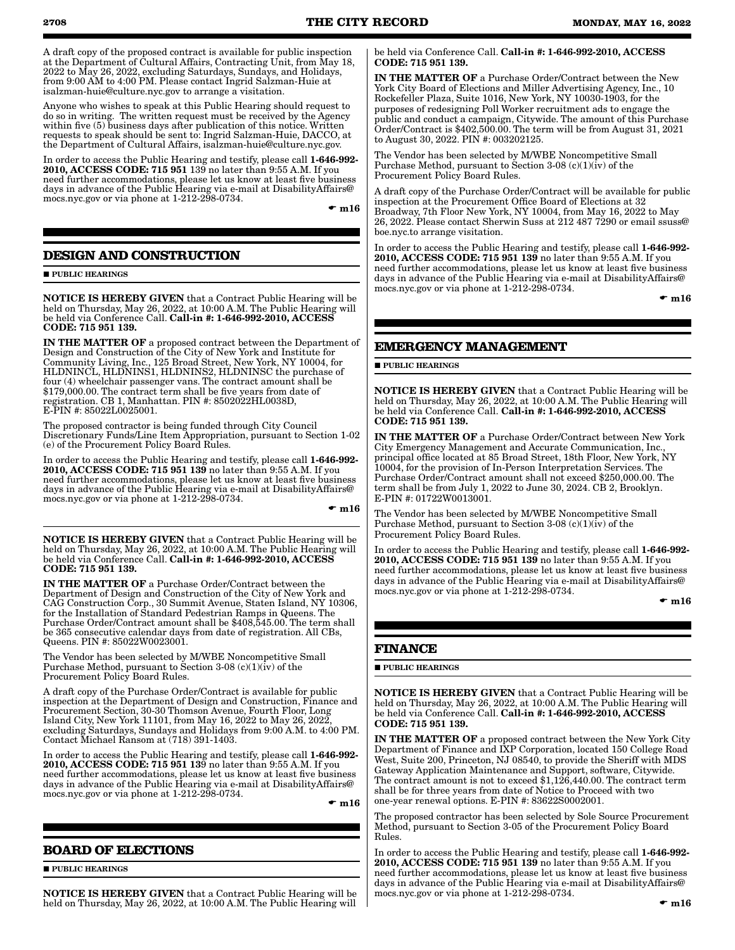A draft copy of the proposed contract is available for public inspection at the Department of Cultural Affairs, Contracting Unit, from May 18, 2022 to May 26, 2022, excluding Saturdays, Sundays, and Holidays, from 9:00 AM to 4:00 PM. Please contact Ingrid Salzman-Huie at isalzman-huie@culture.nyc.gov to arrange a visitation.

Anyone who wishes to speak at this Public Hearing should request to do so in writing. The written request must be received by the Agency within five (5) business days after publication of this notice. Written requests to speak should be sent to: Ingrid Salzman-Huie, DACCO, at the Department of Cultural Affairs, isalzman-huie@culture.nyc.gov.

In order to access the Public Hearing and testify, please call 1-646-992- 2010, ACCESS CODE: 715 951 139 no later than 9:55 A.M. If you need further accommodations, please let us know at least five business days in advance of the Public Hearing via e-mail at DisabilityAffairs@ mocs.nyc.gov or via phone at 1-212-298-0734.

 $\bullet$  m16

# **DESIGN AND CONSTRUCTION**

**PUBLIC HEARINGS** 

NOTICE IS HEREBY GIVEN that a Contract Public Hearing will be held on Thursday, May 26, 2022, at 10:00 A.M. The Public Hearing will be held via Conference Call. Call-in #: 1-646-992-2010, ACCESS CODE: 715 951 139.

IN THE MATTER OF a proposed contract between the Department of Design and Construction of the City of New York and Institute for Community Living, Inc., 125 Broad Street, New York, NY 10004, for HLDNINCL, HLDNINS1, HLDNINS2, HLDNINSC the purchase of four (4) wheelchair passenger vans. The contract amount shall be \$179,000.00. The contract term shall be five years from date of registration. CB 1, Manhattan. PIN #: 8502022HL0038D, E-PIN #: 85022L0025001.

The proposed contractor is being funded through City Council Discretionary Funds/Line Item Appropriation, pursuant to Section 1-02 (e) of the Procurement Policy Board Rules.

In order to access the Public Hearing and testify, please call 1-646-992- 2010, ACCESS CODE: 715 951 139 no later than 9:55 A.M. If you need further accommodations, please let us know at least five business days in advance of the Public Hearing via e-mail at DisabilityAffairs@ mocs.nyc.gov or via phone at 1-212-298-0734.

 $\bullet$  m16

NOTICE IS HEREBY GIVEN that a Contract Public Hearing will be held on Thursday, May 26, 2022, at 10:00 A.M. The Public Hearing will be held via Conference Call. Call-in #: 1-646-992-2010, ACCESS CODE: 715 951 139.

IN THE MATTER OF a Purchase Order/Contract between the Department of Design and Construction of the City of New York and CAG Construction Corp., 30 Summit Avenue, Staten Island, NY 10306, for the Installation of Standard Pedestrian Ramps in Queens. The Purchase Order/Contract amount shall be \$408,545.00. The term shall be 365 consecutive calendar days from date of registration. All CBs, Queens. PIN #: 85022W0023001.

The Vendor has been selected by M/WBE Noncompetitive Small Purchase Method, pursuant to Section 3-08  $(c)(1)(iv)$  of the Procurement Policy Board Rules.

A draft copy of the Purchase Order/Contract is available for public inspection at the Department of Design and Construction, Finance and Procurement Section, 30-30 Thomson Avenue, Fourth Floor, Long Island City, New York 11101, from May 16, 2022 to May 26, 2022, excluding Saturdays, Sundays and Holidays from 9:00 A.M. to 4:00 PM. Contact Michael Ransom at (718) 391-1403.

In order to access the Public Hearing and testify, please call 1-646-992- 2010, ACCESS CODE: 715 951 139 no later than 9:55 A.M. If you need further accommodations, please let us know at least five business days in advance of the Public Hearing via e-mail at DisabilityAffairs@ mocs.nyc.gov or via phone at 1-212-298-0734.

 $\bullet$  m16

# **BOARD OF ELECTIONS**

**PUBLIC HEARINGS** 

NOTICE IS HEREBY GIVEN that a Contract Public Hearing will be held on Thursday, May 26, 2022, at 10:00 A.M. The Public Hearing will be held via Conference Call. Call-in #: 1-646-992-2010, ACCESS CODE: 715 951 139.

IN THE MATTER OF a Purchase Order/Contract between the New York City Board of Elections and Miller Advertising Agency, Inc., 10 Rockefeller Plaza, Suite 1016, New York, NY 10030-1903, for the purposes of redesigning Poll Worker recruitment ads to engage the public and conduct a campaign, Citywide. The amount of this Purchase Order/Contract is \$402,500.00. The term will be from August 31, 2021 to August 30, 2022. PIN #: 003202125.

The Vendor has been selected by M/WBE Noncompetitive Small Purchase Method, pursuant to Section 3-08  $(c)(1)(iv)$  of the Procurement Policy Board Rules.

A draft copy of the Purchase Order/Contract will be available for public inspection at the Procurement Office Board of Elections at 32 Broadway, 7th Floor New York, NY 10004, from May 16, 2022 to May 26, 2022. Please contact Sherwin Suss at 212 487 7290 or email ssuss@ boe.nyc.to arrange visitation.

In order to access the Public Hearing and testify, please call 1-646-992-2010, ACCESS CODE: 715 951 139 no later than 9:55 A.M. If you need further accommodations, please let us know at least five business days in advance of the Public Hearing via e-mail at DisabilityAffairs@ mocs.nyc.gov or via phone at 1-212-298-0734.

 $\bullet$  m16

# **EMERGENCY MANAGEMENT**

**PUBLIC HEARINGS** 

NOTICE IS HEREBY GIVEN that a Contract Public Hearing will be held on Thursday, May 26, 2022, at 10:00 A.M. The Public Hearing will be held via Conference Call. Call-in #: 1-646-992-2010, ACCESS CODE: 715 951 139.

IN THE MATTER OF a Purchase Order/Contract between New York City Emergency Management and Accurate Communication, Inc., principal office located at 85 Broad Street, 18th Floor, New York, NY 10004, for the provision of In-Person Interpretation Services. The Purchase Order/Contract amount shall not exceed \$250,000.00. The term shall be from July 1, 2022 to June 30, 2024. CB 2, Brooklyn. E-PIN #: 01722W0013001.

The Vendor has been selected by M/WBE Noncompetitive Small Purchase Method, pursuant to Section 3-08 (c)(1)(iv) of the Procurement Policy Board Rules.

In order to access the Public Hearing and testify, please call 1-646-992- 2010, ACCESS CODE: 715 951 139 no later than 9:55 A.M. If you need further accommodations, please let us know at least five business days in advance of the Public Hearing via e-mail at DisabilityAffairs@ mocs.nyc.gov or via phone at 1-212-298-0734.

 $\mathbf{m}$ 16

## **FINANCE**

 $\blacksquare$ PUBLIC HEARINGS

NOTICE IS HEREBY GIVEN that a Contract Public Hearing will be held on Thursday, May 26, 2022, at 10:00 A.M. The Public Hearing will be held via Conference Call. Call-in #: 1-646-992-2010, ACCESS CODE: 715 951 139.

IN THE MATTER OF a proposed contract between the New York City Department of Finance and IXP Corporation, located 150 College Road West, Suite 200, Princeton, NJ 08540, to provide the Sheriff with MDS Gateway Application Maintenance and Support, software, Citywide. The contract amount is not to exceed \$1,126,440.00. The contract term shall be for three years from date of Notice to Proceed with two one-year renewal options. E-PIN #: 83622S0002001.

The proposed contractor has been selected by Sole Source Procurement Method, pursuant to Section 3-05 of the Procurement Policy Board Rules.

In order to access the Public Hearing and testify, please call 1-646-992- 2010, ACCESS CODE: 715 951 139 no later than 9:55 A.M. If you need further accommodations, please let us know at least five business days in advance of the Public Hearing via e-mail at DisabilityAffairs@ mocs.nyc.gov or via phone at 1-212-298-0734.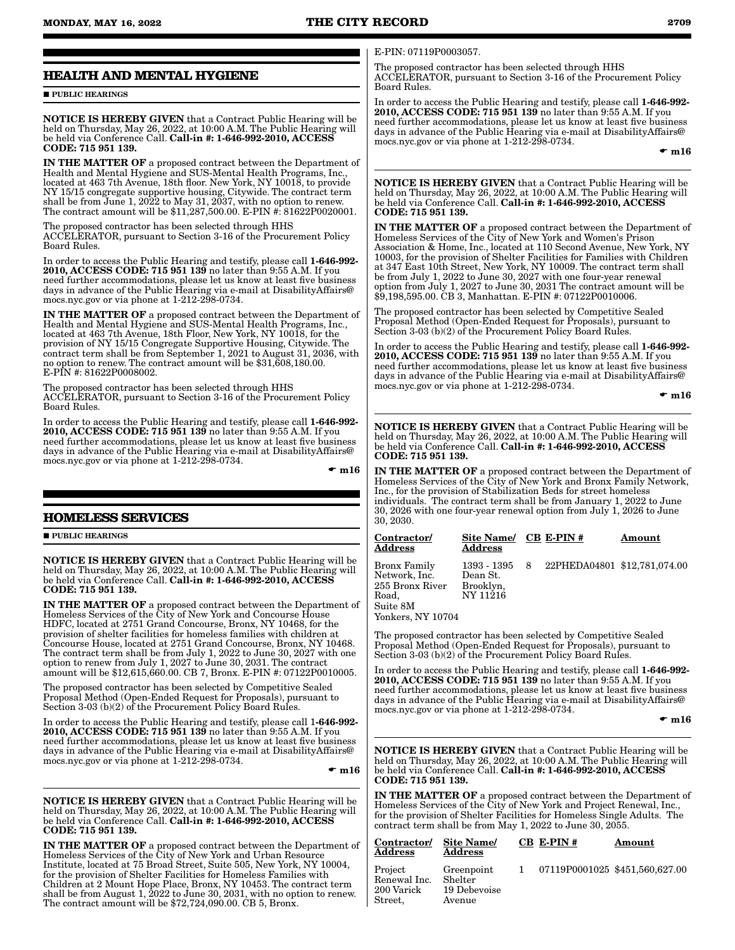# **HEALTH AND MENTAL HYGIENE**

**PUBLIC HEARINGS** 

NOTICE IS HEREBY GIVEN that a Contract Public Hearing will be held on Thursday, May 26, 2022, at 10:00 A.M. The Public Hearing will be held via Conference Call. Call-in #: 1-646-992-2010, ACCESS CODE: 715 951 139.

IN THE MATTER OF a proposed contract between the Department of Health and Mental Hygiene and SUS-Mental Health Programs, Inc., located at 463 7th Avenue, 18th floor. New York, NY 10018, to provide NY 15/15 congregate supportive housing, Citywide. The contract term shall be from June 1, 2022 to May 31, 2037, with no option to renew. The contract amount will be \$11,287,500.00. E-PIN #: 81622P0020001.

The proposed contractor has been selected through HHS ACCELERATOR, pursuant to Section 3-16 of the Procurement Policy Board Rules.

In order to access the Public Hearing and testify, please call 1-646-992- 2010, ACCESS CODE: 715 951 139 no later than 9:55 A.M. If you need further accommodations, please let us know at least five business days in advance of the Public Hearing via e-mail at DisabilityAffairs@ mocs.nyc.gov or via phone at 1-212-298-0734.

IN THE MATTER OF a proposed contract between the Department of Health and Mental Hygiene and SUS-Mental Health Programs, Inc., located at 463 7th Avenue, 18th Floor, New York, NY 10018, for the provision of NY 15/15 Congregate Supportive Housing, Citywide. The contract term shall be from September 1, 2021 to August 31, 2036, with no option to renew. The contract amount will be \$31,608,180.00. E-PIN #: 81622P0008002.

The proposed contractor has been selected through HHS ACCELERATOR, pursuant to Section 3-16 of the Procurement Policy Board Rules.

In order to access the Public Hearing and testify, please call 1-646-992- 2010, ACCESS CODE: 715 951 139 no later than 9:55 A.M. If you need further accommodations, please let us know at least five business days in advance of the Public Hearing via e-mail at DisabilityAffairs@ mocs.nyc.gov or via phone at 1-212-298-0734.

 $\mathbf{m}16$ 

# **HOMELESS SERVICES**

**PUBLIC HEARINGS** 

NOTICE IS HEREBY GIVEN that a Contract Public Hearing will be held on Thursday, May 26, 2022, at 10:00 A.M. The Public Hearing will be held via Conference Call. Call-in #: 1-646-992-2010, ACCESS CODE: 715 951 139.

IN THE MATTER OF a proposed contract between the Department of Homeless Services of the City of New York and Concourse House HDFC, located at 2751 Grand Concourse, Bronx, NY 10468, for the provision of shelter facilities for homeless families with children at Concourse House, located at 2751 Grand Concourse, Bronx, NY 10468. The contract term shall be from July 1, 2022 to June 30, 2027 with one option to renew from July 1, 2027 to June 30, 2031. The contract amount will be \$12,615,660.00. CB 7, Bronx. E-PIN #: 07122P0010005.

The proposed contractor has been selected by Competitive Sealed Proposal Method (Open-Ended Request for Proposals), pursuant to Section 3-03 (b)(2) of the Procurement Policy Board Rules.

In order to access the Public Hearing and testify, please call 1-646-992- 2010, ACCESS CODE: 715 951 139 no later than 9:55 A.M. If you need further accommodations, please let us know at least five business days in advance of the Public Hearing via e-mail at DisabilityAffairs@ mocs.nyc.gov or via phone at 1-212-298-0734.

 $\bullet$  m16

NOTICE IS HEREBY GIVEN that a Contract Public Hearing will be held on Thursday, May 26, 2022, at 10:00 A.M. The Public Hearing will be held via Conference Call. Call-in #: 1-646-992-2010, ACCESS CODE: 715 951 139.

IN THE MATTER OF a proposed contract between the Department of Homeless Services of the City of New York and Urban Resource Institute, located at 75 Broad Street, Suite 505, New York, NY 10004, for the provision of Shelter Facilities for Homeless Families with Children at 2 Mount Hope Place, Bronx, NY 10453. The contract term shall be from August 1, 2022 to June 30, 2031, with no option to renew. The contract amount will be \$72,724,090.00. CB 5, Bronx.

#### E-PIN: 07119P0003057.

The proposed contractor has been selected through HHS ACCELERATOR, pursuant to Section 3-16 of the Procurement Policy Board Rules.

In order to access the Public Hearing and testify, please call 1-646-992- 2010, ACCESS CODE: 715 951 139 no later than 9:55 A.M. If you need further accommodations, please let us know at least five business days in advance of the Public Hearing via e-mail at DisabilityAffairs@ mocs.nyc.gov or via phone at 1-212-298-0734.

 $\bullet$  m16

NOTICE IS HEREBY GIVEN that a Contract Public Hearing will be held on Thursday, May 26, 2022, at 10:00 A.M. The Public Hearing will be held via Conference Call. Call-in #: 1-646-992-2010, ACCESS CODE: 715 951 139.

IN THE MATTER OF a proposed contract between the Department of Homeless Services of the City of New York and Women's Prison Association & Home, Inc., located at 110 Second Avenue, New York, NY 10003, for the provision of Shelter Facilities for Families with Children at 347 East 10th Street, New York, NY 10009. The contract term shall be from July 1, 2022 to June 30, 2027 with one four-year renewal option from July 1, 2027 to June 30, 2031 The contract amount will be \$9,198,595.00. CB 3, Manhattan. E-PIN #: 07122P0010006.

The proposed contractor has been selected by Competitive Sealed Proposal Method (Open-Ended Request for Proposals), pursuant to Section 3-03 (b)(2) of the Procurement Policy Board Rules.

In order to access the Public Hearing and testify, please call 1-646-992- 2010, ACCESS CODE: 715 951 139 no later than 9:55 A.M. If you need further accommodations, please let us know at least five business days in advance of the Public Hearing via e-mail at DisabilityAffairs@ mocs.nyc.gov or via phone at 1-212-298-0734.

 $\bullet$  m16

NOTICE IS HEREBY GIVEN that a Contract Public Hearing will be held on Thursday, May 26, 2022, at 10:00 A.M. The Public Hearing will be held via Conference Call. Call-in #: 1-646-992-2010, ACCESS CODE: 715 951 139.

IN THE MATTER OF a proposed contract between the Department of Homeless Services of the City of New York and Bronx Family Network, Inc., for the provision of Stabilization Beds for street homeless individuals. The contract term shall be from January 1, 2022 to June 30, 2026 with one four-year renewal option from July 1, 2026 to June 30, 2030.

| Contractor/<br>Address                                                | Site Name/ CB E-PIN #<br><b>Address</b>          |     |                              | Amount |
|-----------------------------------------------------------------------|--------------------------------------------------|-----|------------------------------|--------|
| Bronx Family<br>Network, Inc.<br>255 Bronx River<br>Road.<br>Suite 8M | 1393 - 1395<br>Dean St.<br>Brooklyn,<br>NY 11216 | - 8 | 22PHEDA04801 \$12,781,074.00 |        |
| Yonkers. NY 10704                                                     |                                                  |     |                              |        |

The proposed contractor has been selected by Competitive Sealed Proposal Method (Open-Ended Request for Proposals), pursuant to

Section 3-03 (b)(2) of the Procurement Policy Board Rules. In order to access the Public Hearing and testify, please call 1-646-992-2010, ACCESS CODE: 715 951 139 no later than 9:55 A.M. If you

need further accommodations, please let us know at least five business days in advance of the Public Hearing via e-mail at DisabilityAffairs@ mocs.nyc.gov or via phone at 1-212-298-0734.

 $\bullet$  m16

NOTICE IS HEREBY GIVEN that a Contract Public Hearing will be held on Thursday, May 26, 2022, at 10:00 A.M. The Public Hearing will be held via Conference Call. Call-in #: 1-646-992-2010, ACCESS CODE: 715 951 139.

IN THE MATTER OF a proposed contract between the Department of Homeless Services of the City of New York and Project Renewal, Inc., for the provision of Shelter Facilities for Homeless Single Adults. The contract term shall be from May 1, 2022 to June 30, 2055.

| Contractor/<br>Address                                   | Site Name/<br><b>Address</b>                    | $CB$ E-PIN# | Amount                           |
|----------------------------------------------------------|-------------------------------------------------|-------------|----------------------------------|
| Project<br>Renewal Inc.<br>200 Varick<br>${\rm Street.}$ | Greenpoint<br>Shelter<br>19 Debevoise<br>Avenue |             | 1 07119P0001025 \$451,560,627.00 |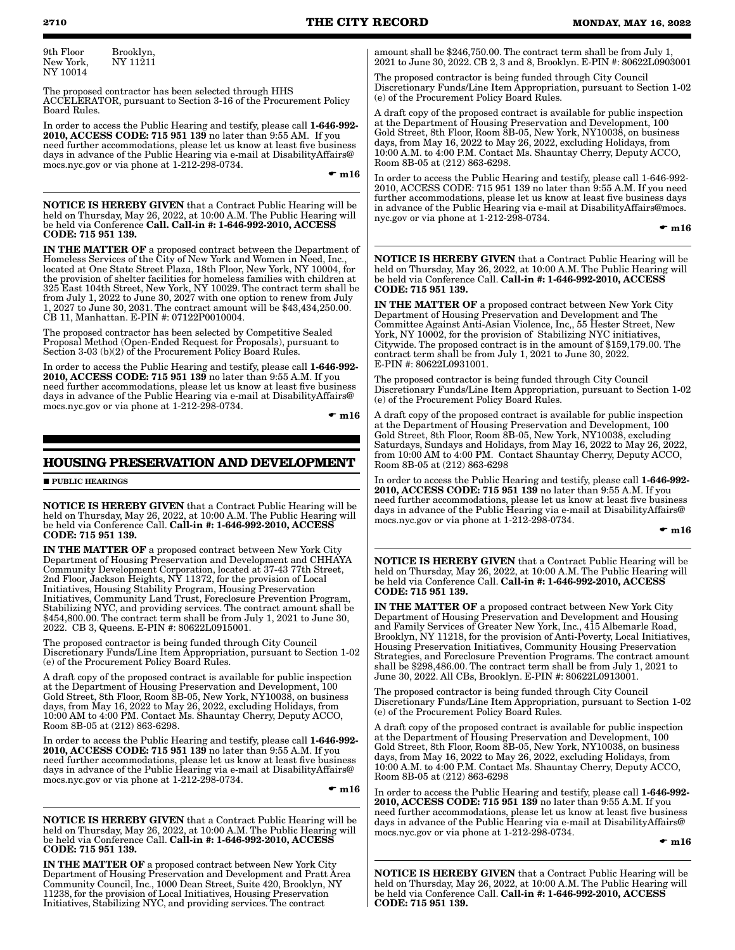9th Floor New York, Brooklyn, NY 11211 NY 10014

The proposed contractor has been selected through HHS ACCELERATOR, pursuant to Section 3-16 of the Procurement Policy Board Rules.

In order to access the Public Hearing and testify, please call 1-646-992- 2010, ACCESS CODE: 715 951 139 no later than 9:55 AM. If you need further accommodations, please let us know at least five business days in advance of the Public Hearing via e-mail at DisabilityAffairs@ mocs.nyc.gov or via phone at 1-212-298-0734.

 $\bullet$  m16

NOTICE IS HEREBY GIVEN that a Contract Public Hearing will be held on Thursday, May 26, 2022, at 10:00 A.M. The Public Hearing will be held via Conference Call. Call-in #: 1-646-992-2010, ACCESS CODE: 715 951 139.

IN THE MATTER OF a proposed contract between the Department of Homeless Services of the City of New York and Women in Need, Inc., located at One State Street Plaza, 18th Floor, New York, NY 10004, for the provision of shelter facilities for homeless families with children at 325 East 104th Street, New York, NY 10029. The contract term shall be from July 1, 2022 to June 30, 2027 with one option to renew from July 1, 2027 to June 30, 2031. The contract amount will be \$43,434,250.00. CB 11, Manhattan. E-PIN #: 07122P0010004.

The proposed contractor has been selected by Competitive Sealed Proposal Method (Open-Ended Request for Proposals), pursuant to Section 3-03 (b)(2) of the Procurement Policy Board Rules.

In order to access the Public Hearing and testify, please call 1-646-992- 2010, ACCESS CODE: 715 951 139 no later than 9:55 A.M. If you need further accommodations, please let us know at least five business days in advance of the Public Hearing via e-mail at DisabilityAffairs@ mocs.nyc.gov or via phone at 1-212-298-0734.

 $\bullet$  m16

# **HOUSING PRESERVATION AND DEVELOPMENT**

#### **PUBLIC HEARINGS**

NOTICE IS HEREBY GIVEN that a Contract Public Hearing will be held on Thursday, May 26, 2022, at 10:00 A.M. The Public Hearing will be held via Conference Call. Call-in #: 1-646-992-2010, ACCESS CODE: 715 951 139.

IN THE MATTER OF a proposed contract between New York City Department of Housing Preservation and Development and CHHAYA Community Development Corporation, located at 37-43 77th Street, 2nd Floor, Jackson Heights, NY 11372, for the provision of Local Initiatives, Housing Stability Program, Housing Preservation Initiatives, Community Land Trust, Foreclosure Prevention Program, Stabilizing NYC, and providing services. The contract amount shall be \$454,800.00. The contract term shall be from July 1, 2021 to June 30, 2022. CB 3, Queens. E-PIN #: 80622L0915001.

The proposed contractor is being funded through City Council Discretionary Funds/Line Item Appropriation, pursuant to Section 1-02 (e) of the Procurement Policy Board Rules.

A draft copy of the proposed contract is available for public inspection at the Department of Housing Preservation and Development, 100 Gold Street, 8th Floor, Room 8B-05, New York, NY10038, on business days, from May 16, 2022 to May 26, 2022, excluding Holidays, from 10:00 AM to 4:00 PM. Contact Ms. Shauntay Cherry, Deputy ACCO, Room 8B-05 at (212) 863-6298.

In order to access the Public Hearing and testify, please call 1-646-992- 2010, ACCESS CODE: 715 951 139 no later than 9:55 A.M. If you need further accommodations, please let us know at least five business days in advance of the Public Hearing via e-mail at DisabilityAffairs@ mocs.nyc.gov or via phone at 1-212-298-0734.

 $\bullet$  m16

NOTICE IS HEREBY GIVEN that a Contract Public Hearing will be held on Thursday, May 26, 2022, at 10:00 A.M. The Public Hearing will be held via Conference Call. Call-in #: 1-646-992-2010, ACCESS CODE: 715 951 139.

IN THE MATTER OF a proposed contract between New York City Department of Housing Preservation and Development and Pratt Area Community Council, Inc., 1000 Dean Street, Suite 420, Brooklyn, NY 11238, for the provision of Local Initiatives, Housing Preservation Initiatives, Stabilizing NYC, and providing services. The contract

amount shall be \$246,750.00. The contract term shall be from July 1, 2021 to June 30, 2022. CB 2, 3 and 8, Brooklyn. E-PIN #: 80622L0903001

The proposed contractor is being funded through City Council Discretionary Funds/Line Item Appropriation, pursuant to Section 1-02 (e) of the Procurement Policy Board Rules.

A draft copy of the proposed contract is available for public inspection at the Department of Housing Preservation and Development, 100 Gold Street, 8th Floor, Room 8B-05, New York, NY10038, on business days, from May 16, 2022 to May 26, 2022, excluding Holidays, from 10:00 A.M. to 4:00 P.M. Contact Ms. Shauntay Cherry, Deputy ACCO, Room 8B-05 at (212) 863-6298.

In order to access the Public Hearing and testify, please call 1-646-992- 2010, ACCESS CODE: 715 951 139 no later than 9:55 A.M. If you need further accommodations, please let us know at least five business days in advance of the Public Hearing via e-mail at DisabilityAffairs@mocs. nyc.gov or via phone at 1-212-298-0734.

 $\bullet$  m16

NOTICE IS HEREBY GIVEN that a Contract Public Hearing will be held on Thursday, May 26, 2022, at 10:00 A.M. The Public Hearing will be held via Conference Call. Call-in #: 1-646-992-2010, ACCESS CODE: 715 951 139.

IN THE MATTER OF a proposed contract between New York City Department of Housing Preservation and Development and The Committee Against Anti-Asian Violence, Inc,, 55 Hester Street, New York, NY 10002, for the provision of Stabilizing NYC initiatives Citywide. The proposed contract is in the amount of \$159,179.00. The contract term shall be from July 1, 2021 to June 30, 2022. E-PIN #: 80622L0931001.

The proposed contractor is being funded through City Council Discretionary Funds/Line Item Appropriation, pursuant to Section 1-02 (e) of the Procurement Policy Board Rules.

A draft copy of the proposed contract is available for public inspection at the Department of Housing Preservation and Development, 100 Gold Street, 8th Floor, Room 8B-05, New York, NY10038, excluding Saturdays, Sundays and Holidays, from May 16, 2022 to May 26, 2022, from 10:00 AM to 4:00 PM. Contact Shauntay Cherry, Deputy ACCO, Room 8B-05 at (212) 863-6298

In order to access the Public Hearing and testify, please call 1-646-992- 2010, ACCESS CODE: 715 951 139 no later than 9:55 A.M. If you need further accommodations, please let us know at least five business days in advance of the Public Hearing via e-mail at DisabilityAffairs@ mocs.nyc.gov or via phone at 1-212-298-0734.

#### $\bullet$  m16

NOTICE IS HEREBY GIVEN that a Contract Public Hearing will be held on Thursday, May 26, 2022, at 10:00 A.M. The Public Hearing will be held via Conference Call. Call-in #: 1-646-992-2010, ACCESS CODE: 715 951 139.

IN THE MATTER OF a proposed contract between New York City Department of Housing Preservation and Development and Housing and Family Services of Greater New York, Inc., 415 Albemarle Road, Brooklyn, NY 11218, for the provision of Anti-Poverty, Local Initiatives, Housing Preservation Initiatives, Community Housing Preservation Strategies, and Foreclosure Prevention Programs. The contract amount shall be \$298,486.00. The contract term shall be from July 1, 2021 to June 30, 2022. All CBs, Brooklyn. E-PIN #: 80622L0913001.

The proposed contractor is being funded through City Council Discretionary Funds/Line Item Appropriation, pursuant to Section 1-02 (e) of the Procurement Policy Board Rules.

A draft copy of the proposed contract is available for public inspection at the Department of Housing Preservation and Development, 100 Gold Street, 8th Floor, Room 8B-05, New York, NY10038, on business days, from May 16, 2022 to May 26, 2022, excluding Holidays, from 10:00 A.M. to 4:00 P.M. Contact Ms. Shauntay Cherry, Deputy ACCO, Room 8B-05 at (212) 863-6298

In order to access the Public Hearing and testify, please call 1-646-992-2010, ACCESS CODE: 715 951 139 no later than 9:55 A.M. If you need further accommodations, please let us know at least five business days in advance of the Public Hearing via e-mail at DisabilityAffairs@ mocs.nyc.gov or via phone at 1-212-298-0734.

#### $\bullet$  m16

NOTICE IS HEREBY GIVEN that a Contract Public Hearing will be held on Thursday, May 26, 2022, at 10:00 A.M. The Public Hearing will be held via Conference Call. Call-in #: 1-646-992-2010, ACCESS CODE: 715 951 139.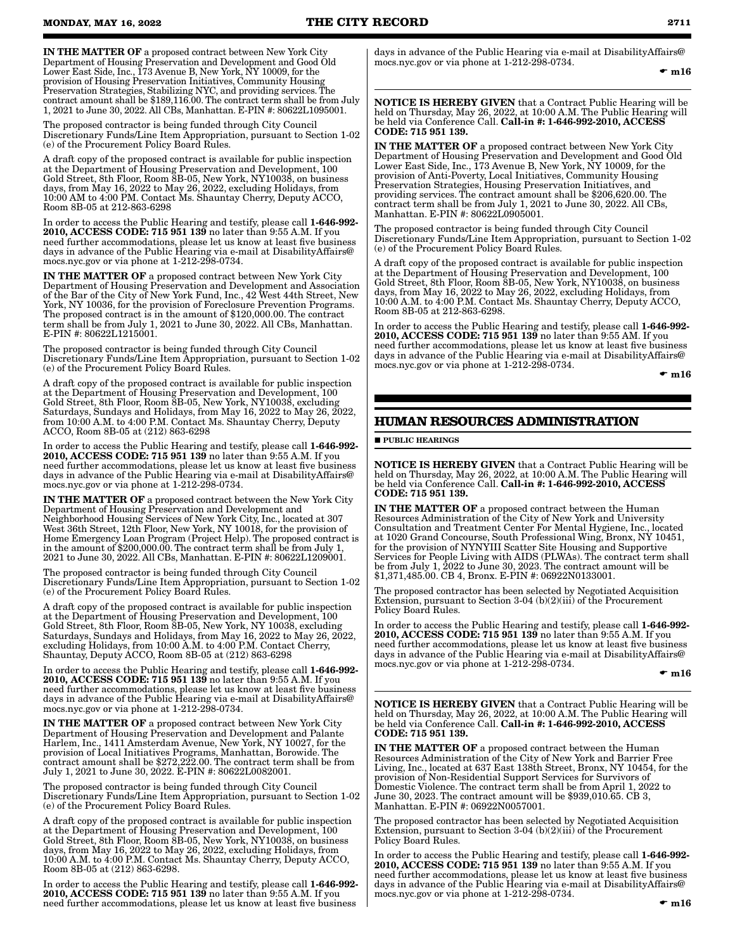IN THE MATTER OF a proposed contract between New York City Department of Housing Preservation and Development and Good Old Lower East Side, Inc., 173 Avenue B, New York, NY 10009, for the provision of Housing Preservation Initiatives, Community Housing Preservation Strategies, Stabilizing NYC, and providing services. The contract amount shall be \$189,116.00. The contract term shall be from July 1, 2021 to June 30, 2022. All CBs, Manhattan. E-PIN #: 80622L1095001.

The proposed contractor is being funded through City Council Discretionary Funds/Line Item Appropriation, pursuant to Section 1-02 (e) of the Procurement Policy Board Rules.

A draft copy of the proposed contract is available for public inspection at the Department of Housing Preservation and Development, 100 Gold Street, 8th Floor, Room 8B-05, New York, NY10038, on business days, from May 16, 2022 to May 26, 2022, excluding Holidays, from 10:00 AM to 4:00 PM. Contact Ms. Shauntay Cherry, Deputy ACCO, Room 8B-05 at 212-863-6298

In order to access the Public Hearing and testify, please call 1-646-992- 2010, ACCESS CODE: 715 951 139 no later than 9:55 A.M. If you need further accommodations, please let us know at least five business days in advance of the Public Hearing via e-mail at DisabilityAffairs@ mocs.nyc.gov or via phone at 1-212-298-0734.

IN THE MATTER OF a proposed contract between New York City Department of Housing Preservation and Development and Association of the Bar of the City of New York Fund, Inc., 42 West 44th Street, New York, NY 10036, for the provision of Foreclosure Prevention Programs. The proposed contract is in the amount of \$120,000.00. The contract term shall be from July 1, 2021 to June 30, 2022. All CBs, Manhattan. E-PIN #: 80622L1215001.

The proposed contractor is being funded through City Council Discretionary Funds/Line Item Appropriation, pursuant to Section 1-02 (e) of the Procurement Policy Board Rules.

A draft copy of the proposed contract is available for public inspection at the Department of Housing Preservation and Development, 100 Gold Street, 8th Floor, Room 8B-05, New York, NY10038, excluding Saturdays, Sundays and Holidays, from May 16, 2022 to May 26, 2022, from 10:00 A.M. to 4:00 P.M. Contact Ms. Shauntay Cherry, Deputy ACCO, Room 8B-05 at (212) 863-6298

In order to access the Public Hearing and testify, please call 1-646-992- 2010, ACCESS CODE: 715 951 139 no later than 9:55 A.M. If you need further accommodations, please let us know at least five business days in advance of the Public Hearing via e-mail at DisabilityAffairs@ mocs.nyc.gov or via phone at 1-212-298-0734.

IN THE MATTER OF a proposed contract between the New York City Department of Housing Preservation and Development and Neighborhood Housing Services of New York City, Inc., located at 307 West 36th Street, 12th Floor, New York, NY 10018, for the provision of Home Emergency Loan Program (Project Help). The proposed contract is in the amount of \$200,000.00. The contract term shall be from July 1, 2021 to June 30, 2022. All CBs, Manhattan. E-PIN #: 80622L1209001.

The proposed contractor is being funded through City Council Discretionary Funds/Line Item Appropriation, pursuant to Section 1-02 (e) of the Procurement Policy Board Rules.

A draft copy of the proposed contract is available for public inspection at the Department of Housing Preservation and Development, 100 Gold Street, 8th Floor, Room 8B-05, New York, NY 10038, excluding Saturdays, Sundays and Holidays, from May 16, 2022 to May 26, 2022, excluding Holidays, from 10:00 A.M. to 4:00 P.M. Contact Cherry, Shauntay, Deputy ACCO, Room 8B-05 at (212) 863-6298

In order to access the Public Hearing and testify, please call 1-646-992- 2010, ACCESS CODE: 715 951 139 no later than 9:55 A.M. If you need further accommodations, please let us know at least five business days in advance of the Public Hearing via e-mail at DisabilityAffairs@ mocs.nyc.gov or via phone at 1-212-298-0734.

IN THE MATTER OF a proposed contract between New York City Department of Housing Preservation and Development and Palante Harlem, Inc., 1411 Amsterdam Avenue, New York, NY 10027, for the provision of Local Initiatives Programs, Manhattan, Borowide. The contract amount shall be \$272,222.00. The contract term shall be from July 1, 2021 to June 30, 2022. E-PIN #: 80622L0082001.

The proposed contractor is being funded through City Council Discretionary Funds/Line Item Appropriation, pursuant to Section 1-02 (e) of the Procurement Policy Board Rules.

A draft copy of the proposed contract is available for public inspection at the Department of Housing Preservation and Development, 100 Gold Street, 8th Floor, Room 8B-05, New York, NY10038, on business days, from May 16, 2022 to May 26, 2022, excluding Holidays, from 10:00 A.M. to 4:00 P.M. Contact Ms. Shauntay Cherry, Deputy ACCO, Room 8B-05 at (212) 863-6298.

In order to access the Public Hearing and testify, please call 1-646-992- 2010, ACCESS CODE: 715 951 139 no later than 9:55 A.M. If you need further accommodations, please let us know at least five business

days in advance of the Public Hearing via e-mail at DisabilityAffairs@ mocs.nyc.gov or via phone at 1-212-298-0734.

 $\bullet$  m16

NOTICE IS HEREBY GIVEN that a Contract Public Hearing will be held on Thursday, May 26, 2022, at 10:00 A.M. The Public Hearing will<br>be held via Conference Call. **Call-in #: 1-646-992-2010, ACCESS** CODE: 715 951 139.

IN THE MATTER OF a proposed contract between New York City Department of Housing Preservation and Development and Good Old Lower East Side, Inc., 173 Avenue B, New York, NY 10009, for the provision of Anti-Poverty, Local Initiatives, Community Housing Preservation Strategies, Housing Preservation Initiatives, and providing services. The contract amount shall be \$206,620.00. The contract term shall be from July 1, 2021 to June 30, 2022. All CBs, Manhattan. E-PIN #: 80622L0905001.

The proposed contractor is being funded through City Council Discretionary Funds/Line Item Appropriation, pursuant to Section 1-02 (e) of the Procurement Policy Board Rules.

A draft copy of the proposed contract is available for public inspection at the Department of Housing Preservation and Development, 100 Gold Street, 8th Floor, Room 8B-05, New York, NY10038, on business days, from May 16, 2022 to May 26, 2022, excluding Holidays, from 10:00 A.M. to 4:00 P.M. Contact Ms. Shauntay Cherry, Deputy ACCO, Room 8B-05 at 212-863-6298.

In order to access the Public Hearing and testify, please call 1-646-992- 2010, ACCESS CODE: 715 951 139 no later than 9:55 AM. If you need further accommodations, please let us know at least five business days in advance of the Public Hearing via e-mail at DisabilityAffairs@ mocs.nyc.gov or via phone at 1-212-298-0734.

 $\div$  m16

# **HUMAN RESOURCES ADMINISTRATION**

**PUBLIC HEARINGS** 

NOTICE IS HEREBY GIVEN that a Contract Public Hearing will be held on Thursday, May 26, 2022, at 10:00 A.M. The Public Hearing will be held via Conference Call. Call-in #: 1-646-992-2010, ACCESS CODE: 715 951 139.

IN THE MATTER OF a proposed contract between the Human Resources Administration of the City of New York and University Consultation and Treatment Center For Mental Hygiene, Inc., located at 1020 Grand Concourse, South Professional Wing, Bronx, NY 10451, for the provision of NYNYIII Scatter Site Housing and Supportive Services for People Living with AIDS (PLWAs). The contract term shall be from July 1, 2022 to June 30, 2023. The contract amount will be \$1,371,485.00. CB 4, Bronx. E-PIN #: 06922N0133001.

The proposed contractor has been selected by Negotiated Acquisition Extension, pursuant to Section 3-04 (b)(2)(iii) of the Procurement Policy Board Rules.

In order to access the Public Hearing and testify, please call 1-646-992- 2010, ACCESS CODE: 715 951 139 no later than 9:55 A.M. If you need further accommodations, please let us know at least five business days in advance of the Public Hearing via e-mail at DisabilityAffairs@ mocs.nyc.gov or via phone at 1-212-298-0734.

 $\bullet$  m16

NOTICE IS HEREBY GIVEN that a Contract Public Hearing will be held on Thursday, May 26, 2022, at 10:00 A.M. The Public Hearing will<br>be held via Conference Call. **Call-in #: 1-646-992-2010, ACCESS** CODE: 715 951 139.

IN THE MATTER OF a proposed contract between the Human Resources Administration of the City of New York and Barrier Free Living, Inc., located at 637 East 138th Street, Bronx, NY 10454, for the provision of Non-Residential Support Services for Survivors of Domestic Violence. The contract term shall be from April 1, 2022 to June 30, 2023. The contract amount will be \$939,010.65. CB 3, Manhattan. E-PIN #: 06922N0057001.

The proposed contractor has been selected by Negotiated Acquisition Extension, pursuant to Section 3-04 (b)(2)(iii) of the Procurement Policy Board Rules.

In order to access the Public Hearing and testify, please call 1-646-992- 2010, ACCESS CODE: 715 951 139 no later than 9:55 A.M. If you need further accommodations, please let us know at least five business days in advance of the Public Hearing via e-mail at DisabilityAffairs@ mocs.nyc.gov or via phone at 1-212-298-0734.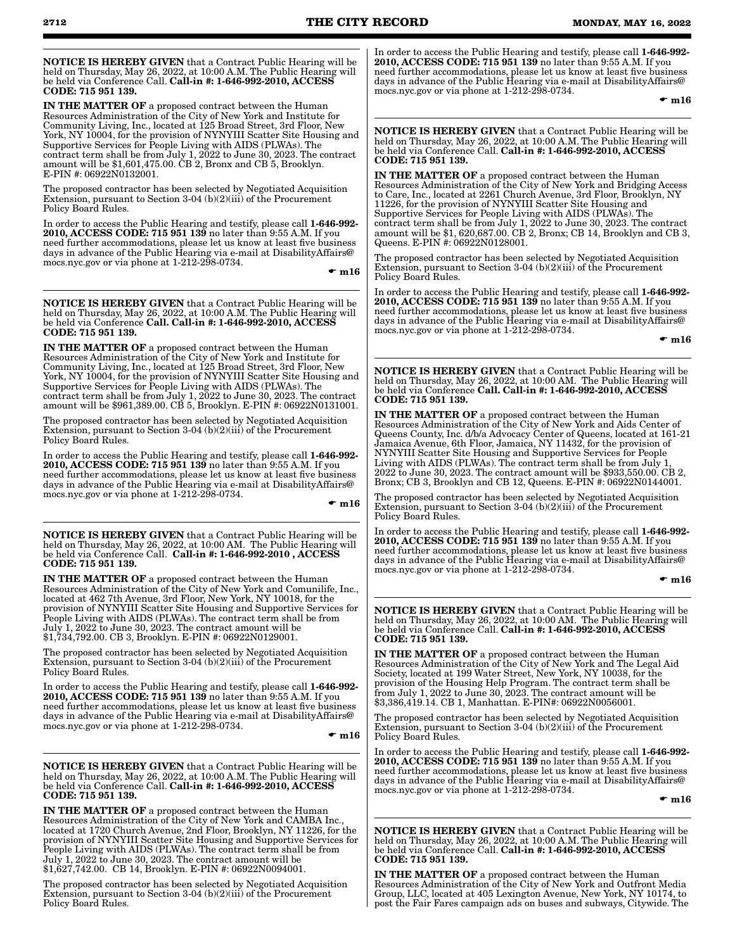NOTICE IS HEREBY GIVEN that a Contract Public Hearing will be held on Thursday, May 26, 2022, at 10:00 A.M. The Public Hearing will be held via Conference Call. Call-in #: 1-646-992-2010, ACCESS CODE: 715 951 139.

IN THE MATTER OF a proposed contract between the Human Resources Administration of the City of New York and Institute for Community Living, Inc., located at 125 Broad Street, 3rd Floor, New York, NY 10004, for the provision of NYNYIII Scatter Site Housing and Supportive Services for People Living with AIDS (PLWAs). The contract term shall be from July 1, 2022 to June 30, 2023. The contract amount will be \$1,601,475.00. CB 2, Bronx and CB 5, Brooklyn. E-PIN #: 06922N0132001.

The proposed contractor has been selected by Negotiated Acquisition Extension, pursuant to Section 3-04 (b)(2)(iii) of the Procurement Policy Board Rules.

In order to access the Public Hearing and testify, please call 1-646-992- 2010, ACCESS CODE: 715 951 139 no later than 9:55 A.M. If you need further accommodations, please let us know at least five business days in advance of the Public Hearing via e-mail at DisabilityAffairs@ mocs.nyc.gov or via phone at 1-212-298-0734.

 $\mathbf{m}16$ 

NOTICE IS HEREBY GIVEN that a Contract Public Hearing will be held on Thursday, May 26, 2022, at 10:00 A.M. The Public Hearing will be held via Conference Call. Call-in #: 1-646-992-2010, ACCESS CODE: 715 951 139.

IN THE MATTER OF a proposed contract between the Human Resources Administration of the City of New York and Institute for Community Living, Inc., located at 125 Broad Street, 3rd Floor, New York, NY 10004, for the provision of NYNYIII Scatter Site Housing and Supportive Services for People Living with AIDS (PLWAs). The contract term shall be from July 1, 2022 to June 30, 2023. The contract amount will be \$961,389.00. CB 5, Brooklyn. E-PIN #: 06922N0131001.

The proposed contractor has been selected by Negotiated Acquisition Extension, pursuant to Section 3-04 (b)(2)(iii) of the Procurement Policy Board Rules.

In order to access the Public Hearing and testify, please call 1-646-992- 2010, ACCESS CODE: 715 951 139 no later than 9:55 A.M. If you need further accommodations, please let us know at least five business days in advance of the Public Hearing via e-mail at DisabilityAffairs@ mocs.nyc.gov or via phone at 1-212-298-0734.

 $\bullet$  m16

NOTICE IS HEREBY GIVEN that a Contract Public Hearing will be held on Thursday, May 26, 2022, at 10:00 AM. The Public Hearing will be held via Conference Call. Call-in #: 1-646-992-2010 , ACCESS CODE: 715 951 139.

IN THE MATTER OF a proposed contract between the Human Resources Administration of the City of New York and Comunilife, Inc., located at 462 7th Avenue, 3rd Floor, New York, NY 10018, for the provision of NYNYIII Scatter Site Housing and Supportive Services for People Living with AIDS (PLWAs). The contract term shall be from July 1, 2022 to June 30, 2023. The contract amount will be \$1,734,792.00. CB 3, Brooklyn. E-PIN #: 06922N0129001.

The proposed contractor has been selected by Negotiated Acquisition Extension, pursuant to Section 3-04 (b)(2)(iii) of the Procurement Policy Board Rules.

In order to access the Public Hearing and testify, please call 1-646-992- 2010, ACCESS CODE: 715 951 139 no later than 9:55 A.M. If you need further accommodations, please let us know at least five business days in advance of the Public Hearing via e-mail at DisabilityAffairs@ mocs.nyc.gov or via phone at 1-212-298-0734.

 $\mathbf{m}16$ 

NOTICE IS HEREBY GIVEN that a Contract Public Hearing will be held on Thursday, May 26, 2022, at 10:00 A.M. The Public Hearing will be held via Conference Call. Call-in #: 1-646-992-2010, ACCESS CODE: 715 951 139.

IN THE MATTER OF a proposed contract between the Human Resources Administration of the City of New York and CAMBA Inc., located at 1720 Church Avenue, 2nd Floor, Brooklyn, NY 11226, for the provision of NYNYIII Scatter Site Housing and Supportive Services for People Living with AIDS (PLWAs). The contract term shall be from July 1, 2022 to June 30, 2023. The contract amount will be \$1,627,742.00. CB 14, Brooklyn. E-PIN #: 06922N0094001.

The proposed contractor has been selected by Negotiated Acquisition Extension, pursuant to Section 3-04 (b)(2)(iii) of the Procurement Policy Board Rules.

In order to access the Public Hearing and testify, please call 1-646-992- 2010, ACCESS CODE: 715 951 139 no later than 9:55 A.M. If you need further accommodations, please let us know at least five business days in advance of the Public Hearing via e-mail at DisabilityAffairs@ mocs.nyc.gov or via phone at 1-212-298-0734.

 $\bullet$  m16

NOTICE IS HEREBY GIVEN that a Contract Public Hearing will be held on Thursday, May 26, 2022, at 10:00 A.M. The Public Hearing will<br>be held via Conference Call. **Call-in #: 1-646-992-2010, ACCESS** CODE: 715 951 139.

IN THE MATTER OF a proposed contract between the Human Resources Administration of the City of New York and Bridging Access to Care, Inc., located at 2261 Church Avenue, 3rd Floor, Brooklyn, NY 11226, for the provision of NYNYIII Scatter Site Housing and Supportive Services for People Living with AIDS (PLWAs). The contract term shall be from July 1, 2022 to June 30, 2023. The contract amount will be \$1, 620,687.00. CB 2, Bronx; CB 14, Brooklyn and CB 3, Queens. E-PIN #: 06922N0128001.

The proposed contractor has been selected by Negotiated Acquisition Extension, pursuant to Section 3-04 (b)(2)(iii) of the Procurement Policy Board Rules.

In order to access the Public Hearing and testify, please call 1-646-992- 2010, ACCESS CODE: 715 951 139 no later than 9:55 A.M. If you need further accommodations, please let us know at least five business days in advance of the Public Hearing via e-mail at DisabilityAffairs@ mocs.nyc.gov or via phone at 1-212-298-0734.

 $\mathbf{m}_{16}$ 

NOTICE IS HEREBY GIVEN that a Contract Public Hearing will be held on Thursday, May 26, 2022, at 10:00 AM. The Public Hearing will<br>be held via Conference **Call. Call-in #: 1-646-992-2010, ACCESS** CODE: 715 951 139.

IN THE MATTER OF a proposed contract between the Human Resources Administration of the City of New York and Aids Center of Queens County, Inc. d/b/a Advocacy Center of Queens, located at 161-21 Jamaica Avenue, 6th Floor, Jamaica, NY 11432, for the provision of NYNYIII Scatter Site Housing and Supportive Services for People Living with AIDS (PLWAs). The contract term shall be from July 1, 2022 to June 30, 2023. The contract amount will be \$933,550.00. CB 2, Bronx; CB 3, Brooklyn and CB 12, Queens. E-PIN #: 06922N0144001.

The proposed contractor has been selected by Negotiated Acquisition Extension, pursuant to Section 3-04 (b)(2)(iii) of the Procurement Policy Board Rules.

In order to access the Public Hearing and testify, please call 1-646-992-2010, ACCESS CODE: 715 951 139 no later than 9:55 A.M. If you need further accommodations, please let us know at least five business days in advance of the Public Hearing via e-mail at DisabilityAffairs@ mocs.nyc.gov or via phone at 1-212-298-0734.

 $\mathbf{m}_{16}$ 

NOTICE IS HEREBY GIVEN that a Contract Public Hearing will be held on Thursday, May 26, 2022, at 10:00 AM. The Public Hearing will be held via Conference Call. Call-in #: 1-646-992-2010, ACCESS CODE: 715 951 139.

IN THE MATTER OF a proposed contract between the Human Resources Administration of the City of New York and The Legal Aid Society, located at 199 Water Street, New York, NY 10038, for the provision of the Housing Help Program. The contract term shall be from July 1, 2022 to June 30, 2023. The contract amount will be \$3,386,419.14. CB 1, Manhattan. E-PIN#: 06922N0056001.

The proposed contractor has been selected by Negotiated Acquisition Extension, pursuant to Section 3-04 (b)(2)(iii) of the Procurement Policy Board Rules.

In order to access the Public Hearing and testify, please call 1-646-992- 2010, ACCESS CODE: 715 951 139 no later than 9:55 A.M. If you need further accommodations, please let us know at least five business days in advance of the Public Hearing via e-mail at DisabilityAffairs@ mocs.nyc.gov or via phone at 1-212-298-0734.

 $\mathbf{m}16$ 

NOTICE IS HEREBY GIVEN that a Contract Public Hearing will be held on Thursday, May 26, 2022, at 10:00 A.M. The Public Hearing will be held via Conference Call. **Call-in #: 1-646-992-2010, ACCESS**<br>**CODE: 715 951 139.** 

IN THE MATTER OF a proposed contract between the Human Resources Administration of the City of New York and Outfront Media Group, LLC, located at 405 Lexington Avenue, New York, NY 10174, to post the Fair Fares campaign ads on buses and subways, Citywide. The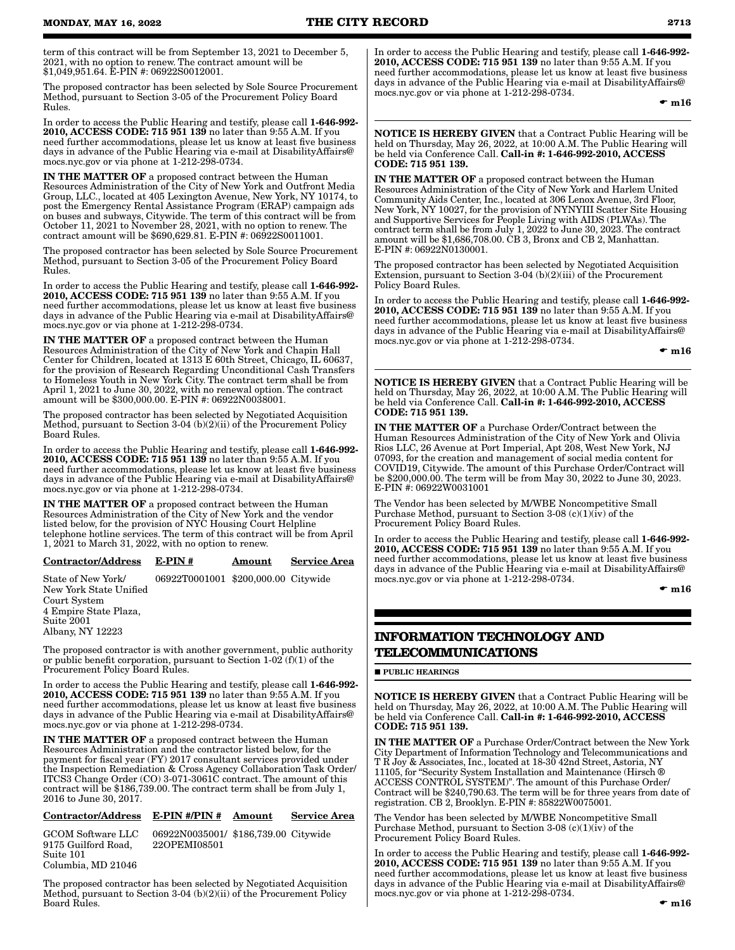term of this contract will be from September 13, 2021 to December 5, 2021, with no option to renew. The contract amount will be \$1,049,951.64. E-PIN #: 06922S0012001.

The proposed contractor has been selected by Sole Source Procurement Method, pursuant to Section 3-05 of the Procurement Policy Board Rules.

In order to access the Public Hearing and testify, please call 1-646-992- 2010, ACCESS CODE: 715 951 139 no later than 9:55 A.M. If you need further accommodations, please let us know at least five business days in advance of the Public Hearing via e-mail at DisabilityAffairs@ mocs.nyc.gov or via phone at 1-212-298-0734.

IN THE MATTER OF a proposed contract between the Human Resources Administration of the City of New York and Outfront Media Group, LLC., located at 405 Lexington Avenue, New York, NY 10174, to post the Emergency Rental Assistance Program (ERAP) campaign ads on buses and subways, Citywide. The term of this contract will be from October 11, 2021 to November 28, 2021, with no option to renew. The contract amount will be \$690,629.81. E-PIN #: 06922S0011001.

The proposed contractor has been selected by Sole Source Procurement Method, pursuant to Section 3-05 of the Procurement Policy Board Rules.

In order to access the Public Hearing and testify, please call 1-646-992- 2010, ACCESS CODE: 715 951 139 no later than 9:55 A.M. If you need further accommodations, please let us know at least five business days in advance of the Public Hearing via e-mail at DisabilityAffairs@ mocs.nyc.gov or via phone at 1-212-298-0734.

IN THE MATTER OF a proposed contract between the Human Resources Administration of the City of New York and Chapin Hall Center for Children, located at 1313 E 60th Street, Chicago, IL 60637, for the provision of Research Regarding Unconditional Cash Transfers to Homeless Youth in New York City. The contract term shall be from April 1, 2021 to June 30, 2022, with no renewal option. The contract amount will be \$300,000.00. E-PIN #: 06922N0038001.

The proposed contractor has been selected by Negotiated Acquisition Method, pursuant to Section 3-04 (b)(2)(ii) of the Procurement Policy Board Rules.

In order to access the Public Hearing and testify, please call 1-646-992- 2010, ACCESS CODE: 715 951 139 no later than 9:55 A.M. If you need further accommodations, please let us know at least five business days in advance of the Public Hearing via e-mail at DisabilityAffairs@ mocs.nyc.gov or via phone at 1-212-298-0734.

IN THE MATTER OF a proposed contract between the Human Resources Administration of the City of New York and the vendor listed below, for the provision of NYC Housing Court Helpline telephone hotline services. The term of this contract will be from April 1, 2021 to March 31, 2022, with no option to renew.

#### Contractor/Address E-PIN # Amount Service Area

State of New York/ 06922T0001001 \$200,000.00 Citywide New York State Unified Court System 4 Empire State Plaza, Suite 2001 Albany, NY 12223

The proposed contractor is with another government, public authority or public benefit corporation, pursuant to Section 1-02 (f)(1) of the Procurement Policy Board Rules.

In order to access the Public Hearing and testify, please call 1-646-992- 2010, ACCESS CODE: 715 951 139 no later than 9:55 A.M. If you need further accommodations, please let us know at least five business days in advance of the Public Hearing via e-mail at DisabilityAffairs@ mocs.nyc.gov or via phone at 1-212-298-0734.

IN THE MATTER OF a proposed contract between the Human Resources Administration and the contractor listed below, for the payment for fiscal year (FY) 2017 consultant services provided under the Inspection Remediation & Cross Agency Collaboration Task Order/ ITCS3 Change Order (CO) 3-071-3061C contract. The amount of this contract will be \$186,739.00. The contract term shall be from July 1, 2016 to June 30, 2017.

# Contractor/Address E-PIN #/PIN # Amount Service Area

9175 Guilford Road, Suite 101 Columbia, MD 21046

GCOM Software LLC 06922N0035001/ \$186,739.00 Citywide 22OPEMI08501

The proposed contractor has been selected by Negotiated Acquisition Method, pursuant to Section 3-04 (b)(2)(ii) of the Procurement Policy Board Rules.

In order to access the Public Hearing and testify, please call 1-646-992- 2010, ACCESS CODE: 715 951 139 no later than 9:55 A.M. If you need further accommodations, please let us know at least five business days in advance of the Public Hearing via e-mail at DisabilityAffairs@ mocs.nyc.gov or via phone at 1-212-298-0734.

 $\bullet$  m16

NOTICE IS HEREBY GIVEN that a Contract Public Hearing will be held on Thursday, May 26, 2022, at 10:00 A.M. The Public Hearing will be held via Conference Call. Call-in #: 1-646-992-2010, ACCESS CODE: 715 951 139.

IN THE MATTER OF a proposed contract between the Human Resources Administration of the City of New York and Harlem United Community Aids Center, Inc., located at 306 Lenox Avenue, 3rd Floor, New York, NY 10027, for the provision of NYNYIII Scatter Site Housing and Supportive Services for People Living with AIDS (PLWAs). The contract term shall be from July 1, 2022 to June 30, 2023. The contract amount will be \$1,686,708.00. CB 3, Bronx and CB 2, Manhattan. E-PIN #: 06922N0130001.

The proposed contractor has been selected by Negotiated Acquisition Extension, pursuant to Section 3-04 (b)(2)(iii) of the Procurement Policy Board Rules.

In order to access the Public Hearing and testify, please call 1-646-992- 2010, ACCESS CODE: 715 951 139 no later than 9:55 A.M. If you need further accommodations, please let us know at least five business days in advance of the Public Hearing via e-mail at DisabilityAffairs@ mocs.nyc.gov or via phone at 1-212-298-0734.

 $\bullet$  m16

NOTICE IS HEREBY GIVEN that a Contract Public Hearing will be held on Thursday, May 26, 2022, at 10:00 A.M. The Public Hearing will be held via Conference Call. Call-in #: 1-646-992-2010, ACCESS CODE: 715 951 139.

IN THE MATTER OF a Purchase Order/Contract between the Human Resources Administration of the City of New York and Olivia Rios LLC, 26 Avenue at Port Imperial, Apt 208, West New York, NJ 07093, for the creation and management of social media content for COVID19, Citywide. The amount of this Purchase Order/Contract will be \$200,000.00. The term will be from May 30, 2022 to June 30, 2023. E-PIN #: 06922W0031001

The Vendor has been selected by M/WBE Noncompetitive Small Purchase Method, pursuant to Section  $3-08$  (c)(1)(iv) of the Procurement Policy Board Rules.

In order to access the Public Hearing and testify, please call 1-646-992-2010, ACCESS CODE: 715 951 139 no later than 9:55 A.M. If you need further accommodations, please let us know at least five business days in advance of the Public Hearing via e-mail at DisabilityAffairs@ mocs.nyc.gov or via phone at 1-212-298-0734.

 $\bullet$  m16

# **INFORMATION TECHNOLOGY AND TELECOMMUNICATIONS**

**PUBLIC HEARINGS** 

NOTICE IS HEREBY GIVEN that a Contract Public Hearing will be held on Thursday, May 26, 2022, at 10:00 A.M. The Public Hearing will be held via Conference Call. Call-in #: 1-646-992-2010, ACCESS CODE: 715 951 139.

IN THE MATTER OF a Purchase Order/Contract between the New York City Department of Information Technology and Telecommunications and T R Joy & Associates, Inc., located at 18-30 42nd Street, Astoria, NY 11105, for "Security System Installation and Maintenance (Hirsch ® ACCESS CONTROL SYSTEM)". The amount of this Purchase Order/ Contract will be \$240,790.63. The term will be for three years from date of registration. CB 2, Brooklyn. E-PIN #: 85822W0075001.

The Vendor has been selected by M/WBE Noncompetitive Small Purchase Method, pursuant to Section 3-08 (c)(1)( $iv$ ) of the Procurement Policy Board Rules.

In order to access the Public Hearing and testify, please call 1-646-992- 2010, ACCESS CODE: 715 951 139 no later than 9:55 A.M. If you need further accommodations, please let us know at least five business days in advance of the Public Hearing via e-mail at DisabilityAffairs@ mocs.nyc.gov or via phone at 1-212-298-0734.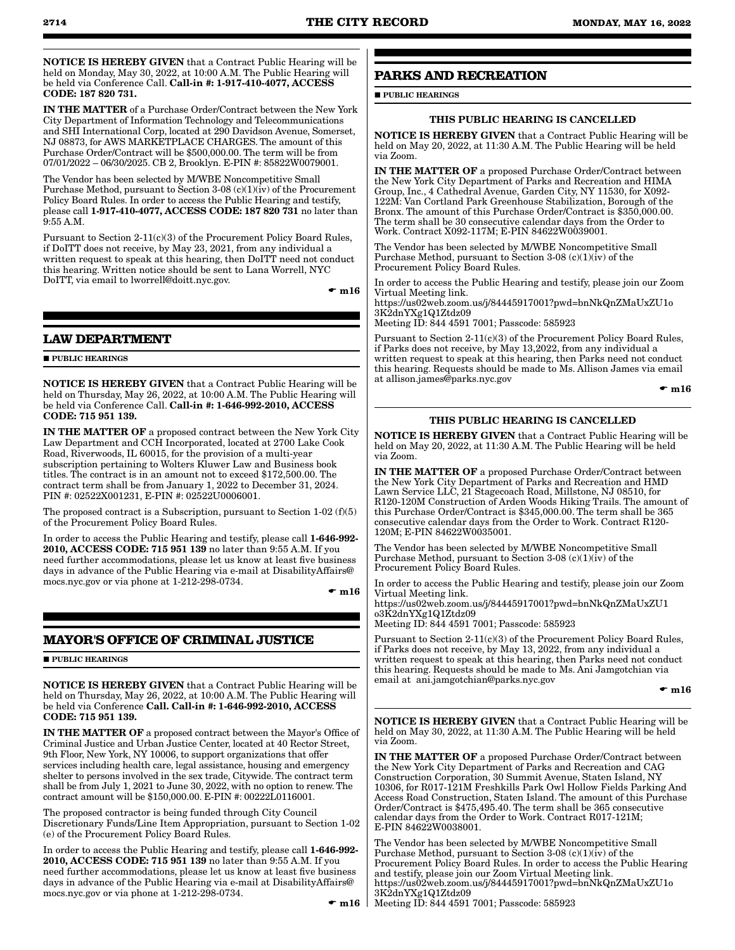NOTICE IS HEREBY GIVEN that a Contract Public Hearing will be held on Monday, May 30, 2022, at 10:00 A.M. The Public Hearing will be held via Conference Call. Call-in #: 1-917-410-4077, ACCESS CODE: 187 820 731.

IN THE MATTER of a Purchase Order/Contract between the New York City Department of Information Technology and Telecommunications and SHI International Corp, located at 290 Davidson Avenue, Somerset, NJ 08873, for AWS MARKETPLACE CHARGES. The amount of this Purchase Order/Contract will be \$500,000.00. The term will be from 07/01/2022 – 06/30/2025. CB 2, Brooklyn. E-PIN #: 85822W0079001.

The Vendor has been selected by M/WBE Noncompetitive Small Purchase Method, pursuant to Section 3-08 (c)(1)( $\hat{i}$ v) of the Procurement Policy Board Rules. In order to access the Public Hearing and testify, please call 1-917-410-4077, ACCESS CODE: 187 820 731 no later than 9:55 A.M.

Pursuant to Section 2-11(c)(3) of the Procurement Policy Board Rules, if DoITT does not receive, by May 23, 2021, from any individual a written request to speak at this hearing, then DoITT need not conduct this hearing. Written notice should be sent to Lana Worrell, NYC DoITT, via email to lworrell@doitt.nyc.gov.

 $\mathbf{m}16$ 

# **LAW DEPARTMENT**

#### **PUBLIC HEARINGS**

NOTICE IS HEREBY GIVEN that a Contract Public Hearing will be held on Thursday, May 26, 2022, at 10:00 A.M. The Public Hearing will be held via Conference Call. Call-in #: 1-646-992-2010, ACCESS CODE: 715 951 139.

IN THE MATTER OF a proposed contract between the New York City Law Department and CCH Incorporated, located at 2700 Lake Cook Road, Riverwoods, IL 60015, for the provision of a multi-year subscription pertaining to Wolters Kluwer Law and Business book titles. The contract is in an amount not to exceed \$172,500.00. The contract term shall be from January 1, 2022 to December 31, 2024. PIN #: 02522X001231, E-PIN #: 02522U0006001.

The proposed contract is a Subscription, pursuant to Section 1-02 (f)(5) of the Procurement Policy Board Rules.

In order to access the Public Hearing and testify, please call 1-646-992- 2010, ACCESS CODE: 715 951 139 no later than 9:55 A.M. If you need further accommodations, please let us know at least five business days in advance of the Public Hearing via e-mail at DisabilityAffairs@ mocs.nyc.gov or via phone at 1-212-298-0734.

 $\bullet$  m16

# **MAYOR'S OFFICE OF CRIMINAL JUSTICE**

# **PUBLIC HEARINGS**

NOTICE IS HEREBY GIVEN that a Contract Public Hearing will be held on Thursday, May 26, 2022, at 10:00 A.M. The Public Hearing will be held via Conference Call. Call-in #: 1-646-992-2010, ACCESS CODE: 715 951 139.

IN THE MATTER OF a proposed contract between the Mayor's Office of Criminal Justice and Urban Justice Center, located at 40 Rector Street, 9th Floor, New York, NY 10006, to support organizations that offer services including health care, legal assistance, housing and emergency shelter to persons involved in the sex trade, Citywide. The contract term shall be from July 1, 2021 to June 30, 2022, with no option to renew. The contract amount will be \$150,000.00. E-PIN #: 00222L0116001.

The proposed contractor is being funded through City Council Discretionary Funds/Line Item Appropriation, pursuant to Section 1-02 (e) of the Procurement Policy Board Rules.

In order to access the Public Hearing and testify, please call 1-646-992- 2010, ACCESS CODE: 715 951 139 no later than 9:55 A.M. If you need further accommodations, please let us know at least five business days in advance of the Public Hearing via e-mail at DisabilityAffairs@ mocs.nyc.gov or via phone at 1-212-298-0734.

# **PARKS AND RECREATION**

**PUBLIC HEARINGS** 

# THIS PUBLIC HEARING IS CANCELLED

NOTICE IS HEREBY GIVEN that a Contract Public Hearing will be held on May 20, 2022, at 11:30 A.M. The Public Hearing will be held via Zoom.

IN THE MATTER OF a proposed Purchase Order/Contract between the New York City Department of Parks and Recreation and HIMA Group, Inc., 4 Cathedral Avenue, Garden City, NY 11530, for X092- 122M: Van Cortland Park Greenhouse Stabilization, Borough of the Bronx. The amount of this Purchase Order/Contract is \$350,000.00. The term shall be 30 consecutive calendar days from the Order to Work. Contract X092-117M; E-PIN 84622W0039001.

The Vendor has been selected by M/WBE Noncompetitive Small Purchase Method, pursuant to Section 3-08 (c)(1)( $iv$ ) of the Procurement Policy Board Rules.

In order to access the Public Hearing and testify, please join our Zoom Virtual Meeting link.

https://us02web.zoom.us/j/84445917001?pwd=bnNkQnZMaUxZU1o 3K2dnYXg1Q1Ztdz09

Meeting ID: 844 4591 7001; Passcode: 585923

Pursuant to Section 2-11(c)(3) of the Procurement Policy Board Rules, if Parks does not receive, by May 13,2022, from any individual a written request to speak at this hearing, then Parks need not conduct this hearing. Requests should be made to Ms. Allison James via email at allison.james@parks.nyc.gov

 $\bullet$  m16

## THIS PUBLIC HEARING IS CANCELLED

NOTICE IS HEREBY GIVEN that a Contract Public Hearing will be held on May 20, 2022, at 11:30 A.M. The Public Hearing will be held via Zoom.

IN THE MATTER OF a proposed Purchase Order/Contract between the New York City Department of Parks and Recreation and HMD Lawn Service LLC, 21 Stagecoach Road, Millstone, NJ 08510, for R120-120M Construction of Arden Woods Hiking Trails. The amount of this Purchase Order/Contract is \$345,000.00. The term shall be 365 consecutive calendar days from the Order to Work. Contract R120- 120M; E-PIN 84622W0035001.

The Vendor has been selected by M/WBE Noncompetitive Small Purchase Method, pursuant to Section 3-08 (c)(1)(iv) of the Procurement Policy Board Rules.

In order to access the Public Hearing and testify, please join our Zoom Virtual Meeting link.

https://us02web.zoom.us/j/84445917001?pwd=bnNkQnZMaUxZU1 o3K2dnYXg1Q1Ztdz09

Meeting ID: 844 4591 7001; Passcode: 585923

Pursuant to Section 2-11(c)(3) of the Procurement Policy Board Rules, if Parks does not receive, by May 13, 2022, from any individual a written request to speak at this hearing, then Parks need not conduct this hearing. Requests should be made to Ms. Ani Jamgotchian via email at ani.jamgotchian@parks.nyc.gov

#### $\mathbf{m}16$

NOTICE IS HEREBY GIVEN that a Contract Public Hearing will be held on May 30, 2022, at 11:30 A.M. The Public Hearing will be held via Zoom.

IN THE MATTER OF a proposed Purchase Order/Contract between the New York City Department of Parks and Recreation and CAG Construction Corporation, 30 Summit Avenue, Staten Island, NY 10306, for R017-121M Freshkills Park Owl Hollow Fields Parking And Access Road Construction, Staten Island. The amount of this Purchase Order/Contract is \$475,495.40. The term shall be 365 consecutive calendar days from the Order to Work. Contract R017-121M; E-PIN 84622W0038001.

The Vendor has been selected by M/WBE Noncompetitive Small Purchase Method, pursuant to Section 3-08 (c)(1)(iv) of the Procurement Policy Board Rules. In order to access the Public Hearing and testify, please join our Zoom Virtual Meeting link. https://us02web.zoom.us/j/84445917001?pwd=bnNkQnZMaUxZU1o 3K2dnYXg1Q1Ztdz09 Meeting ID: 844 4591 7001; Passcode: 585923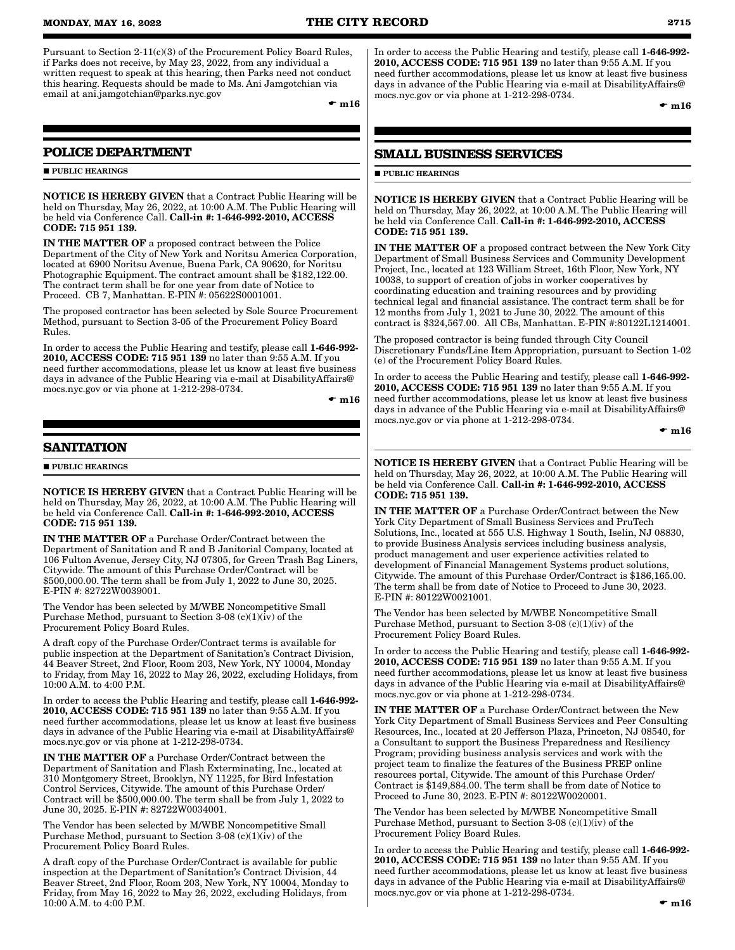Pursuant to Section 2-11(c)(3) of the Procurement Policy Board Rules, if Parks does not receive, by May 23, 2022, from any individual a written request to speak at this hearing, then Parks need not conduct this hearing. Requests should be made to Ms. Ani Jamgotchian via email at ani.jamgotchian@parks.nyc.gov

 $\bullet$  m16

# **POLICE DEPARTMENT**

#### **PUBLIC HEARINGS**

NOTICE IS HEREBY GIVEN that a Contract Public Hearing will be held on Thursday, May 26, 2022, at 10:00 A.M. The Public Hearing will be held via Conference Call. Call-in #: 1-646-992-2010, ACCESS CODE: 715 951 139.

IN THE MATTER OF a proposed contract between the Police Department of the City of New York and Noritsu America Corporation, located at 6900 Noritsu Avenue, Buena Park, CA 90620, for Noritsu Photographic Equipment. The contract amount shall be \$182,122.00. The contract term shall be for one year from date of Notice to Proceed. CB 7, Manhattan. E-PIN #: 05622S0001001.

The proposed contractor has been selected by Sole Source Procurement Method, pursuant to Section 3-05 of the Procurement Policy Board Rules.

In order to access the Public Hearing and testify, please call 1-646-992- 2010, ACCESS CODE: 715 951 139 no later than 9:55 A.M. If you need further accommodations, please let us know at least five business days in advance of the Public Hearing via e-mail at DisabilityAffairs@ mocs.nyc.gov or via phone at 1-212-298-0734.

 $\bullet$  m16

# **SANITATION**

**PUBLIC HEARINGS** 

NOTICE IS HEREBY GIVEN that a Contract Public Hearing will be held on Thursday, May 26, 2022, at 10:00 A.M. The Public Hearing will be held via Conference Call. Call-in #: 1-646-992-2010, ACCESS CODE: 715 951 139.

IN THE MATTER OF a Purchase Order/Contract between the Department of Sanitation and R and B Janitorial Company, located at 106 Fulton Avenue, Jersey City, NJ 07305, for Green Trash Bag Liners, Citywide. The amount of this Purchase Order/Contract will be \$500,000.00. The term shall be from July 1, 2022 to June 30, 2025. E-PIN #: 82722W0039001.

The Vendor has been selected by M/WBE Noncompetitive Small Purchase Method, pursuant to Section 3-08 (c)(1)( $iv$ ) of the Procurement Policy Board Rules.

A draft copy of the Purchase Order/Contract terms is available for public inspection at the Department of Sanitation's Contract Division, 44 Beaver Street, 2nd Floor, Room 203, New York, NY 10004, Monday to Friday, from May 16, 2022 to May 26, 2022, excluding Holidays, from 10:00 A.M. to 4:00 P.M.

In order to access the Public Hearing and testify, please call 1-646-992- 2010, ACCESS CODE: 715 951 139 no later than 9:55 A.M. If you need further accommodations, please let us know at least five business days in advance of the Public Hearing via e-mail at DisabilityAffairs@ mocs.nyc.gov or via phone at 1-212-298-0734.

IN THE MATTER OF a Purchase Order/Contract between the Department of Sanitation and Flash Exterminating, Inc., located at 310 Montgomery Street, Brooklyn, NY 11225, for Bird Infestation Control Services, Citywide. The amount of this Purchase Order/ Contract will be \$500,000.00. The term shall be from July 1, 2022 to June 30, 2025. E-PIN #: 82722W0034001.

The Vendor has been selected by M/WBE Noncompetitive Small Purchase Method, pursuant to Section 3-08 (c)(1)( $iv$ ) of the Procurement Policy Board Rules.

A draft copy of the Purchase Order/Contract is available for public inspection at the Department of Sanitation's Contract Division, 44 Beaver Street, 2nd Floor, Room 203, New York, NY 10004, Monday to Friday, from May 16, 2022 to May 26, 2022, excluding Holidays, from 10:00 A.M. to 4:00 P.M.

In order to access the Public Hearing and testify, please call 1-646-992- 2010, ACCESS CODE: 715 951 139 no later than 9:55 A.M. If you need further accommodations, please let us know at least five business days in advance of the Public Hearing via e-mail at DisabilityAffairs@ mocs.nyc.gov or via phone at 1-212-298-0734.

 $\bullet$  m16

# **SMALL BUSINESS SERVICES**

 $\blacksquare$ PUBLIC HEARINGS

NOTICE IS HEREBY GIVEN that a Contract Public Hearing will be held on Thursday, May 26, 2022, at 10:00 A.M. The Public Hearing will be held via Conference Call. Call-in #: 1-646-992-2010, ACCESS CODE: 715 951 139.

IN THE MATTER OF a proposed contract between the New York City Department of Small Business Services and Community Development Project, Inc., located at 123 William Street, 16th Floor, New York, NY 10038, to support of creation of jobs in worker cooperatives by coordinating education and training resources and by providing technical legal and financial assistance. The contract term shall be for 12 months from July 1, 2021 to June 30, 2022. The amount of this contract is \$324,567.00. All CBs, Manhattan. E-PIN #:80122L1214001.

The proposed contractor is being funded through City Council Discretionary Funds/Line Item Appropriation, pursuant to Section 1-02 (e) of the Procurement Policy Board Rules.

In order to access the Public Hearing and testify, please call 1-646-992- 2010, ACCESS CODE: 715 951 139 no later than 9:55 A.M. If you need further accommodations, please let us know at least five business days in advance of the Public Hearing via e-mail at DisabilityAffairs@ mocs.nyc.gov or via phone at 1-212-298-0734.

 $\bullet$  m16

NOTICE IS HEREBY GIVEN that a Contract Public Hearing will be held on Thursday, May 26, 2022, at 10:00 A.M. The Public Hearing will be held via Conference Call. Call-in #: 1-646-992-2010, ACCESS CODE: 715 951 139.

IN THE MATTER OF a Purchase Order/Contract between the New York City Department of Small Business Services and PruTech Solutions, Inc., located at 555 U.S. Highway 1 South, Iselin, NJ 08830, to provide Business Analysis services including business analysis, product management and user experience activities related to development of Financial Management Systems product solutions, Citywide. The amount of this Purchase Order/Contract is \$186,165.00. The term shall be from date of Notice to Proceed to June 30, 2023. E-PIN #: 80122W0021001.

The Vendor has been selected by M/WBE Noncompetitive Small Purchase Method, pursuant to Section 3-08 (c)(1)( $iv$ ) of the Procurement Policy Board Rules.

In order to access the Public Hearing and testify, please call 1-646-992- 2010, ACCESS CODE: 715 951 139 no later than 9:55 A.M. If you need further accommodations, please let us know at least five business days in advance of the Public Hearing via e-mail at DisabilityAffairs@ mocs.nyc.gov or via phone at 1-212-298-0734.

IN THE MATTER OF a Purchase Order/Contract between the New York City Department of Small Business Services and Peer Consulting Resources, Inc., located at 20 Jefferson Plaza, Princeton, NJ 08540, for a Consultant to support the Business Preparedness and Resiliency Program; providing business analysis services and work with the project team to finalize the features of the Business PREP online resources portal, Citywide. The amount of this Purchase Order/ Contract is \$149,884.00. The term shall be from date of Notice to Proceed to June 30, 2023. E-PIN #: 80122W0020001.

The Vendor has been selected by M/WBE Noncompetitive Small Purchase Method, pursuant to Section 3-08  $(c)(1)(iv)$  of the Procurement Policy Board Rules.

In order to access the Public Hearing and testify, please call 1-646-992- 2010, ACCESS CODE: 715 951 139 no later than 9:55 AM. If you need further accommodations, please let us know at least five business days in advance of the Public Hearing via e-mail at DisabilityAffairs@ mocs.nyc.gov or via phone at 1-212-298-0734.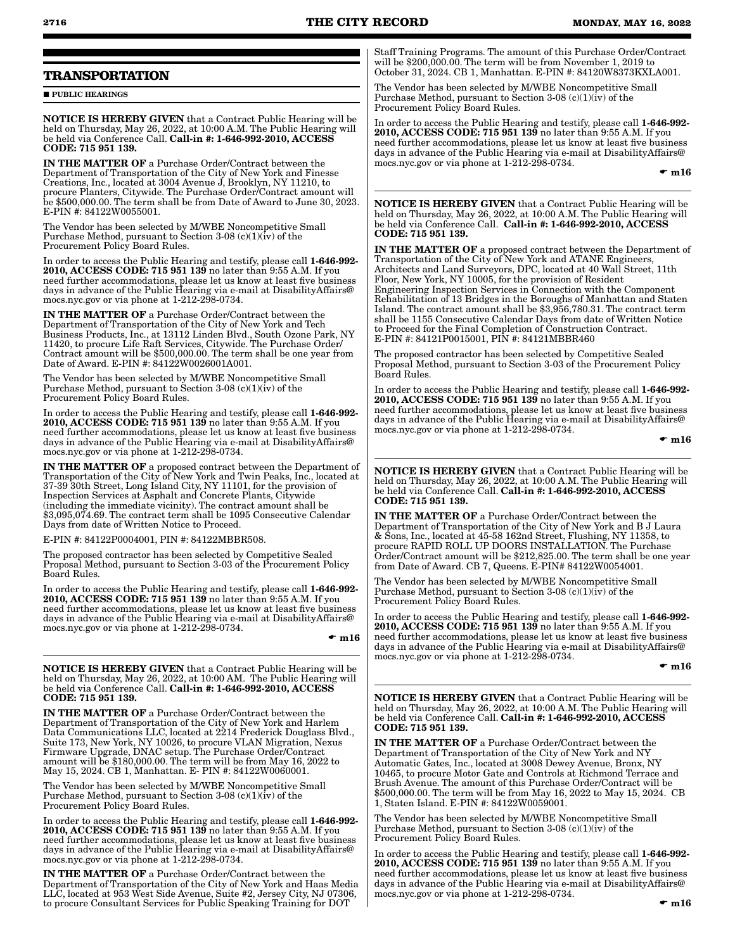# **TRANSPORTATION**

**PUBLIC HEARINGS** 

NOTICE IS HEREBY GIVEN that a Contract Public Hearing will be held on Thursday, May 26, 2022, at 10:00 A.M. The Public Hearing will be held via Conference Call. Call-in #: 1-646-992-2010, ACCESS CODE: 715 951 139.

IN THE MATTER OF a Purchase Order/Contract between the Department of Transportation of the City of New York and Finesse Creations, Inc., located at 3004 Avenue J, Brooklyn, NY 11210, to procure Planters, Citywide. The Purchase Order/Contract amount will be \$500,000.00. The term shall be from Date of Award to June 30, 2023. E-PIN #: 84122W0055001.

The Vendor has been selected by M/WBE Noncompetitive Small Purchase Method, pursuant to Section 3-08 (c)(1)( $iv$ ) of the Procurement Policy Board Rules.

In order to access the Public Hearing and testify, please call 1-646-992- 2010, ACCESS CODE: 715 951 139 no later than 9:55 A.M. If you need further accommodations, please let us know at least five business days in advance of the Public Hearing via e-mail at DisabilityAffairs@ mocs.nyc.gov or via phone at 1-212-298-0734.

IN THE MATTER OF a Purchase Order/Contract between the Department of Transportation of the City of New York and Tech Business Products, Inc., at 13112 Linden Blvd., South Ozone Park, NY 11420, to procure Life Raft Services, Citywide. The Purchase Order/ Contract amount will be \$500,000.00. The term shall be one year from Date of Award. E-PIN #: 84122W0026001A001.

The Vendor has been selected by M/WBE Noncompetitive Small Purchase Method, pursuant to Section 3-08  $(c)(1)(iv)$  of the Procurement Policy Board Rules.

In order to access the Public Hearing and testify, please call 1-646-992- 2010, ACCESS CODE: 715 951 139 no later than 9:55 A.M. If you need further accommodations, please let us know at least five business days in advance of the Public Hearing via e-mail at DisabilityAffairs@ mocs.nyc.gov or via phone at 1-212-298-0734.

IN THE MATTER OF a proposed contract between the Department of Transportation of the City of New York and Twin Peaks, Inc., located at 37-39 30th Street, Long Island City, NY 11101, for the provision of Inspection Services at Asphalt and Concrete Plants, Citywide (including the immediate vicinity). The contract amount shall be \$3,095,074.69. The contract term shall be 1095 Consecutive Calendar Days from date of Written Notice to Proceed.

E-PIN #: 84122P0004001, PIN #: 84122MBBR508.

The proposed contractor has been selected by Competitive Sealed Proposal Method, pursuant to Section 3-03 of the Procurement Policy Board Rules.

In order to access the Public Hearing and testify, please call 1-646-992-2010, ACCESS CODE: 715 951 139 no later than 9:55 A.M. If you need further accommodations, please let us know at least five business days in advance of the Public Hearing via e-mail at DisabilityAffairs@ mocs.nyc.gov or via phone at 1-212-298-0734.

 $\bullet$  m16

NOTICE IS HEREBY GIVEN that a Contract Public Hearing will be held on Thursday, May 26, 2022, at 10:00 AM. The Public Hearing will be held via Conference Call. Call-in #: 1-646-992-2010, ACCESS CODE: 715 951 139.

IN THE MATTER OF a Purchase Order/Contract between the Department of Transportation of the City of New York and Harlem Data Communications LLC, located at 2214 Frederick Douglass Blvd., Suite 173, New York, NY 10026, to procure VLAN Migration, Nexus Firmware Upgrade, DNAC setup. The Purchase Order/Contract amount will be \$180,000.00. The term will be from May 16, 2022 to May 15, 2024. CB 1, Manhattan. E- PIN #: 84122W0060001.

The Vendor has been selected by M/WBE Noncompetitive Small Purchase Method, pursuant to Section 3-08 (c)(1)(iv) of the Procurement Policy Board Rules.

In order to access the Public Hearing and testify, please call 1-646-992- 2010, ACCESS CODE: 715 951 139 no later than 9:55 A.M. If you need further accommodations, please let us know at least five business days in advance of the Public Hearing via e-mail at DisabilityAffairs@ mocs.nyc.gov or via phone at 1-212-298-0734.

IN THE MATTER OF a Purchase Order/Contract between the Department of Transportation of the City of New York and Haas Media LLC, located at 953 West Side Avenue, Suite #2, Jersey City, NJ 07306, to procure Consultant Services for Public Speaking Training for DOT

Staff Training Programs. The amount of this Purchase Order/Contract will be \$200,000.00. The term will be from November 1, 2019 to October 31, 2024. CB 1, Manhattan. E-PIN #: 84120W8373KXLA001.

The Vendor has been selected by M/WBE Noncompetitive Small Purchase Method, pursuant to Section 3-08  $(c)(1)(\hat{i}v)$  of the Procurement Policy Board Rules.

In order to access the Public Hearing and testify, please call 1-646-992- 2010, ACCESS CODE: 715 951 139 no later than 9:55 A.M. If you need further accommodations, please let us know at least five business days in advance of the Public Hearing via e-mail at DisabilityAffairs@ mocs.nyc.gov or via phone at 1-212-298-0734.

 $\bullet$  m16

NOTICE IS HEREBY GIVEN that a Contract Public Hearing will be held on Thursday, May 26, 2022, at 10:00 A.M. The Public Hearing will be held via Conference Call. Call-in #: 1-646-992-2010, ACCESS CODE: 715 951 139.

IN THE MATTER OF a proposed contract between the Department of Transportation of the City of New York and ATANE Engineers, Architects and Land Surveyors, DPC, located at 40 Wall Street, 11th Floor, New York, NY 10005, for the provision of Resident Engineering Inspection Services in Connection with the Component Rehabilitation of 13 Bridges in the Boroughs of Manhattan and Staten Island. The contract amount shall be \$3,956,780.31. The contract term shall be 1155 Consecutive Calendar Days from date of Written Notice to Proceed for the Final Completion of Construction Contract. E-PIN #: 84121P0015001, PIN #: 84121MBBR460

The proposed contractor has been selected by Competitive Sealed Proposal Method, pursuant to Section 3-03 of the Procurement Policy Board Rules.

In order to access the Public Hearing and testify, please call 1-646-992- 2010, ACCESS CODE: 715 951 139 no later than 9:55 A.M. If you need further accommodations, please let us know at least five business days in advance of the Public Hearing via e-mail at DisabilityAffairs@ mocs.nyc.gov or via phone at 1-212-298-0734.

 $\bullet$  m16

NOTICE IS HEREBY GIVEN that a Contract Public Hearing will be held on Thursday, May 26, 2022, at 10:00 A.M. The Public Hearing will be held via Conference Call. Call-in #: 1-646-992-2010, ACCESS CODE: 715 951 139.

IN THE MATTER OF a Purchase Order/Contract between the Department of Transportation of the City of New York and B J Laura & Sons, Inc., located at 45-58 162nd Street, Flushing, NY 11358, to procure RAPID ROLL UP DOORS INSTALLATION. The Purchase Order/Contract amount will be \$212,825.00. The term shall be one year from Date of Award. CB 7, Queens. E-PIN# 84122W0054001.

The Vendor has been selected by M/WBE Noncompetitive Small Purchase Method, pursuant to Section 3-08  $(c)(1)(\hat{\textbf{i}}v)$  of the Procurement Policy Board Rules.

In order to access the Public Hearing and testify, please call 1-646-992- 2010, ACCESS CODE: 715 951 139 no later than 9:55 A.M. If you need further accommodations, please let us know at least five business days in advance of the Public Hearing via e-mail at DisabilityAffairs@ mocs.nyc.gov or via phone at 1-212-298-0734.

 $\bullet$  m16

NOTICE IS HEREBY GIVEN that a Contract Public Hearing will be held on Thursday, May 26, 2022, at 10:00 A.M. The Public Hearing will be held via Conference Call. Call-in #: 1-646-992-2010, ACCESS CODE: 715 951 139.

IN THE MATTER OF a Purchase Order/Contract between the Department of Transportation of the City of New York and NY Automatic Gates, Inc., located at 3008 Dewey Avenue, Bronx, NY 10465, to procure Motor Gate and Controls at Richmond Terrace and Brush Avenue. The amount of this Purchase Order/Contract will be \$500,000.00. The term will be from May 16, 2022 to May 15, 2024. CB 1, Staten Island. E-PIN #: 84122W0059001.

The Vendor has been selected by M/WBE Noncompetitive Small Purchase Method, pursuant to Section 3-08  $(c)(1)(iv)$  of the Procurement Policy Board Rules.

In order to access the Public Hearing and testify, please call 1-646-992- 2010, ACCESS CODE: 715 951 139 no later than 9:55 A.M. If you need further accommodations, please let us know at least five business days in advance of the Public Hearing via e-mail at DisabilityAffairs@ mocs.nyc.gov or via phone at 1-212-298-0734.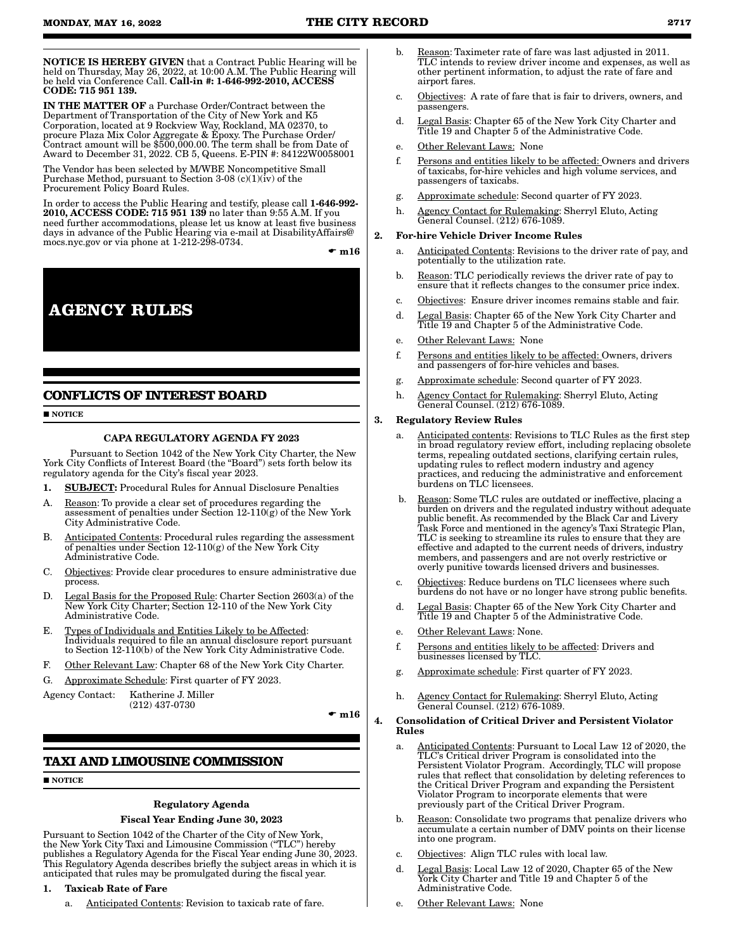NOTICE IS HEREBY GIVEN that a Contract Public Hearing will be held on Thursday, May 26, 2022, at 10:00 A.M. The Public Hearing will be held via Conference Call. Call-in #: 1-646-992-2010, ACCESS CODE: 715 951 139.

IN THE MATTER OF a Purchase Order/Contract between the Department of Transportation of the City of New York and K5 Corporation, located at 9 Rockview Way, Rockland, MA 02370, to procure Plaza Mix Color Aggregate & Epoxy. The Purchase Order/ Contract amount will be \$500,000.00. The term shall be from Date of Award to December 31, 2022. CB 5, Queens. E-PIN #: 84122W0058001

The Vendor has been selected by M/WBE Noncompetitive Small Purchase Method, pursuant to Section  $3-08$  (c)(1)(iv) of the Procurement Policy Board Rules.

In order to access the Public Hearing and testify, please call 1-646-992-2010, ACCESS CODE: 715 951 139 no later than 9:55 A.M. If you need further accommodations, please let us know at least five business days in advance of the Public Hearing via e-mail at DisabilityAffairs@ mocs.nyc.gov or via phone at 1-212-298-0734.

 $\bullet$  m16

**AGENCY RULES**

# **CONFLICTS OF INTEREST BOARD**

#### $\blacksquare$  NOTICE

# CAPA REGULATORY AGENDA FY 2023

Pursuant to Section 1042 of the New York City Charter, the New York City Conflicts of Interest Board (the "Board") sets forth below its regulatory agenda for the City's fiscal year 2023.

- 1. SUBJECT: Procedural Rules for Annual Disclosure Penalties
- A. Reason: To provide a clear set of procedures regarding the assessment of penalties under Section 12-110(g) of the New York City Administrative Code.
- B. Anticipated Contents: Procedural rules regarding the assessment of penalties under Section 12-110(g) of the New York City Administrative Code.
- C. Objectives: Provide clear procedures to ensure administrative due process.
- D. Legal Basis for the Proposed Rule: Charter Section 2603(a) of the New York City Charter; Section 12-110 of the New York City Administrative Code.
- E. Types of Individuals and Entities Likely to be Affected: Individuals required to file an annual disclosure report pursuant to Section 12-110(b) of the New York City Administrative Code.
- F. Other Relevant Law: Chapter 68 of the New York City Charter.
- G. Approximate Schedule: First quarter of FY 2023.

Agency Contact: Katherine J. Miller (212) 437-0730

 $\bullet$  m16

# **TAXI AND LIMOUSINE COMMISSION**

**NOTICE** 

#### Regulatory Agenda

#### Fiscal Year Ending June 30, 2023

Pursuant to Section 1042 of the Charter of the City of New York, the New York City Taxi and Limousine Commission ("TLC") hereby publishes a Regulatory Agenda for the Fiscal Year ending June 30, 2023. This Regulatory Agenda describes briefly the subject areas in which it is anticipated that rules may be promulgated during the fiscal year.

- 1. Taxicab Rate of Fare
	- a. Anticipated Contents: Revision to taxicab rate of fare.
- Reason: Taximeter rate of fare was last adjusted in 2011. TLC intends to review driver income and expenses, as well as other pertinent information, to adjust the rate of fare and airport fares.
- c. Objectives: A rate of fare that is fair to drivers, owners, and passengers.
- d. Legal Basis: Chapter 65 of the New York City Charter and Title 19 and Chapter 5 of the Administrative Code.
- e. Other Relevant Laws: None
- f. Persons and entities likely to be affected: Owners and drivers of taxicabs, for-hire vehicles and high volume services, and passengers of taxicabs.
- g. Approximate schedule: Second quarter of FY 2023.
- h. Agency Contact for Rulemaking: Sherryl Eluto, Acting General Counsel. (212) 676-1089.

#### 2. For-hire Vehicle Driver Income Rules

- a. Anticipated Contents: Revisions to the driver rate of pay, and potentially to the utilization rate.
- b. Reason: TLC periodically reviews the driver rate of pay to ensure that it reflects changes to the consumer price index.
- c. Objectives: Ensure driver incomes remains stable and fair.
- d. Legal Basis: Chapter 65 of the New York City Charter and Title 19 and Chapter 5 of the Administrative Code.
- e. Other Relevant Laws: None
- f. Persons and entities likely to be affected: Owners, drivers and passengers of for-hire vehicles and bases.
- g. Approximate schedule: Second quarter of FY 2023.
- h. Agency Contact for Rulemaking: Sherryl Eluto, Acting General Counsel. (212) 676-1089.

#### 3. Regulatory Review Rules

- Anticipated contents: Revisions to TLC Rules as the first step in broad regulatory review effort, including replacing obsolete terms, repealing outdated sections, clarifying certain rules, updating rules to reflect modern industry and agency practices, and reducing the administrative and enforcement burdens on TLC licensees.
- b. Reason: Some TLC rules are outdated or ineffective, placing a burden on drivers and the regulated industry without adequate public benefit. As recommended by the Black Car and Livery Task Force and mentioned in the agency's Taxi Strategic Plan, TLC is seeking to streamline its rules to ensure that they are effective and adapted to the current needs of drivers, industry members, and passengers and are not overly restrictive or overly punitive towards licensed drivers and businesses.
- c. Objectives: Reduce burdens on TLC licensees where such burdens do not have or no longer have strong public benefits.
- d. Legal Basis: Chapter 65 of the New York City Charter and Title 19 and Chapter 5 of the Administrative Code.
- e. Other Relevant Laws: None.
- f. Persons and entities likely to be affected: Drivers and businesses licensed by TLC.
- g. Approximate schedule: First quarter of FY 2023.
- h. Agency Contact for Rulemaking: Sherryl Eluto, Acting General Counsel. (212) 676-1089.

#### 4. Consolidation of Critical Driver and Persistent Violator Rules

- a. Anticipated Contents: Pursuant to Local Law 12 of 2020, the TLC's Critical driver Program is consolidated into the Persistent Violator Program. Accordingly, TLC will propose rules that reflect that consolidation by deleting references to the Critical Driver Program and expanding the Persistent Violator Program to incorporate elements that were previously part of the Critical Driver Program.
- b. Reason: Consolidate two programs that penalize drivers who accumulate a certain number of DMV points on their license into one program.
- c. Objectives: Align TLC rules with local law.
- d. Legal Basis: Local Law 12 of 2020, Chapter 65 of the New York City Charter and Title 19 and Chapter 5 of the Administrative Code.
- e. Other Relevant Laws: None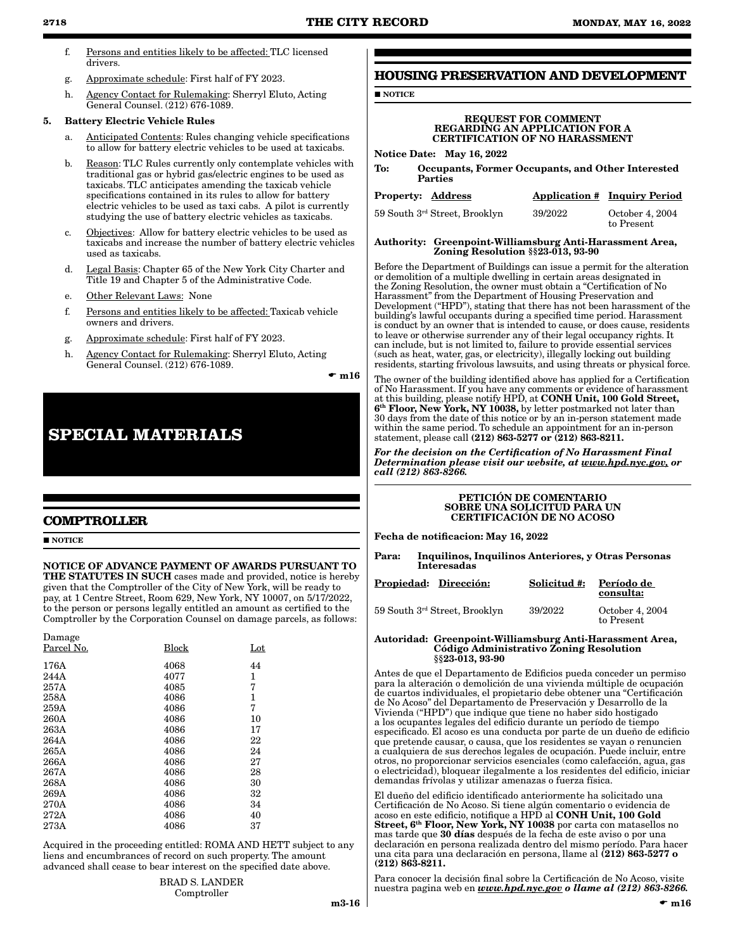to Present

- f. Persons and entities likely to be affected: TLC licensed drivers.
- g. Approximate schedule: First half of FY 2023.
- h. Agency Contact for Rulemaking: Sherryl Eluto, Acting General Counsel. (212) 676-1089.

# 5. Battery Electric Vehicle Rules

- a. Anticipated Contents: Rules changing vehicle specifications to allow for battery electric vehicles to be used at taxicabs.
- b. Reason: TLC Rules currently only contemplate vehicles with traditional gas or hybrid gas/electric engines to be used as taxicabs. TLC anticipates amending the taxicab vehicle specifications contained in its rules to allow for battery electric vehicles to be used as taxi cabs. A pilot is currently studying the use of battery electric vehicles as taxicabs.
- c. Objectives: Allow for battery electric vehicles to be used as taxicabs and increase the number of battery electric vehicles used as taxicabs.
- d. Legal Basis: Chapter 65 of the New York City Charter and Title 19 and Chapter 5 of the Administrative Code.
- e. Other Relevant Laws: None
- f. Persons and entities likely to be affected: Taxicab vehicle owners and drivers.
- g. Approximate schedule: First half of FY 2023.
- h. Agency Contact for Rulemaking: Sherryl Eluto, Acting General Counsel. (212) 676-1089.

 $\mathbf{m}16$ 

# **SPECIAL MATERIALS**

# **COMPTROLLER**

#### **NOTICE**

# NOTICE OF ADVANCE PAYMENT OF AWARDS PURSUANT TO

THE STATUTES IN SUCH cases made and provided, notice is hereby given that the Comptroller of the City of New York, will be ready to pay, at 1 Centre Street, Room 629, New York, NY 10007, on 5/17/2022, to the person or persons legally entitled an amount as certified to the Comptroller by the Corporation Counsel on damage parcels, as follows:

| Damage     |       |     |
|------------|-------|-----|
| Parcel No. | Block | Lot |
| 176A       | 4068  | 44  |
| 244A       | 4077  | 1   |
| 257A       | 4085  | 7   |
| 258A       | 4086  | 1   |
| 259A       | 4086  | 7   |
| 260A       | 4086  | 10  |
| 263A       | 4086  | 17  |
| 264A       | 4086  | 22  |
| 265A       | 4086  | 24  |
| 266A       | 4086  | 27  |
| 267A       | 4086  | 28  |
| 268A       | 4086  | 30  |
| 269A       | 4086  | 32  |
| 270A       | 4086  | 34  |
| 272A       | 4086  | 40  |
| 273A       | 4086  | 37  |
|            |       |     |

Acquired in the proceeding entitled: ROMA AND HETT subject to any liens and encumbrances of record on such property. The amount advanced shall cease to bear interest on the specified date above.

#### BRAD S. LANDER Comptroller

# **HOUSING PRESERVATION AND DEVELOPMENT**

**NOTICE** 

#### REQUEST FOR COMMENT REGARDING AN APPLICATION FOR A CERTIFICATION OF NO HARASSMENT

Notice Date: May 16, 2022

To: Occupants, Former Occupants, and Other Interested Parties

| Property: Address |                               |         | <b>Application # Inquiry Period</b> |
|-------------------|-------------------------------|---------|-------------------------------------|
|                   | 59 South 3rd Street, Brooklyn | 39/2022 | October 4, 2004                     |

#### Authority: Greenpoint-Williamsburg Anti-Harassment Area, Zoning Resolution §§23-013, 93-90

Before the Department of Buildings can issue a permit for the alteration or demolition of a multiple dwelling in certain areas designated in the Zoning Resolution, the owner must obtain a "Certification of No Harassment" from the Department of Housing Preservation and Development ("HPD"), stating that there has not been harassment of the building's lawful occupants during a specified time period. Harassment is conduct by an owner that is intended to cause, or does cause, residents to leave or otherwise surrender any of their legal occupancy rights. It can include, but is not limited to, failure to provide essential services (such as heat, water, gas, or electricity), illegally locking out building residents, starting frivolous lawsuits, and using threats or physical force.

The owner of the building identified above has applied for a Certification of No Harassment. If you have any comments or evidence of harassment at this building, please notify HPD, at CONH Unit, 100 Gold Street,  $6<sup>th</sup>$  Floor, New York, NY 10038, by letter postmarked not later than 30 days from the date of this notice or by an in-person statement made within the same period. To schedule an appointment for an in-person statement, please call (212) 863-5277 or (212) 863-8211.

*For the decision on the Certification of No Harassment Final Determination please visit our website, at www.hpd.nyc.gov, or call (212) 863-8266.*

#### PETICIÓN DE COMENTARIO SOBRE UNA SOLICITUD PARA UN CERTIFICACIÓN DE NO ACOSO

Fecha de notificacion: May 16, 2022

Para: Inquilinos, Inquilinos Anteriores, y Otras Personas Interesadas

| Propiedad: Dirección:         | Solicitud #: | Período de<br>consulta:       |
|-------------------------------|--------------|-------------------------------|
| 59 South 3rd Street, Brooklyn | 39/2022      | October 4, 2004<br>to Present |

#### Autoridad: Greenpoint-Williamsburg Anti-Harassment Area, Código Administrativo Zoning Resolution §§23-013, 93-90

Antes de que el Departamento de Edificios pueda conceder un permiso para la alteración o demolición de una vivienda múltiple de ocupación de cuartos individuales, el propietario debe obtener una "Certificación de No Acoso" del Departamento de Preservación y Desarrollo de la Vivienda ("HPD") que indique que tiene no haber sido hostigado a los ocupantes legales del edificio durante un período de tiempo especificado. El acoso es una conducta por parte de un dueño de edificio que pretende causar, o causa, que los residentes se vayan o renuncien a cualquiera de sus derechos legales de ocupación. Puede incluir, entre otros, no proporcionar servicios esenciales (como calefacción, agua, gas o electricidad), bloquear ilegalmente a los residentes del edificio, iniciar demandas frívolas y utilizar amenazas o fuerza física.

El dueño del edificio identificado anteriormente ha solicitado una Certificación de No Acoso. Si tiene algún comentario o evidencia de acoso en este edificio, notifique a HPD al CONH Unit, 100 Gold Street, 6<sup>th</sup> Floor, New York, NY 10038 por carta con matasellos no mas tarde que 30 días después de la fecha de este aviso o por una declaración en persona realizada dentro del mismo período. Para hacer una cita para una declaración en persona, llame al (212) 863-5277 o (212) 863-8211.

Para conocer la decisión final sobre la Certificación de No Acoso, visite nuestra pagina web en *www.hpd.nyc.gov o llame al (212) 863-8266.*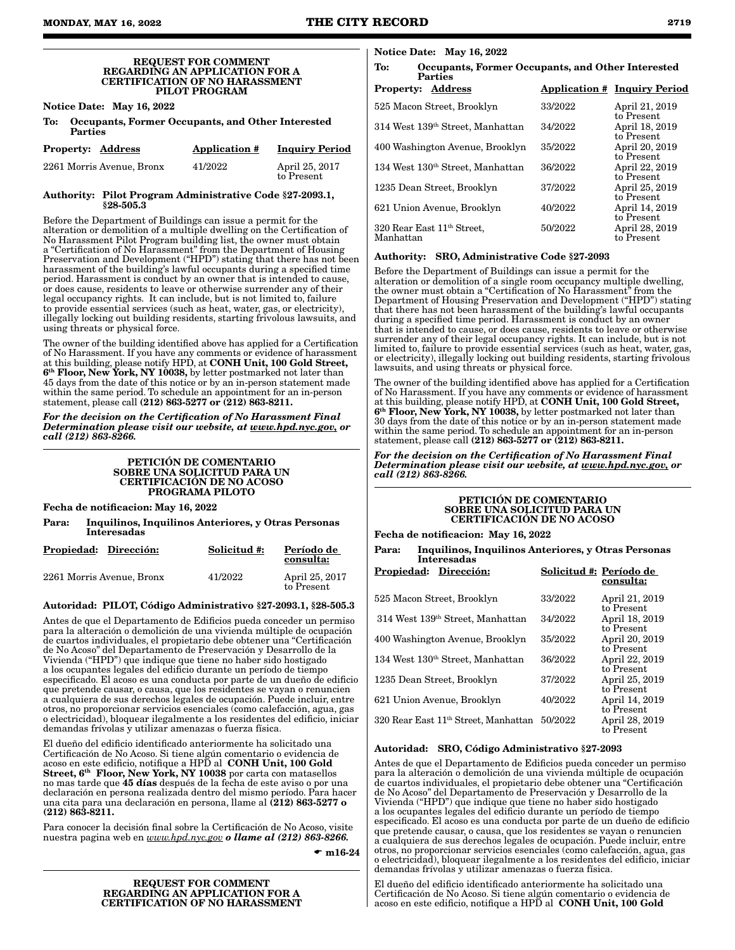#### REQUEST FOR COMMENT REGARDING AN APPLICATION FOR A CERTIFICATION OF NO HARASSMENT PILOT PROGRAM

Notice Date: May 16, 2022

| To: Occupants, Former Occupants, and Other Interested |
|-------------------------------------------------------|
| Parties                                               |

| <b>Property: Address</b>  | <b>Application #</b> | <b>Inquiry Period</b>        |
|---------------------------|----------------------|------------------------------|
| 2261 Morris Avenue, Bronx | 41/2022              | April 25, 2017<br>to Present |

#### Authority: Pilot Program Administrative Code §27-2093.1, §28-505.3

Before the Department of Buildings can issue a permit for the alteration or demolition of a multiple dwelling on the Certification of No Harassment Pilot Program building list, the owner must obtain a "Certification of No Harassment" from the Department of Housing Preservation and Development ("HPD") stating that there has not been harassment of the building's lawful occupants during a specified time period. Harassment is conduct by an owner that is intended to cause, or does cause, residents to leave or otherwise surrender any of their legal occupancy rights. It can include, but is not limited to, failure to provide essential services (such as heat, water, gas, or electricity), illegally locking out building residents, starting frivolous lawsuits, and using threats or physical force.

The owner of the building identified above has applied for a Certification of No Harassment. If you have any comments or evidence of harassment at this building, please notify HPD, at CONH Unit, 100 Gold Street, 6th Floor, New York, NY 10038, by letter postmarked not later than 45 days from the date of this notice or by an in-person statement made within the same period. To schedule an appointment for an in-person statement, please call (212) 863-5277 or (212) 863-8211.

*For the decision on the Certification of No Harassment Final Determination please visit our website, at www.hpd.nyc.gov, or call (212) 863-8266.*

#### PETICIÓN DE COMENTARIO SOBRE UNA SOLICITUD PARA UN CERTIFICACIÓN DE NO ACOSO PROGRAMA PILOTO

Fecha de notificacion: May 16, 2022

Para: Inquilinos, Inquilinos Anteriores, y Otras Personas Interesadas

| Propiedad: Dirección:     | Solicitud #: | Período de<br>consulta:      |
|---------------------------|--------------|------------------------------|
| 2261 Morris Avenue, Bronx | 41/2022      | April 25, 2017<br>to Present |

#### Autoridad: PILOT, Código Administrativo §27-2093.1, §28-505.3

Antes de que el Departamento de Edificios pueda conceder un permiso para la alteración o demolición de una vivienda múltiple de ocupación de cuartos individuales, el propietario debe obtener una "Certificación de No Acoso" del Departamento de Preservación y Desarrollo de la Vivienda ("HPD") que indique que tiene no haber sido hostigado a los ocupantes legales del edificio durante un período de tiempo especificado. El acoso es una conducta por parte de un dueño de edificio que pretende causar, o causa, que los residentes se vayan o renuncien a cualquiera de sus derechos legales de ocupación. Puede incluir, entre otros, no proporcionar servicios esenciales (como calefacción, agua, gas o electricidad), bloquear ilegalmente a los residentes del edificio, iniciar demandas frívolas y utilizar amenazas o fuerza física.

El dueño del edificio identificado anteriormente ha solicitado una Certificación de No Acoso. Si tiene algún comentario o evidencia de acoso en este edificio, notifique a HPD al CONH Unit, 100 Gold Street,  $6<sup>th</sup>$  Floor, New York, NY 10038 por carta con matasellos no mas tarde que 45 días después de la fecha de este aviso o por una declaración en persona realizada dentro del mismo período. Para hacer una cita para una declaración en persona, llame al (212) 863-5277 o (212) 863-8211.

Para conocer la decisión final sobre la Certificación de No Acoso, visite nuestra pagina web en *www.hpd.nyc.gov o llame al (212) 863-8266.*

 $\bullet$  m16-24

#### REQUEST FOR COMMENT REGARDING AN APPLICATION FOR A CERTIFICATION OF NO HARASSMENT

| Notice Date: May 16, 2022 |  |  |  |
|---------------------------|--|--|--|
|---------------------------|--|--|--|

# To: Occupants, Former Occupants, and Other Interested Parties Property: Address Application # Inquiry Period 525 Macon Street, Brooklyn 33/2022 April 21, 2019

| 040 macon Ducci, Dioonivii                   | ,,,,,,,,,,,, | 1111111101010  |
|----------------------------------------------|--------------|----------------|
|                                              |              | to Present     |
| 314 West 139 <sup>th</sup> Street, Manhattan | 34/2022      | April 18, 2019 |
|                                              |              | to Present     |
| 400 Washington Avenue, Brooklyn              | 35/2022      | April 20, 2019 |
|                                              |              | to Present     |
| 134 West 130 <sup>th</sup> Street, Manhattan | 36/2022      | April 22, 2019 |
|                                              |              | to Present     |
| 1235 Dean Street, Brooklyn                   | 37/2022      | April 25, 2019 |
|                                              |              | to Present     |
|                                              |              |                |
| 621 Union Avenue, Brooklyn                   | 40/2022      | April 14, 2019 |
|                                              |              | to Present     |
| 320 Rear East 11 <sup>th</sup> Street,       | 50/2022      | April 28, 2019 |
| Manhattan                                    |              | to Present     |
|                                              |              |                |

#### Authority: SRO, Administrative Code §27-2093

Before the Department of Buildings can issue a permit for the alteration or demolition of a single room occupancy multiple dwelling, the owner must obtain a "Certification of No Harassment" from the Department of Housing Preservation and Development ("HPD") stating that there has not been harassment of the building's lawful occupants during a specified time period. Harassment is conduct by an owner that is intended to cause, or does cause, residents to leave or otherwise surrender any of their legal occupancy rights. It can include, but is not limited to, failure to provide essential services (such as heat, water, gas, or electricity), illegally locking out building residents, starting frivolous lawsuits, and using threats or physical force.

The owner of the building identified above has applied for a Certification of No Harassment. If you have any comments or evidence of harassment<br>at this building, please notify HPD, at **CONH Unit, 100 Gold Street,** 6<sup>th</sup> Floor, New York, NY 10038, by letter postmarked not later than 30 days from the date of this notice or by an in-person statement made within the same period. To schedule an appointment for an in-person statement, please call (212) 863-5277 or (212) 863-8211.

*For the decision on the Certification of No Harassment Final Determination please visit our website, at www.hpd.nyc.gov, or call (212) 863-8266.*

#### PETICIÓN DE COMENTARIO SOBRE UNA SOLICITUD PARA UN CERTIFICACIÓN DE NO ACOSO

Fecha de notificacion: May 16, 2022

Para: Inquilinos, Inquilinos Anteriores, y Otras Personas Interesadas

| Propiedad: Dirección:                            | Solicitud #: Período de | consulta:                    |
|--------------------------------------------------|-------------------------|------------------------------|
| 525 Macon Street, Brooklyn                       | 33/2022                 | April 21, 2019<br>to Present |
| 314 West 139 <sup>th</sup> Street, Manhattan     | 34/2022                 | April 18, 2019<br>to Present |
| 400 Washington Avenue, Brooklyn                  | 35/2022                 | April 20, 2019<br>to Present |
| 134 West 130 <sup>th</sup> Street, Manhattan     | 36/2022                 | April 22, 2019<br>to Present |
| 1235 Dean Street, Brooklyn                       | 37/2022                 | April 25, 2019<br>to Present |
| 621 Union Avenue, Brooklyn                       | 40/2022                 | April 14, 2019<br>to Present |
| 320 Rear East 11 <sup>th</sup> Street, Manhattan | 50/2022                 | April 28, 2019<br>to Present |

#### Autoridad: SRO, Código Administrativo §27-2093

Antes de que el Departamento de Edificios pueda conceder un permiso para la alteración o demolición de una vivienda múltiple de ocupación de cuartos individuales, el propietario debe obtener una "Certificación de No Acoso" del Departamento de Preservación y Desarrollo de la Vivienda ("HPD") que indique que tiene no haber sido hostigado a los ocupantes legales del edificio durante un período de tiempo especificado. El acoso es una conducta por parte de un dueño de edificio que pretende causar, o causa, que los residentes se vayan o renuncien a cualquiera de sus derechos legales de ocupación. Puede incluir, entre otros, no proporcionar servicios esenciales (como calefacción, agua, gas o electricidad), bloquear ilegalmente a los residentes del edificio, iniciar demandas frívolas y utilizar amenazas o fuerza física.

El dueño del edificio identificado anteriormente ha solicitado una Certificación de No Acoso. Si tiene algún comentario o evidencia de<br>acoso en este edificio, notifique a HPD al **CONH Unit, 100 Gold**